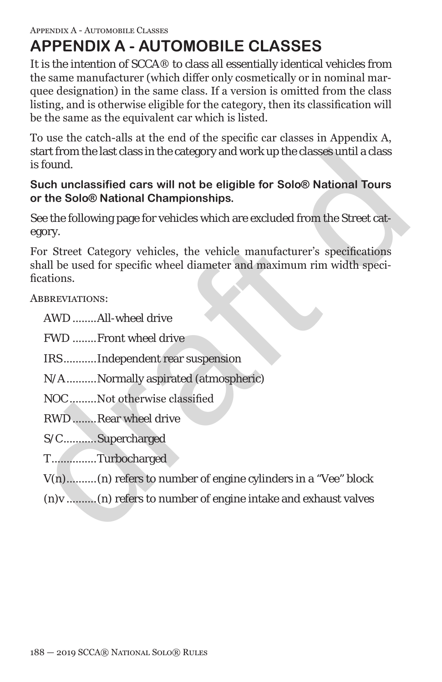# **APPENDIX A - AUTOMOBILE CLASSES**

It is the intention of SCCA® to class all essentially identical vehicles from the same manufacturer (which differ only cosmetically or in nominal marquee designation) in the same class. If a version is omitted from the class listing, and is otherwise eligible for the category, then its classification will be the same as the equivalent car which is listed.

To use the catch-alls at the end of the specific car classes in Appendix A, start from the last class in the category and work up the classes until a class is found.

**Such unclassified cars will not be eligible for Solo® National Tours or the Solo® National Championships.** 

See the following page for vehicles which are excluded from the Street category.

start from the last class in the category and work up the classes until a class<br>is found.<br>So the unclossified cars will not be eligible for Solo® National Tours<br>Sorth unclossified cars will not be eligible for Solo® Nation For Street Category vehicles, the vehicle manufacturer's specifications shall be used for specific wheel diameter and maximum rim width specifications.

ABBREVIATIONS:

AWD ........All-wheel drive

FWD ........Front wheel drive

IRS...........Independent rear suspension

N/A..........Normally aspirated (atmospheric)

NOC.........Not otherwise classified

RWD........Rear wheel drive

S/C...........Supercharged

T...............Turbocharged

V(n)..........(n) refers to number of engine cylinders in a "Vee" block

(n)v ..........(n) refers to number of engine intake and exhaust valves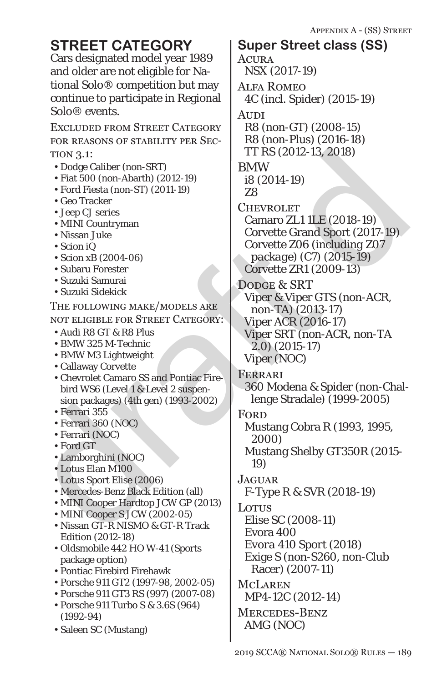Cars designated model year 1989 and older are not eligible for National Solo® competition but may continue to participate in Regional Solo® events.

Excluded from Street Category for reasons of stability per Section 3.1:

- Dodge Caliber (non-SRT)
- Fiat 500 (non-Abarth) (2012-19)
- Ford Fiesta (non-ST) (2011-19)
- Geo Tracker
- Jeep CJ series
- MINI Countryman
- Nissan Juke
- Scion iQ
- Scion xB (2004-06)
- Subaru Forester
- Suzuki Samurai
- Suzuki Sidekick

The following make/models are not eligible for Street Category:

- Audi R8 GT & R8 Plus
- BMW 325 M-Technic
- BMW M3 Lightweight
- Callaway Corvette
- Chevrolet Camaro SS and Pontiac Firebird WS6 (Level 1 & Level 2 suspension packages) (4th gen) (1993-2002)
- Ferrari 355
- Ferrari 360 (NOC)
- Ferrari (NOC)
- Ford GT
- Lamborghini (NOC)
- Lotus Elan M100
- Lotus Sport Elise (2006)
- Mercedes-Benz Black Edition (all)
- MINI Cooper Hardtop JCW GP (2013)
- MINI Cooper S JCW (2002-05)
- Nissan GT-R NISMO & GT-R Track Edition (2012-18)
- Oldsmobile 442 HO W-41 (Sports package option)
- Pontiac Firebird Firehawk
- Porsche 911 GT2 (1997-98, 2002-05)
- Porsche 911 GT3 RS (997) (2007-08)
- Porsche 911 Turbo S & 3.6S (964) (1992-94)
- Saleen SC (Mustang)

TION 3.1:<br>
Polge Caliber (non-SRT)<br>
• Feat 500 (non-Abarth) (2012-19)<br>
• Feat 500 (non-Abarth) (2012-19)<br>
• Feat 500 (non-Abarth) (2012-19)<br>
• Geo Tracker<br>
• MINI Countryman<br>
• Nisan Jube<br>
• Nisan Jube<br>
• Subasis Bécaus & **ACURA** NSX (2017-19) Alfa Romeo 4C (incl. Spider) (2015-19) Audi R8 (*non-GT*) (2008-15) *R8 (non-Plus) (2016-18)* TT RS (2012-13, 2018) BMW i8 (2014-19) Z8 **CHEVROLET** Camaro ZL1 1LE (2018-19) Corvette Grand Sport (2017-*19*) Corvette Z06 (*including Z07 package*) (C7) (2015-*19*) Corvette ZR1 (2009-13) DODGE & SRT Viper & Viper GTS (non-ACR, non-TA) (2013-*17*) Viper ACR (2016-17) Viper SRT (non-ACR, non-TA 2.0) (2015-17) Viper (NOC) Ferrari 360 Modena & Spider (non-Challenge Stradale) (1999-2005) **FORD** Mustang Cobra R (1993, 1995, 2000) Mustang Shelby GT350R (2015- 19) **JAGUAR** F-Type R & SVR (2018-19) Lotus Elise SC (2008-11) Evora 400 *Evora 410 Sport (2018)* Exige S (non-S260, non-Club Racer) (2007-11) McLaren MP4-12C (2012-14) Mercedes-Benz AMG (NOC) **STREET CATEGORY** | Super Street class (SS)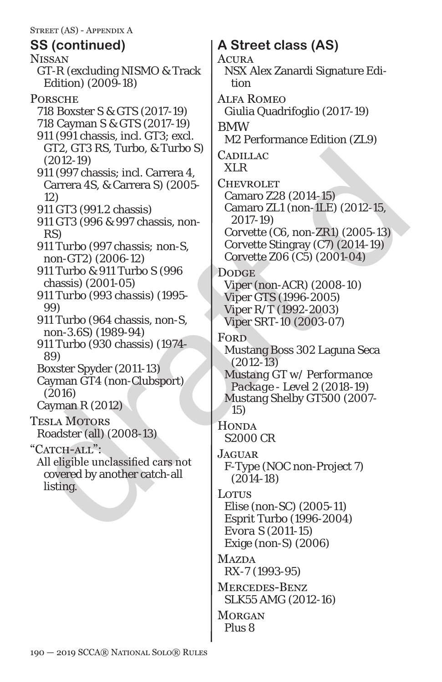Graz Graz AS, & Lurbo, & Turbo, & Lurbo S<br>
2(2012-19)<br>
12 (2012-19)<br>
2(2012-19)<br>
12 (307 chassis; incl. Carrera 4,<br>
Carrarea 45. & Carrarea S<br>
2(2004-15)<br>
12 (2006-12)<br>
12 (2006-12)<br>
12 (2006-12)<br>
12 (2006-12)<br>
12 (2006-1 **NISSAN** GT-R (excluding NISMO & Track Edition) (2009-18) **PORSCHE** 718 Boxster S & GTS (2017-19) 718 Cayman S & GTS (2017-19) 911 (991 chassis, incl. GT3; excl. GT2, GT3 RS, Turbo, & Turbo S) (2012-19) 911 (997 chassis; incl. Carrera 4, Carrera 4S, & Carrera S) (2005- 12) 911 GT3 (991.2 chassis) 911 GT3 (996 & 997 chassis, non-RS) *911 Turbo (997 chassis; non-S, non-GT2) (2006-12)* 911 Turbo & 911 Turbo S (996 chassis) (2001-05) *911 Turbo (993 chassis) (1995- 99)* 911 Turbo (964 chassis, non-S, non-3.6S) (1989-94) 911 Turbo (930 chassis) (1974- 89) Boxster Spyder (2011-13) Cayman GT4 (non-Clubsport) (2016) Cayman R (2012) Tesla Motors Roadster (all) (2008-13) "CATCH-ALL": All eligible unclassified cars not covered by another catch-all listing.

# **SS (continued) A Street class (AS)**

**ACURA** 

NSX Alex Zanardi Signature Edition

Alfa Romeo

Giulia Quadrifoglio (2017-19)

BMW

M2 Performance Edition (ZL9)

**CADILLAC** XLR

**CHEVROLET** Camaro Z28 (2014-15) Camaro ZL1 (non-1LE) (2012-15, 2017-19) Corvette (C6, non-ZR1) (2005-13) Corvette Stingray (C7) (2014-19)

Corvette Z06 (C5) (2001-04)

### **DODGE**

Viper (non-ACR) (2008-10) Viper GTS (1996-2005) Viper R/T (1992-2003) Viper SRT-10 (2003-07)

Ford

Mustang Boss 302 Laguna Seca (2012-13)

*Mustang GT w/ Performance Package - Level 2 (2018-19)* Mustang Shelby GT500 (2007- *15*)

**HONDA** S2000 CR

**JAGUAR** F-Type (NOC non-Project 7) (2014-18)

Lotus

Elise (non-SC) (2005-11) Esprit Turbo (1996-2004) *Evora S (2011-15)* Exige (non-S) (2006)

**MAZDA** 

RX-7 (1993-95)

Mercedes-Benz SLK55 AMG (2012-16)

**MORGAN** Plus 8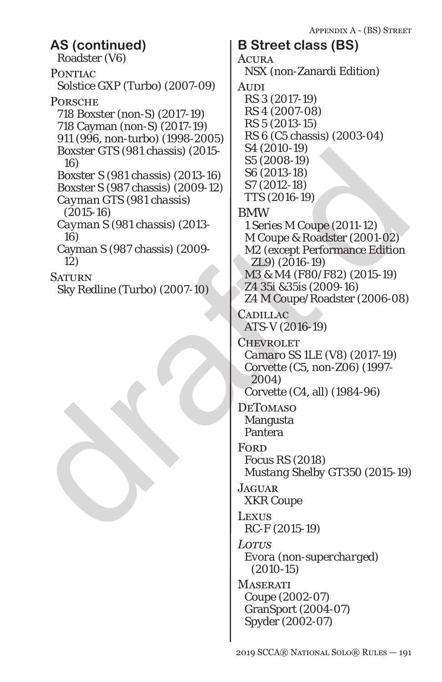NSX (non-Zanardi Edition)

# **AS (continued) B Street class (BS)**

Roadster (V6) PONTIAC Solstice GXP (Turbo) (2007-09) **PORSCHE** 718 Boxster (non-S) (2017-19) 718 Cayman (non-S) (2017-19) 911 (996, non-turbo) (1998-2005) *Boxster GTS (981 chassis) (2015- 16) Boxster S (981 chassis) (2013-16)* Boxster S (987 chassis) (2009-12) *Cayman GTS (981 chassis) (2015-16) Cayman S (981 chassis) (2013- 16)* Cayman S (987 chassis) (2009- 12) **SATURN** Sky Redline (Turbo) (2007-10)

Boxster CTS (981 chassis) (2015 <br>
16)<br>
16)<br>
Boxster S (981 chassis) (2013-16)<br>
S6 (2003-19)<br>
S6 (2003-19)<br>
S6 (2003-19)<br>
S6 (2013-18)<br>
Cayman GTS (981 chassis) (2013-12)<br>
Cayman S (981 chassis) (2013-<br>
2011-12)<br>
Cayman S RS 6 (C5 chassis) (2003-04) S4 (2010-19) S5 (2008-19) S6 (2013-18) S7 (2012-18) *TTS (2016-19)* BMW 1 Series M Coupe (2011-12) M Coupe & Roadster (2001-02) M2 (except Performance Edition ZL9) (2016-19) *M3 & M4 (F80/F82) (2015-19)* Z4 35i &35is (2009-16) Z4 M Coupe/Roadster (2006-08) **CADILLAC** ATS-V (2016-19) **CHEVROLET** *Camaro SS 1LE (V8) (2017-19)* Corvette (C5, non-Z06) (1997- 2004) Corvette (C4, all) (1984-96) **DETOMASO** Mangusta Pantera **FORD** Focus RS (2018) *Mustang Shelby GT350 (2015-19)* **JAGUAR** XKR Coupe Lexus RC-F (2015-19)

**ACURA** 

**AUDI** 

RS 3 (2017-19) RS 4 (2007-08) RS 5 (2013-15)

*Lotus Evora (non-supercharged) (2010-15)*

**MASERATI** Coupe (2002-07) GranSport (2004-07) Spyder (2002-07)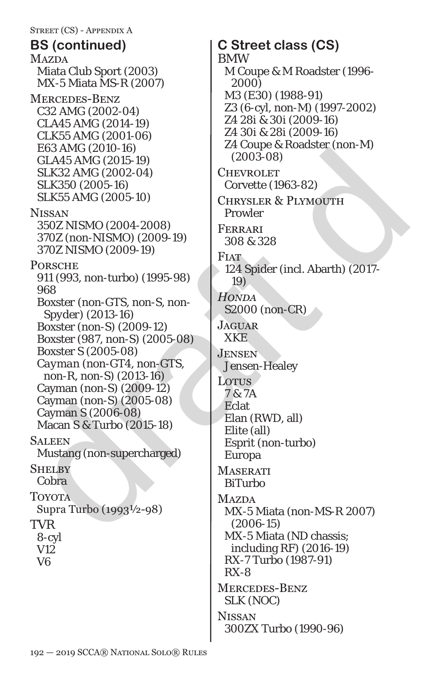**MAZDA** Miata Club Sport (2003) MX-5 Miata MS-R (2007) Mercedes-Benz C32 AMG (2002-04) CLA45 AMG (2014-19) CLK55 AMG (2001-06) E63 AMG (2010-16) GLA45 AMG (2015-19) SLK32 AMG (2002-04) SLK350 (2005-16) SLK55 AMG (2005-10) Nissan *350Z NISMO (2004-2008)* 370Z (non-NISMO) (2009-19) *370Z NISMO (2009-19)* **PORSCHE** 911 (993, non-turbo) (1995-98) 968 *Boxster (non-GTS, non-S, non-Spyder) (2013-16)* Boxster (non-S) (2009-12) Boxster (987, non-S) (2005-08) Boxster S (2005-08) *Cayman (non-GT4, non-GTS, non-R, non-S) (2013-16)* Cayman (non-S) (2009-12) Cayman (non-S) (2005-08) Cayman S (2006-08) Macan S & Turbo (2015-18) **SALEEN** Mustang (non-supercharged) **SHELBY** Cobra **TOYOTA** Supra Turbo (1993½-98) TVR 8-cyl V12 V6 **BS (continued) C Street class (CS)**

E63 AMC (2010-16)<br>
ELAS AMC (2015-19)<br>
SLK33 AMC (2003-04)<br>
SLK33 AMC (2003-04)<br>
SLK35 AMC (2003-04)<br>
SLK35 AMC (2003-04)<br>
SLK35 AMC (2003-04)<br>
SEX35 AMC (2003-10)<br>
SFRSMO (2004-2008)<br>
350Z NISMO (2009-19)<br>
3608<br>
370Z (no BMW M Coupe & M Roadster (1996- 2000) M3 (E30) (1988-91) Z3 (6-cyl, non-M) (1997-2002) *Z4 28i & 30i (2009-16)* Z4 30i & 28i (2009-16) Z4 Coupe & Roadster (non-M) (2003-08) **CHEVROLET** Corvette (1963-82) Chrysler & Plymouth Prowler Ferrari 308 & 328 **FIAT** 124 Spider (incl. Abarth) (2017- 19) *Honda S2000 (non-CR)* **JAGUAR** XKE **JENSEN** Jensen-Healey Lotus 7 & 7A **Eclat** Elan (RWD, all) Elite (all) Esprit (non-turbo) Europa **MASERATI** BiTurbo **MAZDA** MX-5 Miata (non-MS-R 2007) (2006-15) MX-5 Miata (ND chassis; including RF) (2016-19) RX-7 Turbo (1987-91) RX-8 Mercedes-Benz SLK (NOC) **NISSAN** 300ZX Turbo (1990-96)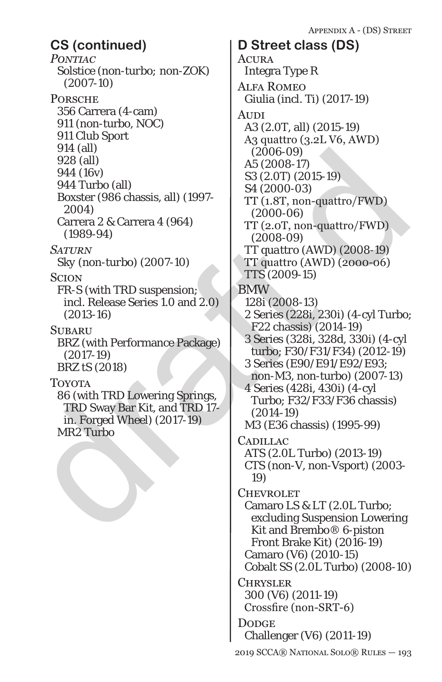*Pontiac Solstice (non-turbo; non-ZOK) (2007-10)* **PORSCHE** 356 Carrera (4-cam) 911 (non-turbo, NOC) 911 Club Sport 914 (all) 928 (all) 944 (16v) 944 Turbo (all) Boxster (986 chassis, all) (1997- 2004) Carrera 2 & Carrera 4 (964) (1989-94) *Saturn Sky (non-turbo) (2007-10)* **SCION** FR-S (with TRD suspension; incl. Release Series 1.0 and 2.0) (2013-16) **SUBARU** BRZ (with Performance Package) (2017-19) *BRZ tS (2018)* Toyota 86 (with TRD Lowering Springs, TRD Sway Bar Kit, and TRD 17 in. Forged Wheel) (2017-19) MR2 Turbo **CS (continued) D Street class (DS)**

914 (all)<br>
928 (all)<br>
944 (16v)<br>
84 (16v)<br>
84 (16v)<br>
84 (16v)<br>
84 (16v)<br>
84 (16v)<br>
85 (2.007) (2005-17)<br>
85 (2.007) (2005-19)<br>
2004-09<br>
2004-09<br>
2009-09<br>
2009-15)<br>
2008-09)<br>
2008-09<br>
2008-09<br>
2008-09<br>
2008-09<br>
2008-09<br>
20 **ACURA** Integra Type R Alfa Romeo Giulia (incl. Ti) (2017-19) Audi A3 (2.0T, all) (2015-19) A3 quattro (3.2L V6, AWD) (2006-09) A5 (2008-17) *S3 (2.0T) (2015-19)* S4 (2000-03) TT (1.8T, non-quattro/FWD) (2000-06) TT (2.0T, non-quattro/FWD) (2008-09) *TT quattro (AWD) (2008-19)* TT quattro (AWD) (2000-06) *TTS (2009-15)* BMW 128i (2008-13) 2 Series (228i, 230i) (4-cyl Turbo; F22 chassis) (2014-19) 3 Series (328i, 328d, 330i) (4-cyl turbo; F30/F31/F34) (2012-19) 3 Series (E90/E91/E92/E93; non-M3, non-turbo) (2007-13) 4 Series (428i, 430i) (4-cyl Turbo; F32/F33/F36 chassis) (2014-19) M3 (E36 chassis) (1995-99) **CADILLAC** ATS (2.0L Turbo) (2013-19) CTS (non-V, non-Vsport) (2003- 19) **CHEVROLET** Camaro LS & LT (2.0L Turbo; excluding Suspension Lowering Kit and Brembo® 6-piston Front Brake Kit) (2016-19) Camaro (V6) (2010-15) Cobalt SS (2.0L Turbo) (2008-10) **CHRYSLER** 300 (V6) (2011-19) Crossfire (non-SRT-6) **DODGE** Challenger (V6) (2011-19)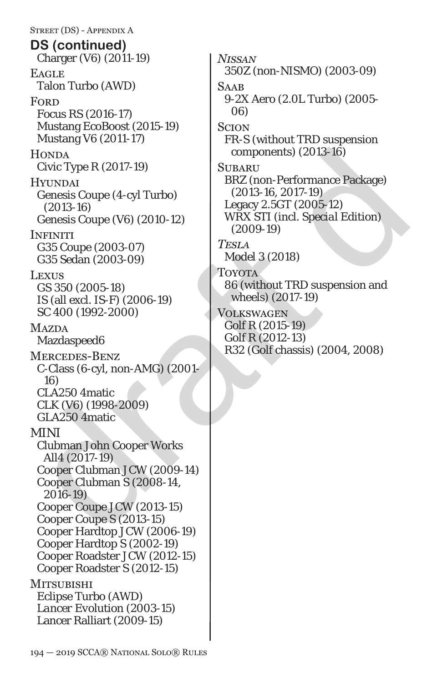$[40034] \begin{tabular}{l|c|c} HONTA & components) (2013-16) \\ \hline Cvic Type R (2017-19) & SLIBARZ (non-Performance Package) \\ \hline (2013-16) & (2013-16) & LBRZ (non-Performance Package) \\ \hline (2013-16) & (2013-16) & LBRZ (non-Performance Package) \\ \hline (2013-16) & (2010-12) & LBRZ (2019-12) \\ \hline (2013-16) & (20109-12) & (2009-19) & (2009-19) \\ \hline (2$ Street (DS) - Appendix A Charger (V6) (2011-19) **EAGLE** Talon Turbo (AWD) **FORD** *Focus RS (2016-17)* Mustang EcoBoost (2015-19) Mustang V6 (2011-17) **HONDA** Civic Type R (2017-19) Hyundai Genesis Coupe (4-cyl Turbo) (2013-16) Genesis Coupe (V6) (2010-12) **INFINITI** G35 Coupe (2003-07) G35 Sedan (2003-09) **LEXUS** GS 350 (2005-18) IS (all excl. IS-F) (2006-19) SC 400 (1992-2000) **MAZDA** Mazdaspeed6 Mercedes-Benz C-Class (6-cyl, non-AMG) (2001- 16) CLA250 4matic CLK (V6) (1998-2009) GLA250 4matic MINI Clubman John Cooper Works All4 (2017-19) Cooper Clubman JCW (2009-14) Cooper Clubman S (2008-14, 2016-19) Cooper Coupe JCW (2013-15) Cooper Coupe S (2013-15) Cooper Hardtop JCW (2006-19) Cooper Hardtop S (2002-19) Cooper Roadster JCW (2012-15) Cooper Roadster S (2012-15) **MITSUBISHI** Eclipse Turbo (AWD) *Lancer Evolution (2003-15)* Lancer Ralliart (2009-15) **DS (continued)**

*Nissan 350Z (non-NISMO) (2003-09)* **SAAB** 9-2X Aero (2.0L Turbo) (2005- 06) **SCION** FR-S (without TRD suspension components) (2013-16) **SUBARU** BRZ (non-Performance Package) (2013-16, 2017-19) Legacy 2.5GT (2005-12) *WRX STI (incl. Special Edition) (2009-19) Tesla Model 3 (2018)* **TOYOTA** 86 (without TRD suspension and wheels) (2017-19) Volkswagen *Golf R (2015-19)* Golf R (2012-13) R32 (Golf chassis) (2004, 2008)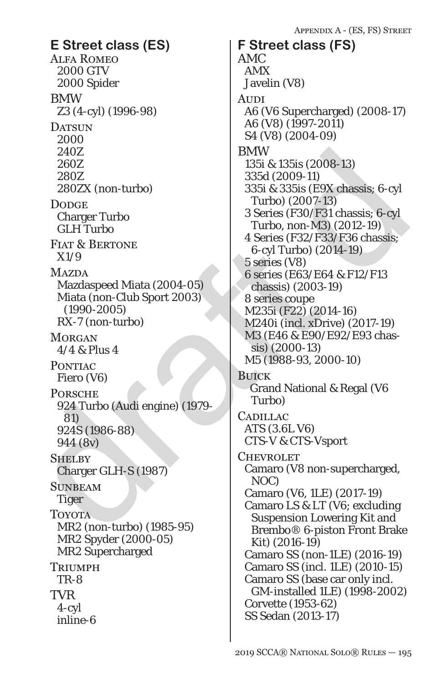Alfa Romeo 2000 GTV 2000 Spider BMW Z3 (4-cyl) (1996-98) DATSUN 2000 240Z 260Z 280Z 280ZX (non-turbo) **DODGE** Charger Turbo GLH Turbo FIAT & BERTONE X1/9 **MAZDA** Mazdaspeed Miata (2004-05) Miata (non-Club Sport 2003) (1990-2005) RX-7 (non-turbo) **MORGAN** 4/4 & Plus 4 PONTIAC Fiero (V6) **PORSCHE** 924 Turbo (Audi engine) (1979- 81) 924S (1986-88) 944 (8v) **SHELBY** Charger GLH-S (1987) **SUNBEAM** Tiger Toyota MR2 (non-turbo) (1985-95) MR2 Spyder (2000-05) MR2 Supercharged Triumph TR-8 TVR 4-cyl inline-6 **E Street class (ES) F Street class (FS)**

draft d AMC AMX Javelin (V8) **AUDI** A6 (V6 Supercharged) (2008-17) A6 (V8) (1997-2011) S4 (V8) (2004-09) BMW 135i & 135is (2008-13) 335d (2009-11) 335i & 335is (E9X chassis; 6-cyl Turbo) (2007-13) 3 Series (F30/F31 chassis; 6-cyl Turbo, non-M3) (2012-19) 4 Series (F32/F33/F36 chassis; 6-cyl Turbo) (2014-19) 5 series (V8) 6 series (E63/E64 & F12/F13 chassis) (2003-19) 8 series coupe M235i (F22) (2014-16) M240i (incl. xDrive) (2017-19) M3 (E46 & E90/E92/E93 chassis) (2000-13) M5 (1988-93, 2000-10) Buick Grand National & Regal (V6 Turbo) **CADILLAC** ATS (3.6L V6) CTS-V & CTS-Vsport **CHEVROLET** Camaro (V8 non-supercharged, NOC) Camaro (V6, 1LE) (2017-19) Camaro LS & LT (V6; excluding Suspension Lowering Kit and Brembo® 6-piston Front Brake Kit) (2016-19) Camaro SS (non-1LE) (2016-19) Camaro SS (incl. 1LE) (2010-15) Camaro SS (base car only incl. GM-installed 1LE) (1998-2002) Corvette (1953-62) SS Sedan (2013-17)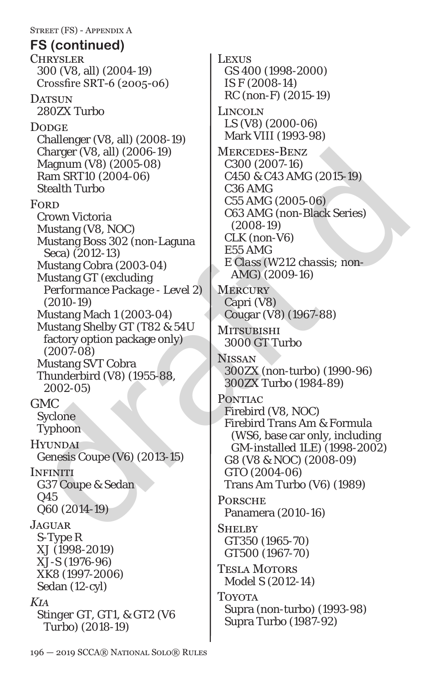Charger (V8, all) (2006-19)<br>
Magnum (V8) (2005-08)<br>
Ram SRT10 (2004-06)<br>
Fealth Turbo<br>
C300 (2007-16)<br>
Fealth Turbo<br>
C55 AMG (2005-06)<br>
C65 AMG (2005-06)<br>
C65 AMG (2005-06)<br>
C65 AMG (2005-06)<br>
C65 AMG (2005-06)<br>
C65 AMG ( Street (FS) - Appendix A **CHRYSLER** 300 (V8, all) (2004-19) Crossfire SRT-6 (2005-06) DATSUN 280ZX Turbo **DODGE** Challenger (V8, all) (2008-19) Charger (V8, all) (2006-19) Magnum (V8) (2005-08) Ram SRT10 (2004-06) Stealth Turbo **FORD** Crown Victoria Mustang (V8, NOC) Mustang Boss 302 (non-Laguna Seca) (2012-13) Mustang Cobra (2003-04) Mustang GT (*excluding Performance Package - Level 2*) (2010-19) Mustang Mach 1 (2003-04) Mustang Shelby GT (T82 & 54U factory option package only) (2007-08) Mustang SVT Cobra Thunderbird (V8) (1955-88, 2002-05) GMC Syclone Typhoon **HYUNDAI** Genesis Coupe (V6) (2013-15) **INFINITI** G37 Coupe & Sedan Q45 Q60 (2014-19) **JAGUAR** S-Type R XJ (1998-2019) XJ-S (1976-96) XK8 (1997-2006) Sedan (12-cyl) *Kia Stinger GT, GT1, & GT2 (V6 Turbo) (2018-19)* **FS (continued)**

**LEXUS** GS 400 (1998-2000) IS F (2008-14) RC (non-F) (2015-19) Lincoln LS (V8) (2000-06) Mark VIII (1993-98) Mercedes-Benz C300 (2007-16) *C450 & C43 AMG (2015-19)* C36 AMG C55 AMG (2005-06) C63 AMG (non-Black Series) (2008-19) CLK (non-V6) E55 AMG *E Class (W212 chassis; non-AMG) (2009-16)* **MERCURY** Capri (V8) Cougar (V8) (1967-88) Mitsubishi 3000 GT Turbo **NISSAN** 300ZX (non-turbo) (1990-96) 300ZX Turbo (1984-89) PONTIAC Firebird (V8, NOC) Firebird Trans Am & Formula (WS6, base car only, including GM-installed 1LE) (1998-2002) G8 (V8 & NOC) (2008-09) GTO (2004-06) Trans Am Turbo (V6) (1989) Porsche Panamera (2010-16) **SHELBY** GT350 (1965-70) GT500 (1967-70) Tesla Motors Model S (2012-14) Toyota Supra (non-turbo) (1993-98) Supra Turbo (1987-92)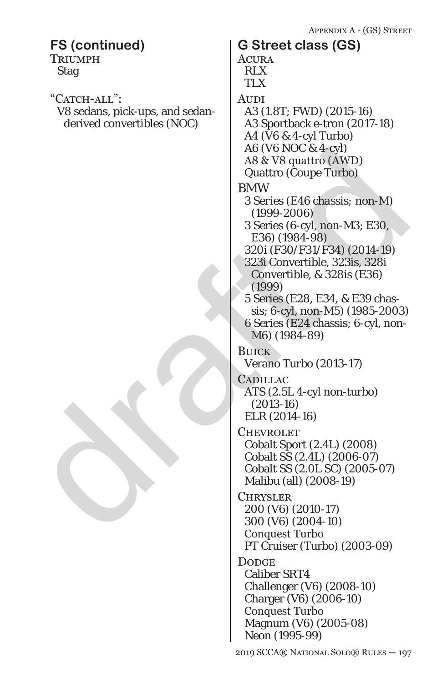|                                                                               | APPENDIX A - (GS) STREET                                                                                                                                                                                                                                                                                                                                 |
|-------------------------------------------------------------------------------|----------------------------------------------------------------------------------------------------------------------------------------------------------------------------------------------------------------------------------------------------------------------------------------------------------------------------------------------------------|
| <b>FS (continued)</b><br><b>TRIUMPH</b><br><b>Stag</b>                        | <b>G Street class (GS)</b><br><b>ACURA</b><br><b>RLX</b><br><b>TLX</b>                                                                                                                                                                                                                                                                                   |
| "CATCH-ALL":<br>V8 sedans, pick-ups, and sedan-<br>derived convertibles (NOC) | AUDI<br>A3 (1.8T; FWD) (2015-16)<br>A3 Sportback e-tron (2017-18)<br>A4 (V6 & 4-cyl Turbo)<br>A6 (V6 NOC & 4-cyl)<br>A8 & V8 quattro (AWD)<br><b>Quattro (Coupe Turbo)</b>                                                                                                                                                                               |
|                                                                               | <b>BMW</b><br>3 Series (E46 chassis; non-M)<br>$(1999 - 2006)$<br>3 Series (6-cyl, non-M3; E30,<br>E36) (1984-98)<br>320i (F30/F31/F34) (2014-19)<br>323i Convertible, 323is, 328i<br>Convertible, & 328 is (E36)<br>(1999)<br>5 Series (E28, E34, & E39 chas-<br>sis; 6-cyl, non-M5) (1985-2003)<br>6 Series (E24 chassis; 6-cyl, non-<br>M6) (1984-89) |
|                                                                               | <b>BUICK</b><br>Verano Turbo (2013-17)<br>CADILLAC<br>ATS (2.5L 4-cyl non-turbo)<br>$(2013-16)$<br>ELR (2014-16)                                                                                                                                                                                                                                         |
|                                                                               | CHEVROLET<br>Cobalt Sport (2.4L) (2008)<br>Cobalt SS (2.4L) (2006-07)<br>Cobalt SS (2.0L SC) (2005-07)<br>Malibu (all) (2008-19)<br><b>CHRYSLER</b>                                                                                                                                                                                                      |
|                                                                               | 200 (V6) (2010-17)<br>300 (V6) (2004-10)<br>Conquest Turbo<br>PT Cruiser (Turbo) (2003-09)                                                                                                                                                                                                                                                               |
|                                                                               | <b>DODGE</b><br><b>Caliber SRT4</b><br>Challenger (V6) (2008-10)<br>Charger (V6) (2006-10)<br>Conquest Turbo<br>Magnum (V6) (2005-08)<br>Neon (1995-99)                                                                                                                                                                                                  |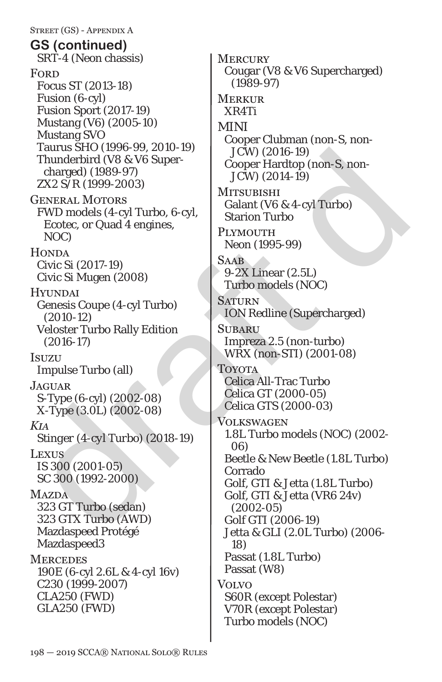Street (GS) - Appendix A SRT-4 (Neon chassis) **FORD** Focus ST (2013-18) Fusion (6-cyl) Fusion Sport (2017-19) Mustang (V6) (2005-10) Mustang SVO Taurus SHO (1996-99, 2010-19) Thunderbird (V8 & V6 Supercharged) (1989-97) ZX2 S/R (1999-2003) General Motors FWD models (4-cyl Turbo, 6-cyl, Ecotec, or Quad 4 engines, NOC) **HONDA** Civic Si (2017-19) Civic Si Mugen (2008) **HYUNDAI** Genesis Coupe (4-cyl Turbo) (2010-12) Veloster Turbo Rally Edition (2016-17) Isuzu Impulse Turbo (all) JAGUAR. S-Type (6-cyl) (2002-08) X-Type (3.0L) (2002-08) *Kia Stinger (4-cyl Turbo) (2018-19)* Lexus *IS 300 (2001-05)* SC 300 (1992-2000) **MAZDA** 323 GT Turbo (sedan) 323 GTX Turbo (AWD) Mazdaspeed Protégé Mazdaspeed3 **MERCEDES** 190E (6-cyl 2.6L & 4-cyl 16v) C230 (1999-2007) CLA250 (FWD) GLA250 (FWD) **GS (continued)**

Fairms SHO (1996-99)<br>
Thunderbird (V8 & V6 Super-<br>
Cooper Hardtop (non-S, non-<br>
charged) (1989-97)<br>
Cooper Hardtop (non-S, non-<br>
Exter, and the set of Purvious (2014-19)<br>
FWD models (4-cyl Turbo, 6-cyl<br>
For External Actio **MERCURY** Cougar (V8 & V6 Supercharged) (1989-97) **MERKUR** XR4Ti MINI Cooper Clubman (non-S, non-JCW) (2016-19) Cooper Hardtop (non-S, non-JCW) (2014-19) **MITSUBISHI** Galant (V6 & 4-cyl Turbo) Starion Turbo PLYMOUTH Neon (1995-99) **SAAB** 9-2X Linear (2.5L) Turbo models (NOC) **SATURN** ION Redline (Supercharged) **SUBARU** Impreza 2.5 (non-turbo) *WRX (non-STI) (2001-08)* Toyota Celica All-Trac Turbo Celica GT (2000-05) Celica GTS (2000-03) Volkswagen 1.8L Turbo models (NOC) (2002- 06) Beetle & New Beetle (1.8L Turbo) Corrado Golf, GTI & Jetta (1.8L Turbo) Golf, GTI & Jetta (VR6 24v) (2002-05) Golf GTI (2006-19) Jetta & GLI (2.0L Turbo) (2006- 18) Passat (1.8L Turbo) Passat (W8) Volvo S60R (except Polestar) V70R (except Polestar) Turbo models (NOC)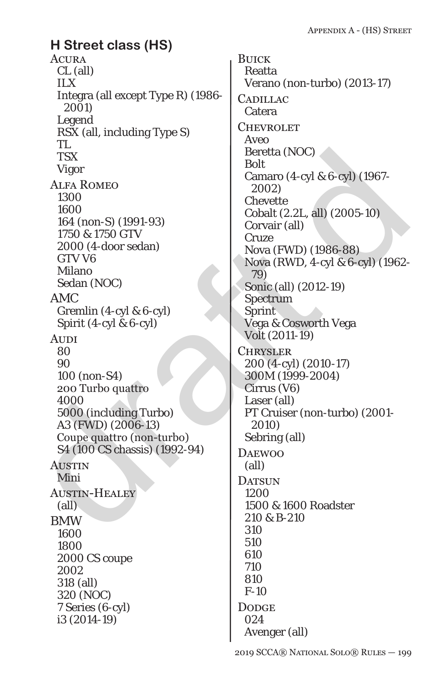### **ACURA** CL (all) ILX Integra (all except Type R) (1986- 2001) Legend RSX (all, including Type S) TL **TSX** Vigor Alfa Romeo 1300 1600 164 (non-S) (1991-93) 1750 & 1750 GTV 2000 (4-door sedan) GTV V6 Milano Sedan (NOC) AMC Gremlin (4-cyl & 6-cyl) Spirit (4-cyl & 6-cyl) **AUDI** 80 90 100 (non-S4) 200 Turbo quattro 4000 5000 (including Turbo) A3 (FWD) (2006-13) Coupe quattro (non-turbo) S4 (100 CS chassis) (1992-94) **AUSTIN** Mini Austin-Healey (all) BMW 1600 1800 2000 CS coupe 2002 318 (all) 320 (NOC) 7 Series (6-cyl) i3 (2014-19) **H Street class (HS)**

 $\begin{tabular}{l|c|c} \hline \textbf{1.53} & \textbf{Ber} (NOC) \\ \hline \textbf{1.54} & \textbf{1.55} \\ \hline \textbf{1.55} & \textbf{1.56} \\ \hline \textbf{1.56} & \textbf{1.57} \\ \hline \textbf{1.57} & \textbf{1.58} \\ \hline \textbf{1.58} & \textbf{1.59} \\ \hline \textbf{1.59} & \textbf{1.50} \\ \hline \textbf{1.50} & \textbf{1.50} \\ \hline \textbf{1.51} & \textbf{1.50}$ **BUICK** Reatta Verano (non-turbo) (2013-17) **CADILLAC** Catera **CHEVROLET** Aveo Beretta (NOC) Bolt Camaro (4-cyl & 6-cyl) (1967- 2002) Chevette Cobalt (2.2L, all) (2005-10) Corvair (all) Cruze Nova (FWD) (1986-88) Nova (RWD, 4-cyl & 6-cyl) (1962- 79) Sonic (all) (2012-19) Spectrum Sprint Vega & Cosworth Vega Volt (2011-19) **CHRYSLER** 200 (4-cyl) (2010-17) 300M (1999-2004) Cirrus (V6) Laser (all) PT Cruiser (non-turbo) (2001- 2010) Sebring (all) **DAEWOO** (all) DATSUN 1200 1500 & 1600 Roadster 210 & B-210 310 510 610 710 810  $F-10$ **DODGE** 024 Avenger (all)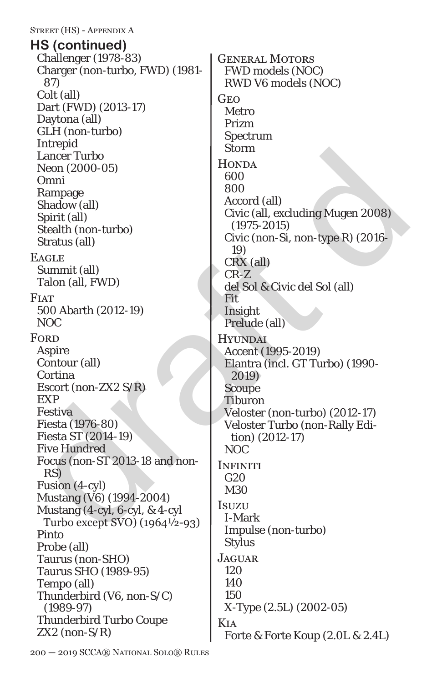#### Street (HS) - Appendix A

Challenger (1978-83) Charger (non-turbo, FWD) (1981- 87) Colt (all) Dart (FWD) (2013-17) Daytona (all) GLH (non-turbo) Intrepid Lancer Turbo Neon (2000-05) Omni Rampage Shadow (all) Spirit (all) Stealth (non-turbo) Stratus (all) **EAGLE** Summit (all) Talon (all, FWD) **FIAT** 500 Abarth (2012-19) NOC **FORD** Aspire Contour (all) Cortina Escort (non-ZX2 S/R) EXP Festiva Fiesta (1976-80) Fiesta ST (2014-19) Five Hundred Focus (non-ST 2013-18 and non-RS) Fusion (4-cyl) Mustang (V6) (1994-2004) Mustang (4-cyl, 6-cyl, & 4-cyl Turbo except SVO) (1964½-93) Pinto Probe (all) Taurus (non-SHO) Taurus SHO (1989-95) Tempo (all) Thunderbird (V6, non-S/C) (1989-97) Thunderbird Turbo Coupe  $ZX2$  (non- $S/R$ ) **HS (continued)**

Example<br>
Mean (2000-05)<br>
Mean (2000-05)<br>
Shadow (all)<br>
Shadow (all)<br>
Shadow (all)<br>
Shadow (all)<br>
Shadow (10)<br>
Shadow (10)<br>
Shadow (10)<br>
Shadow (10)<br>
Shadow (10)<br>
Continue<br>
Carrier (1095-2015)<br>
Exactic (10)<br>
Carrier (1095-General Motors FWD models (NOC) RWD V6 models (NOC) **GEO** Metro Prizm Spectrum Storm **HONDA** 600 800 Accord (all) Civic (all, excluding Mugen 2008) (1975-2015) Civic (non-Si, non-type R) (2016- 19) CRX (all) CR-Z del Sol & Civic del Sol (all) Fit Insight Prelude (all) Hyundai Accent (1995-2019) Elantra (incl. GT Turbo) (1990- 2019) Scoupe Tiburon Veloster (non-turbo) (2012-17) Veloster Turbo (non-Rally Edition) (2012-17) NOC **INFINITI** G20 M30 **Isuzu** I-Mark Impulse (non-turbo) Stylus **JAGUAR** 120 140 150 X-Type (2.5L) (2002-05) Kia Forte & Forte Koup (2.0L & 2.4L)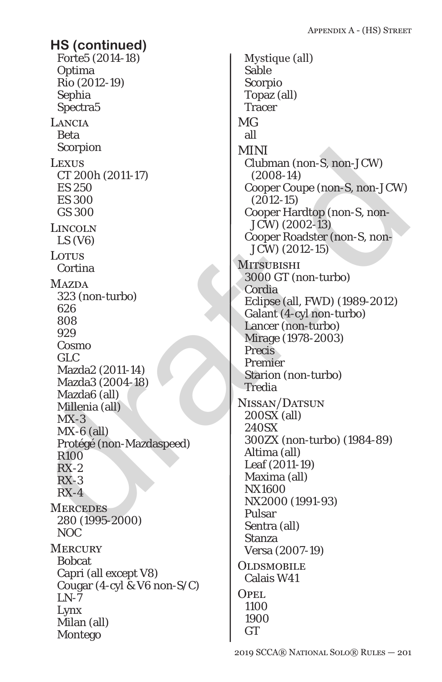Forte5 (2014-18) Optima Rio (2012-19) Sephia Spectra5 **LANCIA** Beta Scorpion **LEXUS** CT 200h (2011-17) ES 250 ES 300 GS 300 Lincoln LS (V6) LOTUS Cortina **MAZDA** 323 (non-turbo) 626 808 929 Cosmo GLC Mazda2 (2011-14) Mazda3 (2004-18) Mazda6 (all) Millenia (all)  $MX-3$  $MX-6$  (all) Protégé (non-Mazdaspeed) R100 RX-2 RX-3  $RX-4$ **MERCEDES** 280 (1995-2000) NOC **MERCURY** Bobcat Capri (all except V8) Cougar (4-cyl & V6 non-S/C)  $LN-7$ Lynx Milan (all) Montego **HS (continued)**

 $\begin{tabular}{llllllllll} \textsc{Leips} & \textsc{MINI} & \textsc{MINI} & \textsc{Iclbman} (non-S, non-JCW) & \textsc{C1} & \textsc{C1} & \textsc{C2} & \textsc{C2} & \textsc{C2} & \textsc{C2} & \textsc{C2} & \textsc{C2} & \textsc{C2} & \textsc{C2} & \textsc{C2} & \textsc{C2} & \textsc{C2} & \textsc{C2} & \textsc{C2} & \textsc{C2} & \textsc{C2} & \textsc{C2} & \textsc{C2} & \textsc{C2} & \textsc{$ Mystique (all) Sable Scorpio Topaz (all) **Tracer** MG all MINI Clubman (non-S, non-JCW) (2008-14) Cooper Coupe (non-S, non-JCW) (2012-15) Cooper Hardtop (non-S, non-JCW) (2002-13) Cooper Roadster (non-S, non-JCW) (2012-15) **MITSUBISHI** 3000 GT (non-turbo) Cordia Eclipse (all, FWD) (1989-2012) Galant (4-cyl non-turbo) Lancer (non-turbo) Mirage *(1978-2003)* **Precis** Premier Starion (non-turbo) **Tredia** Nissan/Datsun 200SX (all) 240SX 300ZX (non-turbo) (1984-89) Altima (all) Leaf (2011-19) Maxima (all) NX1600 NX2000 (1991-93) Pulsar Sentra (all) Stanza Versa (2007-19) **OLDSMOBILE** Calais W41 Opel 1100 1900 GT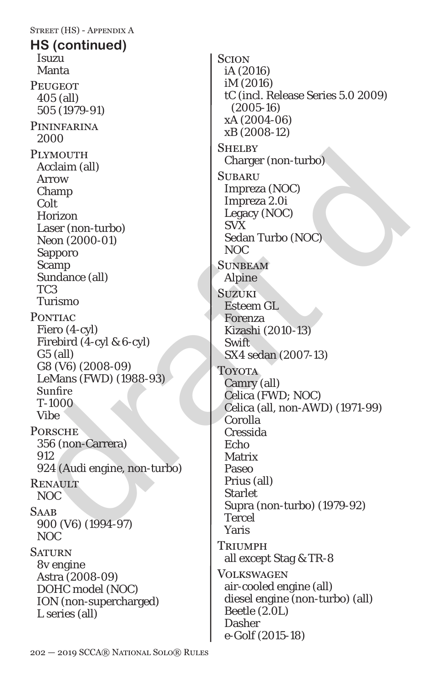Street (HS) - Appendix A Isuzu Manta **PEUGEOT** 405 (all) 505 (1979-91) **PININFARINA** 2000 PLYMOUTH Acclaim (all) Arrow Champ Colt Horizon Laser (non-turbo) Neon (2000-01) Sapporo Scamp Sundance (all) TC3 Turismo **PONTIAC** Fiero (4-cyl) Firebird (4-cyl & 6-cyl) G5 (all) G8 (V6) (2008-09) LeMans (FWD) (1988-93) Sunfire T-1000 Vibe **PORSCHE** 356 (non-Carrera) 912 924 (Audi engine, non-turbo) **RENAULT** NOC **SAAR** 900 (V6) (1994-97) NOC **SATURN** 8v engine Astra (2008-09) DOHC model (NOC) ION (non-supercharged) L series (all) **HS (continued)**

PLYMOUTH<br>
Acclaim (all)<br>
Acclaim (all)<br>
Charger (non-turbo)<br>
Charger (non-turbo)<br>
Colt<br>
Horizon<br>
Legacy (NOC)<br>
Legacy (NOC)<br>
Signoro<br>
Legacy (NOC)<br>
Signoro (2000-01)<br>
Signoro MCC)<br>
Signoro Mapline<br>
TC3<br>
Turismo<br>
Samp<br>
Sum **SCION** iA (2016) iM (2016) tC (incl. Release Series 5.0 2009) (2005-16) xA (2004-06) xB (2008-12) SHELBY Charger (non-turbo) **SUBARU** Impreza (NOC) Impreza 2.0i Legacy (NOC) SVX Sedan Turbo (NOC) NOC **SUNBEAM** Alpine **Suzuki** Esteem GL Forenza Kizashi (2010-13) **Swift** SX4 sedan (2007-13) **TOYOTA** Camry (all) Celica (FWD; NOC) Celica (all, non-AWD) (1971-99) Corolla Cressida Echo Matrix Paseo Prius (all) **Starlet** Supra (non-turbo) (1979-92) Tercel Yaris **TRIUMPH** all except Stag & TR-8 Volkswagen air-cooled engine (all) diesel engine (non-turbo) (all) Beetle (2.0L) Dasher *e-Golf (2015-18)*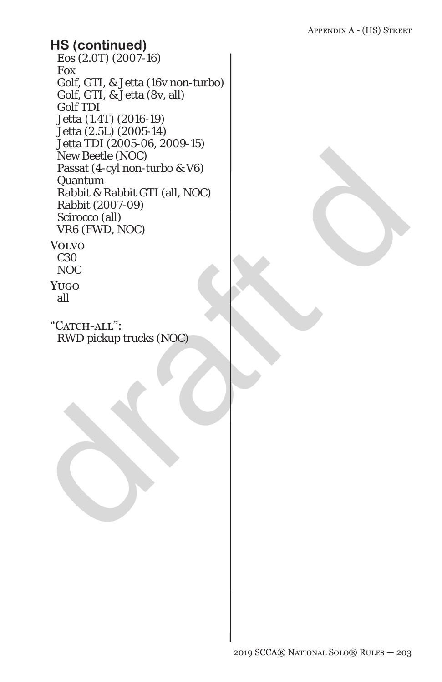# New Beetle (NOC)<br>
New Beetle (NOC)<br>
Pasat (4-cyl non-turbo & V6)<br>
Rabbit (2007-09)<br>
Rabbit (2007-09)<br>
Schocco (all)<br>
VRG (FWD, NOC)<br>
VOLVOC<br>
2010<br>
NOC<br>
NOC<br>
2010<br>
NOC<br>
2010<br>
NOC<br>
2010<br>
NOC<br>
2010<br>
2020<br>
NOC<br>
2020<br>
2020<br>
202 Eos (2.0T) (2007-16) Fox Golf, GTI, & Jetta (16v non-turbo) Golf, GTI, & Jetta (8v, all) Golf TDI *Jetta (1.4T) (2016-19)* Jetta (2.5L) (2005-14) Jetta TDI (2005-06, 2009-15) New Beetle (NOC) Passat (4-cyl non-turbo & V6) Quantum Rabbit & Rabbit GTI (all, NOC) Rabbit (2007-09) Scirocco (all) VR6 (FWD, NOC) Volvo C30 NOC Yugo all **HS (continued)**

"CATCH-ALL": RWD pickup trucks (NOC)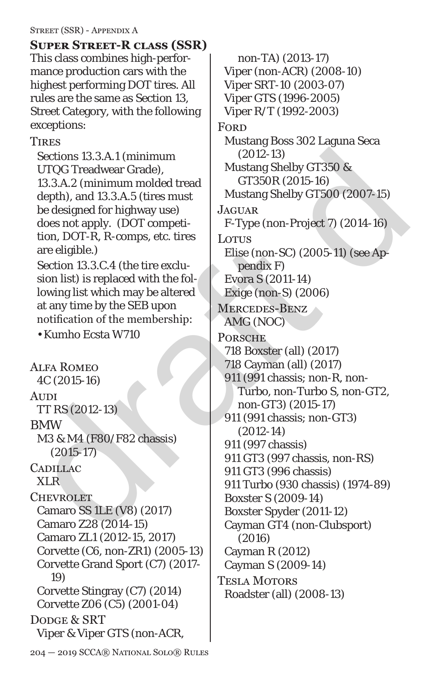### Street (SSR) - Appendix A

This class combines high-performance production cars with the highest performing DOT tires. All rules are the same as Section 13, Street Category, with the following exceptions: **Super Street-R class (SSR)**

**TIRES** 

Sections 13.3.A.1 (minimum UTQG Treadwear Grade), 13.3.A.2 (minimum molded tread depth), and 13.3.A.5 (tires must be designed for highway use) does not apply. (DOT competition, DOT-R, R-comps, etc. tires are eligible.)

Section 13.3.C.4 (the tire exclusion list) is replaced with the following list which may be altered at any time by the SEB upon notification of the membership:

• Kumho Ecsta W710

Alfa Romeo 4C (2015-16) **AUDI** TT RS (2012-13) BMW M3 & M4 (F80/F82 chassis) (2015-17) CADILLAC XLR **CHEVROLET** Camaro SS 1LE (V8) (2017) Camaro Z28 (2014-15) Camaro ZL1 (2012-15, 2017) Corvette (C6, non-ZR1) (2005-13) Corvette Grand Sport (C7) (2017- *19*) Corvette Stingray (C7) (2014) Corvette Z06 (C5) (2001-04) DODGE & SRT Viper & Viper GTS (non-ACR,

Sections 13.3.A.1 (minimum (2012-13)<br>
UTQG Treadwear Grade),<br>
13.3.A.2 (minimum molded tread  $\overline{C}$ 13618 (2015-16)<br>
depth), and 13.3.A.5 (tires must<br>
designed for highway use)<br>
decisions and the flucture of the minimum non-TA) (2013-17) Viper (non-ACR) (2008-10) Viper SRT-10 (2003-07) Viper GTS (1996-2005) Viper R/T (1992-2003) **FORD** Mustang Boss 302 Laguna Seca (2012-13) Mustang Shelby GT350 & GT350R (2015-16) Mustang Shelby GT500 (2007-*15*) **JAGUAR** F-Type (non-Project 7) (2014-16) LOTUS Elise (non-SC) (2005-11) (see Appendix F) Evora S (2011-14) Exige (non-S) (2006) Mercedes-Benz AMG (NOC) **PORSCHE** 718 Boxster (all) (2017) 718 Cayman (all) (2017) 911 (991 chassis; non-R, non-Turbo, non-Turbo S, non-GT2, non-GT3) (2015-17) 911 (991 chassis; non-GT3) (2012-14) 911 (997 chassis) 911 GT3 (997 chassis, non-RS) 911 GT3 (996 chassis) 911 Turbo (930 chassis) (1974-89) Boxster S (2009-14) Boxster Spyder (2011-12) Cayman GT4 (non-Clubsport) (2016) Cayman R (2012) Cayman S (2009-14) Tesla Motors Roadster (all) (2008-13)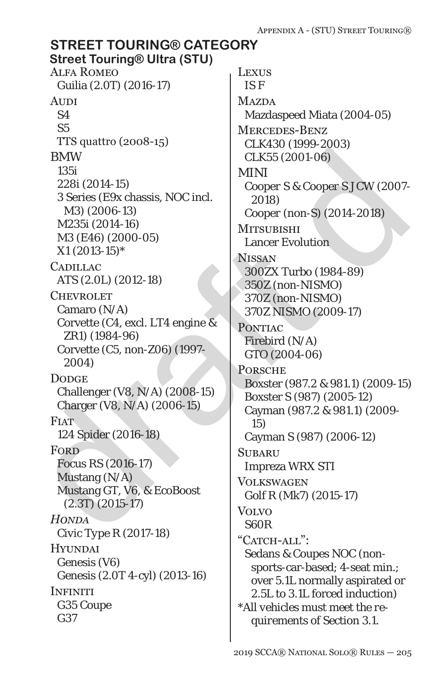#### BMW<br>
1351<br>
2281 (2014-15)<br>
2281 (2014-15)<br>
2281 (2014-15)<br>
137 (2006-13)<br>
137 (2006-13)<br>
137 (2014-16)<br>
137 (2014-16)<br>
138 (E46) (2000-05)<br>
142031 (2014-16)<br>
142031 (2014-16)<br>
142031 (2014-16)<br>
142031 (2014-16)<br>
142031 (2 Alfa Romeo Guilia (2.0T) (2016-17) **AUDI** S4 S5 TTS quattro (2008-15) BMW 135i 228i (2014-15) 3 Series (E9x chassis, NOC incl. M3) (2006-13) M235i (2014-16) M3 (E46) (2000-05) *X1 (2013-15)\** **CADILLAC** ATS (2.0L) (2012-18) **CHEVROLET** Camaro (N/A) Corvette (C4, excl. LT4 engine & ZR1) (1984-96) Corvette (C5, non-Z06) (1997- 2004) **DODGE** Challenger (V8, N/A) (2008-15) Charger (V8, N/A) (2006-15) **FIAT** 124 Spider (2016-18) **FORD** Focus RS (2016-17) Mustang (N/A) Mustang GT, V6, & EcoBoost (2.3T) (2015-17) *Honda Civic Type R (2017-18)* **HYUNDAI** Genesis (V6) Genesis (2.0T 4-cyl) (2013-16) **INFINITI** G35 Coupe G37 Lexus IS F **MAZDA** Mazdaspeed Miata (2004-05) Mercedes-Benz CLK430 (1999-2003) CLK55 (2001-06) *MINI Cooper S & Cooper S JCW (2007- 2018) Cooper (non-S) (2014-2018)* **MITSUBISHI** Lancer Evolution Nissan 300ZX Turbo (1984-89) 350Z (non-NISMO) 370Z (non-NISMO) *370Z NISMO (2009-17)* PONTIAC Firebird (N/A) GTO (2004-06) **PORSCHE** Boxster (987.2 & 981.1) (2009-15) Boxster S (987) (2005-12) Cayman (987.2 & 981.1) (2009- 15) Cayman S (987) (2006-12) **SUBARU** Impreza WRX STI **VOLKSWAGEN** Golf R (Mk7) (2015-17) Volvo S60R "CATCH-ALL": Sedans & Coupes NOC (nonsports-car-based; 4-seat min.; over 5.1L normally aspirated or *2.5L* to 3.1L forced induction) *\*All vehicles must meet the requirements of Section 3.1.* **STREET TOURING® CATEGORY Street Touring® Ultra (STU)**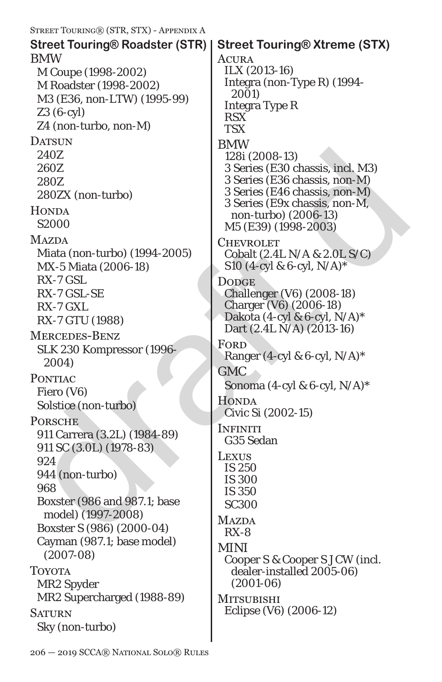| STREET TOURING® (STR, STX) - APPENDIX A                                                                                                                                                                                                                                                                                                                                                                |                                                                                                                                                                                                                                                                                                                                                                                                                                                                              |
|--------------------------------------------------------------------------------------------------------------------------------------------------------------------------------------------------------------------------------------------------------------------------------------------------------------------------------------------------------------------------------------------------------|------------------------------------------------------------------------------------------------------------------------------------------------------------------------------------------------------------------------------------------------------------------------------------------------------------------------------------------------------------------------------------------------------------------------------------------------------------------------------|
| <b>Street Touring® Roadster (STR)</b>                                                                                                                                                                                                                                                                                                                                                                  | <b>Street Touring® Xtreme (STX)</b>                                                                                                                                                                                                                                                                                                                                                                                                                                          |
| <b>BMW</b><br>M Coupe (1998-2002)<br>M Roadster (1998-2002)<br>M3 (E36, non-LTW) (1995-99)<br>$Z3(6-cyl)$<br>Z4 (non-turbo, non-M)                                                                                                                                                                                                                                                                     | ACURA<br>ILX (2013-16)<br>Integra (non-Type R) (1994-<br>2001)<br><b>Integra Type R</b><br><b>RSX</b><br><b>TSX</b>                                                                                                                                                                                                                                                                                                                                                          |
| <b>DATSUN</b><br>240Z<br>260Z<br>280Z<br>280ZX (non-turbo)<br><b>HONDA</b><br>S2000                                                                                                                                                                                                                                                                                                                    | <b>BMW</b><br>128i (2008-13)<br>3 Series (E30 chassis, incl. M3)<br>3 Series (E36 chassis, non-M)<br>3 Series (E46 chassis, non-M)<br>3 Series (E9x chassis, non-M,<br>non-turbo) (2006-13)<br>M5 (E39) (1998-2003)                                                                                                                                                                                                                                                          |
| <b>MAZDA</b><br>Miata (non-turbo) (1994-2005)<br>MX-5 Miata (2006-18)<br>$RX-7$ GSL.<br>RX-7 GSL-SE<br>RX-7 GXL<br>RX-7 GTU (1988)<br><b>MERCEDES-BENZ</b><br>SLK 230 Kompressor (1996-<br>2004)<br><b>PONTIAC</b><br>Fiero (V6)<br>Solstice (non-turbo)<br><b>PORSCHE</b><br>911 Carrera (3.2L) (1984-89)<br>911 SC (3.0L) (1978-83)<br>924<br>944 (non-turbo)<br>968<br>Boxster (986 and 987.1; base | <b>CHEVROLET</b><br>Cobalt (2.4L N/A & 2.0L S/C)<br>S10 (4-cyl & 6-cyl, $N/A$ )*<br><b>DODGE</b><br>Challenger (V6) (2008-18)<br>Charger (V6) (2006-18)<br>Dakota (4-cyl & 6-cyl, $N/A$ )*<br>Dart (2.4L N/A) (2013-16)<br>FORD<br>Ranger (4-cyl & 6-cyl, $N/A$ )*<br><b>GMC</b><br>Sonoma (4-cyl & 6-cyl, $N/A$ )*<br><b>HONDA</b><br>Civic Si (2002-15)<br><b>INFINITI</b><br>G35 Sedan<br><b>LEXUS</b><br><b>IS 250</b><br><b>IS 300</b><br><b>IS 350</b><br><b>SC300</b> |
| model) (1997-2008)<br>Boxster S (986) (2000-04)<br>Cayman (987.1; base model)<br>$(2007-08)$<br><b>TOYOTA</b><br>MR2 Spyder<br>MR2 Supercharged (1988-89)<br><b>SATURN</b><br>Sky (non-turbo)                                                                                                                                                                                                          | <b>MAZDA</b><br>$RX-8$<br><b>MINI</b><br>Cooper S & Cooper S JCW (incl.<br>dealer-installed 2005-06)<br>$(2001 - 06)$<br><b>MITSUBISHI</b><br>Eclipse (V6) (2006-12)                                                                                                                                                                                                                                                                                                         |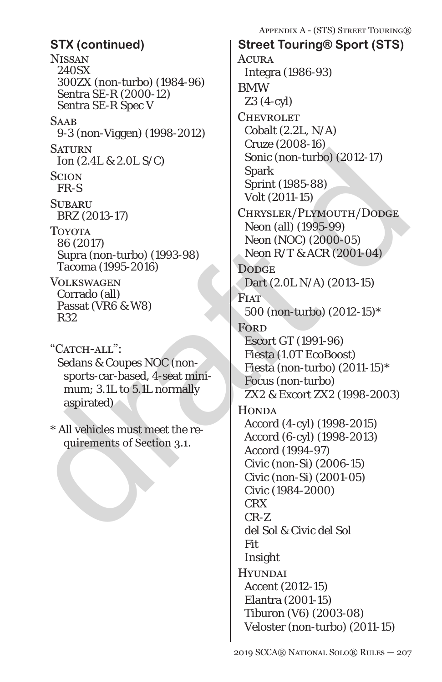**NISSAN** 240SX 300ZX (non-turbo) (1984-96) Sentra SE-R (2000-12) Sentra SE-R Spec V **SAAB** 9-3 (non-Viggen) (1998-2012) **SATURN** Ion (2.4L & 2.0L S/C) **SCION** FR-S **SUBARU** BRZ (2013-17) Toyota 86 (2017) Supra (non-turbo) (1993-98) Tacoma (1995-2016) Volkswagen Corrado (all) Passat (VR6 & W8) R32 "CATCH-ALL": Sedans & Coupes NOC (non-

sports-car-based, 4-seat minimum; 3.1L to 5.1L normally aspirated)

\* All vehicles must meet the requirements of Section 3.1.

SATURN TRAS<br>
MOREAL & 2.0L S/C)<br>
Some (non-turbo) (2012-17)<br>
SCION<br>
SERIERS<br>
TRAS<br>
SURARU<br>
TROYENT (1985-88)<br>
TRAS<br>
TRAS<br>
SURARU<br>
TROYENT (1985-88)<br>
TROYENT (1995-9016)<br>
TROYENT (2017)<br>
Neon (and (1995-905)<br>
Neon (NOC) (2 **ACURA** Integra (1986-93) BMW Z3 (4-cyl) **CHEVROLET** Cobalt (2.2L, N/A) Cruze (2008-16) Sonic (non-turbo) (2012-17) Spark Sprint (1985-88) Volt (2011-15) Chrysler/Plymouth/Dodge Neon (all) (1995-99) Neon (NOC) (2000-05) Neon R/T & ACR (2001-04) **DODGE** Dart (2.0L N/A) (2013-15) **FIAT** 500 (non-turbo) (2012-15)\* **FORD** Escort GT (1991-96) Fiesta (1.0T EcoBoost) Fiesta (non-turbo) (2011-15)\* Focus (non-turbo) ZX2 & Excort ZX2 (1998-2003) **HONDA** Accord (4-cyl) (1998-2015) Accord (6-cyl) (1998-2013) Accord (1994-97) Civic (non-Si) (2006-15) Civic (non-Si) (2001-05) Civic (1984-2000) CRX CR-Z del Sol & Civic del Sol Fit Insight **HYUNDAI** Accent (2012-15) Elantra (2001-15) Tiburon (V6) (2003-08) Veloster (non-turbo) (2011-15) **STX (continued) Street Touring® Sport (STS)**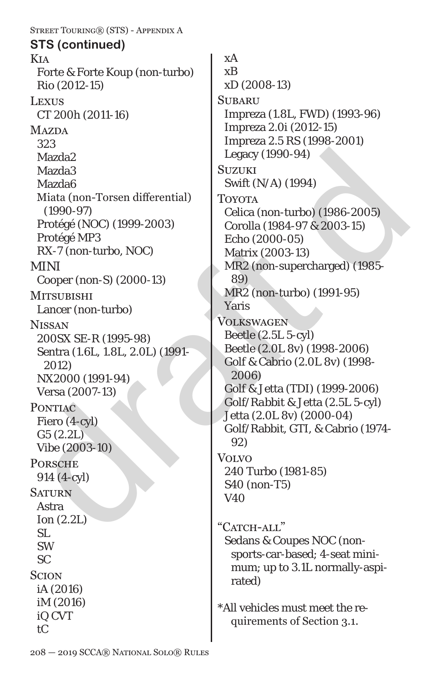Kia Forte & Forte Koup (non-turbo) Rio (2012-15) **LEXUS** CT 200h (2011-16) **MAZDA** 323 Mazda2 Mazda3 Mazda6 Miata (non-Torsen differential) (1990-97) Protégé (NOC) (1999-2003) Protégé MP3 RX-7 (non-turbo, NOC) MINI Cooper (non-S) (2000-13) **MITSUBISHI** Lancer (non-turbo) **NISSAN** 200SX SE-R (1995-98) Sentra (1.6L, 1.8L, 2.0L) (1991- 2012) NX2000 (1991-94) Versa (2007-13) PONTIAC Fiero (4-cyl) G5 (2.2L) Vibe (2003-10) **PORSCHE** 914 (4-cyl) **SATURN** Astra Ion (2.2L) SL SW SC **SCION** iA (2016) iM (2016) iQ CVT tC **STS (continued)**

Street Touring® (STS) - Appendix A

Mazda2<br>
Mazda3<br>
Mazda3<br>
Mazda6<br>
Mazda6<br>
Mazda6<br>
(1990-97)<br>
(1990-97)<br>
(1990-97)<br>
Celica (non-turbo) (1994)<br>
Torora<br>
(1996-2005)<br>
Protégé MP3<br>
Cerola (NOC) (1999-2003)<br>
Protégé MP3<br>
Cerola (1984-97 & 2003-15)<br>
Protégé MP3<br> xA xB xD (2008-13) **SUBARU** Impreza (1.8L, FWD) (1993-96) Impreza 2.0i (2012-15) Impreza 2.5 RS (1998-2001) Legacy (1990-94) **SUZUKI** Swift (N/A) (1994) **TOYOTA** Celica (non-turbo) (1986-2005) Corolla (1984-97 & 2003-15) Echo (2000-05) Matrix (2003-13) MR2 (non-supercharged) (1985- 89) MR2 (non-turbo) (1991-95) Yaris Volkswagen Beetle (2.5L 5-cyl) Beetle (2.0L 8v) (1998-2006) Golf & Cabrio (2.0L 8v) (1998- 2006) Golf & Jetta (TDI) (1999-2006) *Golf/Rabbit &* Jetta (2.5L 5-cyl) Jetta (2.0L 8v) (2000-04) Golf/Rabbit, GTI, & Cabrio (1974- 92) Volvo 240 Turbo (1981-85) S40 (non-T5) V40 "CATCH-ALL" Sedans & Coupes NOC (nonsports-car-based; 4-seat minimum; up to 3.1L normally-aspirated)

\*All vehicles must meet the requirements of Section 3.1.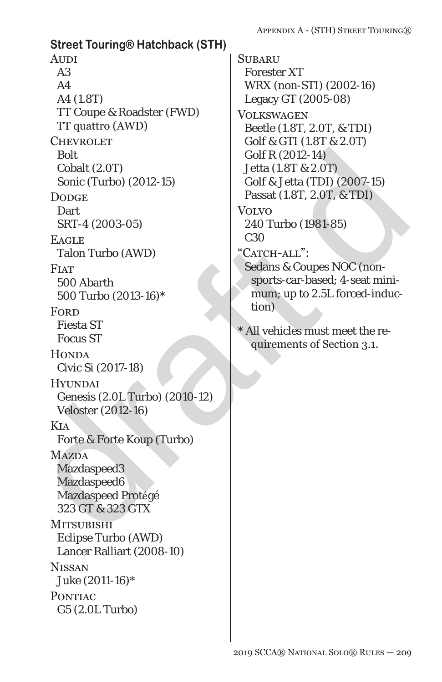draft d **Street Touring® Hatchback (STH) AUDI** A3  $A<sub>4</sub>$ A4 (1.8T) TT Coupe & Roadster (FWD) TT quattro (AWD) **CHEVROLET** *Bolt* Cobalt (2.0T) Sonic (Turbo) (2012-15) **DODGE Dart** SRT-4 (2003-05) **EAGLE** Talon Turbo (AWD) **FIAT** 500 Abarth 500 Turbo (2013-16)\* **FORD** Fiesta ST Focus ST **HONDA** Civic Si (2017-18) **HYUNDAI** Genesis (2.0L Turbo) (2010-12) Veloster (2012-16) Kia Forte & Forte Koup (Turbo) **MAZDA** Mazdaspeed3 Mazdaspeed6 Mazdaspeed Protégé 323 GT & 323 GTX **MITSUBISHI** Eclipse Turbo (AWD) Lancer Ralliart (2008-10) **NISSAN** Juke (2011-16)\* **PONTIAC** G5 (2.0L Turbo)

**SUBARU** Forester XT WRX (non-STI) (2002-16) Legacy GT (2005-08) **VOLKSWAGEN** Beetle (1.8T, 2.0T, & TDI) Golf & GTI (1.8T & 2.0T) Golf R (2012-14) Jetta (1.8T & 2.0T) Golf & Jetta (TDI) (2007-15) Passat (1.8T, 2.0T, & TDI) Volvo 240 Turbo (1981-85) C30 "CATCH-ALL": Sedans & Coupes NOC (nonsports-car-based; 4-seat minimum; up to 2.5L forced-induction) \* All vehicles must meet the requirements of Section 3.1.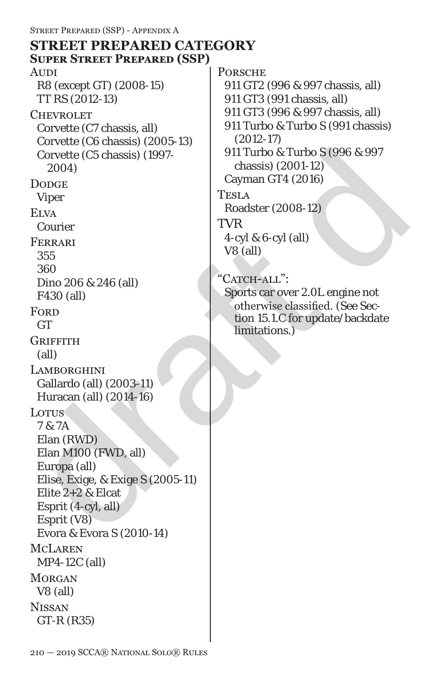# **STREET PREPARED CATEGORY**

 $\begin{tabular}{ll} \multicolumn{1}{l}{\textbf{Covette (C5 chassis) (1997-}} & 911 \text{ Turbo & Turbo & 996 & 997\\ 2004) & \multicolumn{1}{l}{\textbf{Cayman GT4 (2001-12)}}\\ \multicolumn{1}{l}{\textbf{Viper}} & \multicolumn{1}{l}{\textbf{Cayman GT4 (2014)}}\\ \multicolumn{1}{l}{\textbf{Viper}} & \multicolumn{1}{l}{\textbf{TESLA}}\\ \multicolumn{1}{l}{\textbf{Cayman GT4 (2016)}} & \multicolumn{1}{l}{\text$ **AUDI** R8 (except GT) (2008-15) TT RS (2012-13) **CHEVROLET** Corvette (C7 chassis, all) Corvette (C6 chassis) (2005-13) Corvette (C5 chassis) (1997- 2004) **DODGE** Viper **ELVA** Courier Ferrari 355 360 Dino 206 & 246 (all) F430 (all) **FORD GT GRIFFITH** (all) **LAMBORGHINI** Gallardo (all) (2003-11) Huracan (all) (2014-16) Lotus 7 & 7A Elan (RWD) Elan M100 (FWD, all) Europa (all) Elise, Exige, & Exige S (2005-11) Elite 2+2 & Elcat Esprit (4-cyl, all) Esprit (V8) Evora & Evora S (2010-14) McLaren MP4-12C (all) **MORGAN** V8 (all) **NISSAN** GT-R (R35) **Super Street Prepared (SSP)**

**PORSCHE** 

911 GT2 (996 & 997 chassis, all)

911 GT3 (991 chassis, all)

911 GT3 (996 & 997 chassis, all)

911 Turbo & Turbo S (991 chassis) (2012-17)

911 Turbo & Turbo S (996 & 997 chassis) (2001-12) Cayman GT4 (2016)

Tesla

Roadster (2008-12)

TVR

4-cyl & 6-cyl (all) V8 (all)

"CATCH-ALL":

Sports car over 2.0L engine not otherwise classified. (See Section 15.1.C for update/backdate limitations.)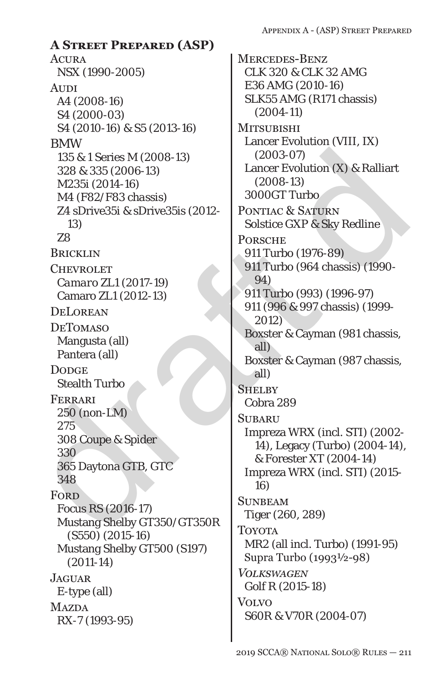278<br>
28 a 35 & 1 Series M (2008-13)<br>
135 & 1 Series M (2008-13)<br>
M4 (F82/F83 chassis)<br>
28 a Drive35i & sDrive35is (2012-<br>
13)<br>
28 BRICKLIN<br>
13000GT Turbo<br>
28 BRICKLIN<br>
28 DONGER<br>
28 DONGER<br>
28 DONGER<br>
28 DONGER<br>
2011 Turb **ACURA** NSX (1990-2005) **AUDI** A4 (2008-16) S4 (2000-03) S4 (2010-16) & S5 (2013-16) BMW 135 & 1 Series M (2008-13) 328 & 335 (2006-13) M235i (2014-16) *M4 (F82/F83 chassis)* Z4 sDrive35i & sDrive35is (2012- 13) Z8 **BRICKLIN CHEVROLET** *Camaro ZL1 (2017-19)* Camaro ZL1 (2012-13) **DELOREAN** DeTomaso Mangusta (all) Pantera (all) **DODGE** Stealth Turbo Ferrari 250 (non-LM) 275 308 Coupe & Spider 330 365 Daytona GTB, GTC 348 **FORD** *Focus RS (2016-17)* Mustang Shelby GT350/GT350R (S550) (2015-16) Mustang Shelby GT500 (S197) (2011-14) **JAGUAR** E-type (all) **MAZDA** RX-7 (1993-95) **A Street Prepared (ASP)**

Mercedes-Benz CLK 320 & CLK 32 AMG E36 AMG (2010-16) SLK55 AMG (R171 chassis) (2004-11) **MITSUBISHI** Lancer Evolution (VIII, IX) (2003-07) Lancer Evolution (X) & Ralliart (2008-13) 3000GT Turbo PONTIAC & SATURN Solstice GXP & Sky Redline **PORSCHE** 911 Turbo (1976-89) 911 Turbo (964 chassis) (1990- 94) 911 Turbo (993) (1996-97) 911 (996 & 997 chassis) (1999- 2012) Boxster & Cayman (981 chassis, all) Boxster & Cayman (987 chassis, all) **SHELBY** Cobra 289 **SUBARU** Impreza WRX (incl. STI) (2002- 14), Legacy (Turbo) (2004-14), & Forester XT (2004-14) Impreza WRX (incl. STI) (2015- 16) **SUNBEAM** Tiger (260, 289) **TOYOTA** MR2 (all incl. Turbo) (1991-95) Supra Turbo (1993½-98) *Volkswagen Golf R (2015-18)* Volvo S60R & V70R (2004-07)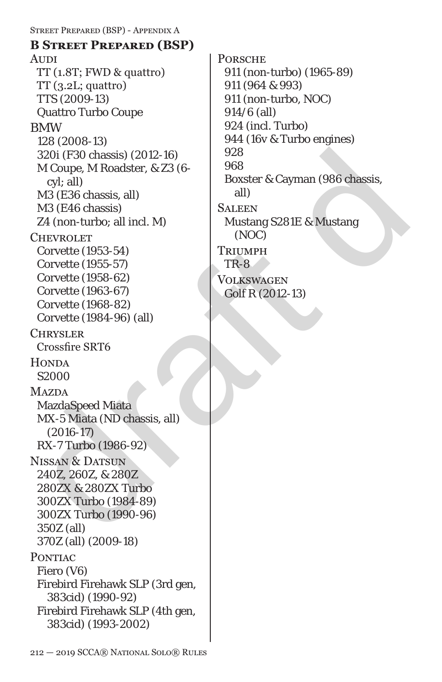draft d Street Prepared (BSP) - Appendix A **AUDI** TT (1.8T; FWD & quattro)  $TT(3.2L; quattro)$ TTS (2009-13) Quattro Turbo Coupe BMW 128 (2008-13) 320i (F30 chassis) (2012-16) M Coupe, M Roadster, & Z3 (6 cyl; all) M3 (E36 chassis, all) M3 (E46 chassis) Z4 (non-turbo; all incl. M) **CHEVROLET** Corvette (1953-54) Corvette (1955-57) Corvette (1958-62) Corvette (1963-67) Corvette (1968-82) Corvette (1984-96) (all) **CHRYSLER** Crossfire SRT6 **HONDA** S2000 **MAZDA** MazdaSpeed Miata MX-5 Miata (ND chassis, all) (2016-17) RX-7 Turbo (1986-92) NISSAN & DATSUN 240Z, 260Z, & 280Z 280ZX & 280ZX Turbo 300ZX Turbo (1984-89) 300ZX Turbo (1990-96) 350Z (all) 370Z (all) (2009-18) PONTIAC Fiero (V6) Firebird Firehawk SLP (3rd gen, 383cid) (1990-92) Firebird Firehawk SLP (4th gen, 383cid) (1993-2002) **B Street Prepared (BSP)**

**PORSCHE** 911 (non-turbo) (1965-89) 911 (964 & 993) 911 (non-turbo, NOC) 914/6 (all) 924 (incl. Turbo) 944 (16v & Turbo engines) 928 968 Boxster & Cayman (986 chassis, all) **SALEEN** Mustang S281E & Mustang (NOC) **TRIUMPH** TR-8 Volkswagen Golf R (2012-13)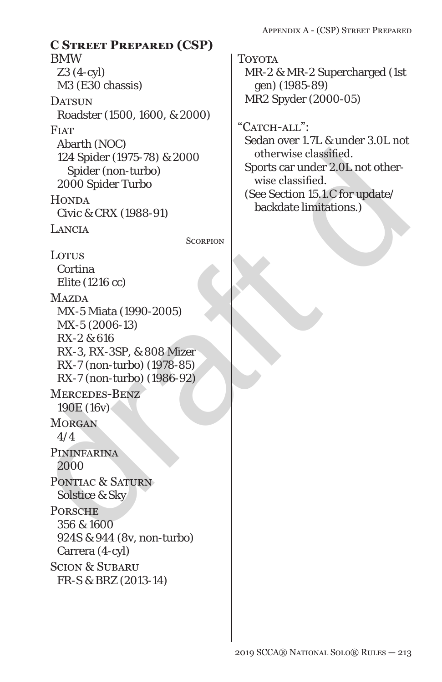$[124 \text{ Splder (1975-78) & 2000  
\nSpherical, 24 \text{ Spider (1975-78) & 2000  
\nSpherical, 2000  
\nSthevwise classified. 2000  
\nSthevwise classified. 2000  
\nNot 2000  
\nMaxDAA  
\nEir (1216 cc)  
\nMaxDAA  
\nMX-5 Mata (1990-2005)  
\nMX-5 (2006-13)  
\nRX-200  
\nMX-5 (2006-13)  
\nRX-2 & 616  
\nRX-7 (non-turbo) (19$ BMW Z3 (4-cyl) M3 (E30 chassis) DATSUN Roadster (1500, 1600, & 2000) **FIAT** Abarth (NOC) 124 Spider (1975-78) & 2000 Spider (non-turbo) 2000 Spider Turbo **HONDA** Civic & CRX (1988-91) Lancia **SCORPION** Lotus Cortina Elite (1216 cc) **MAZDA** MX-5 Miata (1990-2005) MX-5 (2006-13) RX-2 & 616 RX-3, RX-3SP, & 808 Mizer RX-7 (non-turbo) (1978-85) **C Street Prepared (CSP)**

RX-7 (non-turbo) (1986-92) Mercedes-Benz 190E (16v) **MORGAN** 4/4 PININFARINA 2000 PONTIAC & SATURN Solstice & Sky **PORSCHE** 356 & 1600 924S & 944 (8v, non-turbo) Carrera (4-cyl) Scion & Subaru

FR-S & BRZ (2013-14)

Toyota MR-2 & MR-2 Supercharged (1st gen) (1985-89) MR2 Spyder (2000-05)

"CATCH-ALL":

Sedan over 1.7L & under 3.0L not otherwise classified. Sports car under 2.0L not otherwise classified. (See Section 15.1.C for update/ backdate limitations.)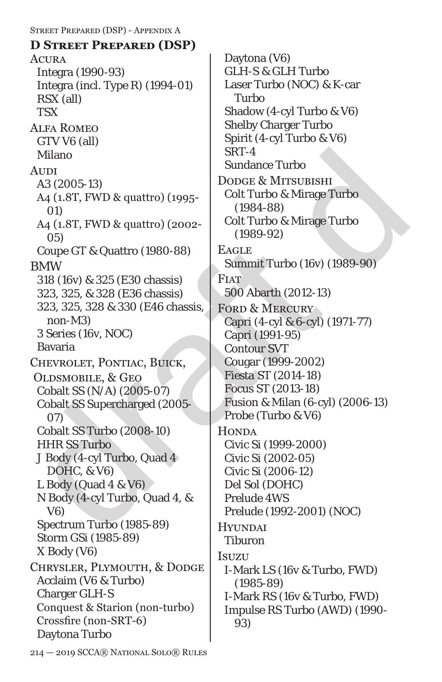Milano  $\Omega$ <br>
Advisor As (2005-13)<br>
Ad (1.8T, FWD & quattro) (1995-<br>
Colt Turbo & Mirage Turbo<br>
(1980-88)<br>
Colt Turbo & Mirage Turbo<br>
(1980-92)<br>
Colt Turbo & Mirage Turbo<br>
(1989-92)<br>
Colt Turbo & Mirage Turbo<br>
(1989-92)<br>
C Street Prepared (DSP) - Appendix A **ACURA** Integra (1990-93) Integra (incl. Type R) (1994-01) RSX (all) **TSX** Alfa Romeo GTV V6 (all) Milano **AUDI** A3 (2005-13) A4 (1.8T, FWD & quattro) (1995- 01) A4 (1.8T, FWD & quattro) (2002- 05) Coupe GT & Quattro (1980-88) BMW 318 (16v) & 325 (E30 chassis) 323, 325, & 328 (E36 chassis) 323, 325, 328 & 330 (E46 chassis, non-M3) 3 Series (16v, NOC) Bavaria Chevrolet, Pontiac, Buick, Oldsmobile, & Geo Cobalt SS (N/A) (2005-07) Cobalt SS Supercharged (2005- 07) Cobalt SS Turbo (2008-10) HHR SS Turbo J Body (4-cyl Turbo, Quad 4 DOHC, & V6) L Body (Quad 4 & V6) N Body (4-cyl Turbo, Quad 4, & V6) Spectrum Turbo (1985-89) Storm GSi (1985-89) X Body (V6) Chrysler, Plymouth, & Dodge Acclaim (V6 & Turbo) Charger GLH-S Conquest & Starion (non-turbo) Crossfire (non-SRT-6) Daytona Turbo **D Street Prepared (DSP)**

Daytona (V6) GLH-S & GLH Turbo Laser Turbo (NOC) & K-car Turbo Shadow (4-cyl Turbo & V6) Shelby Charger Turbo Spirit (4-cyl Turbo & V6) SRT-4 Sundance Turbo Dodge & Mitsubishi Colt Turbo & Mirage Turbo (1984-88) Colt Turbo & Mirage Turbo (1989-92) **EAGLE** Summit Turbo (16v) (1989-90) **FIAT** 500 Abarth (2012-13) FORD & MERCURY Capri (4-cyl & 6-cyl) (1971-77) Capri (1991-95) Contour SVT Cougar (1999-2002) *Fiesta ST (2014-18)* Focus ST (2013-*18*) Fusion & Milan (6-cyl) (2006-13) Probe (Turbo & V6) **HONDA** Civic Si (1999-2000) Civic Si (2002-05) Civic Si (2006-12) Del Sol (DOHC) Prelude 4WS Prelude (1992-2001) (NOC) **HYUNDAI** Tiburon Isuzu I-Mark LS (16v & Turbo, FWD) (1985-89) I-Mark RS (16v & Turbo, FWD) Impulse RS Turbo (AWD) (1990- 93)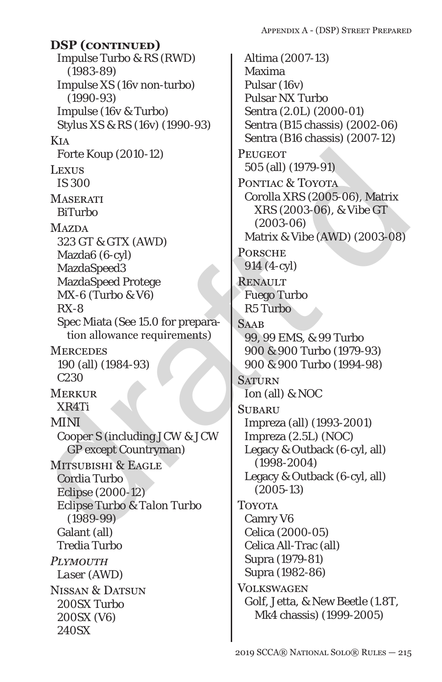Impulse Turbo & RS (RWD) (1983-89) Impulse XS (16v non-turbo) (1990-93) Impulse (16v & Turbo) Stylus XS & RS (16v) (1990-93) Kia Forte Koup (2010-12) Lexus IS 300 **MASERATI** BiTurbo **MAZDA** 323 GT & GTX (AWD) Mazda6 (6-cyl) MazdaSpeed3 MazdaSpeed Protege MX-6 (Turbo & V6) RX-8 Spec Miata (See 15.0 for preparation allowance requirements) **MERCEDES** 190 (all) (1984-93) C230 **MERKUR** XR4Ti MINI Cooper S (including JCW & JCW GP except Countryman) Mitsubishi & Eagle Cordia Turbo Eclipse (2000-12) *Eclipse Turbo & Talon Turbo (1989-99)* Galant (all) Tredia Turbo *Plymouth Laser (AWD)* NISSAN & DATSUN 200SX Turbo 200SX (V6) 240SX **DSP (continued)**

draft d Altima (2007-13) Maxima Pulsar (16v) Pulsar NX Turbo Sentra (2.0L) (2000-01) Sentra (B15 chassis) (2002-06) Sentra (B16 chassis) (2007-12) **PEUGEOT** 505 (all) (1979-91) PONTIAC & TOYOTA Corolla XRS (2005-06), Matrix XRS (2003-06), & Vibe GT (2003-06) Matrix & Vibe (AWD) (2003-08) **PORSCHE** 914 (4-cyl) Renault Fuego Turbo R5 Turbo **SAAB** 99, 99 EMS, & 99 Turbo 900 & 900 Turbo (1979-93) 900 & 900 Turbo (1994-98) **SATURN** Ion (all) & NOC **SUBARU** Impreza (all) (1993-2001) Impreza (2.5L) (NOC) Legacy & Outback (6-cyl, all) (1998-2004) Legacy & Outback (6-cyl, all) (2005-13) **TOYOTA** Camry V6 Celica (2000-05) Celica All-Trac (all) Supra (1979-81) Supra (1982-86) **VOLKSWAGEN** Golf, Jetta, & New Beetle (1.8T, Mk4 chassis) (1999-2005)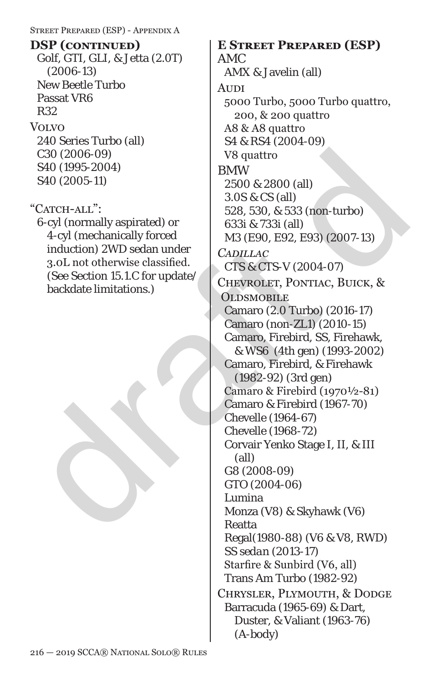### Street Prepared (ESP) - Appendix A

Golf, GTI, GLI, & Jetta (2.0T) (2006-13) New Beetle Turbo Passat VR6 R32 Volvo 240 Series Turbo (all) C30 (2006-09) S40 (1995-2004) S40 (2005-11) **DSP (continued) E Street Prepared (ESP)**

## "CATCH-ALL":

6-cyl (normally aspirated) or 4-cyl (mechanically forced induction) 2WD sedan under 3.0L not otherwise classified. (See Section 15.1.C for update/ backdate limitations.)

C30 (2006-09)<br>
S40 (1995-2004)<br>
S40 (1995-2004)<br>
S40 (2005-11)<br>
<br>
"CATCH-ALL":<br>
2500 & 2800 (all)<br>
2500 & 2800 (all)<br>
3.0S & CS (all)<br>
3.0S & CS (all)<br>
4-cyl (normally aspirated) or<br>
160 action 15.1.C for update/<br>
(See Se AMC AMX & Javelin (all) **AUDI** 5000 Turbo, 5000 Turbo quattro, 200, & 200 quattro A8 & A8 quattro S4 & RS4 (2004-09) V8 quattro BMW 2500 & 2800 (all) 3.0S & CS (all) 528, 530, & 533 (non-turbo) 633i & 733i (all) M3 (E90, E92, E93) (2007-13) *Cadillac CTS & CTS-V (2004-07)* Chevrolet, Pontiac, Buick, & **OLDSMOBILE** Camaro (2.0 Turbo) (2016-17) Camaro (non-ZL1) (2010-15) Camaro, Firebird, SS, Firehawk, & WS6 (4th gen) (1993-2002) Camaro, Firebird, & Firehawk (1982-92) (3rd gen) Camaro & Firebird (1970½-81) Camaro & Firebird (1967-70) Chevelle (1964-67) Chevelle (1968-72) Corvair Yenko Stage I, II, & III (all) *G8 (2008-09) GTO (2004-06)* Lumina Monza (V8) & Skyhawk (V6) Reatta Regal(1980-88) (V6 & V8, RWD) *SS sedan (2013-17)* Starfire & Sunbird (V6, all) Trans Am Turbo (1982-92)

> Chrysler, Plymouth, & Dodge Barracuda (1965-69) & Dart, Duster, & Valiant (1963-76) (A-body)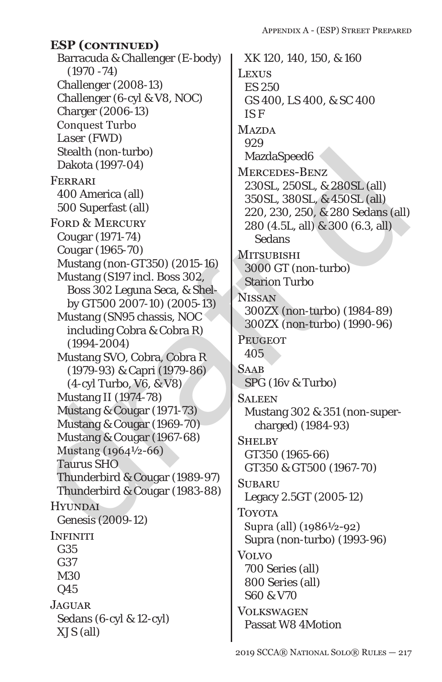Barracuda & Challenger (E-body) (1970 -74) Challenger (2008-13) Challenger (6-cyl & V8, NOC) Charger (2006-13) Conquest Turbo *Laser (FWD)* Stealth (non-turbo) Dakota (1997-04) Ferrari 400 America (all) 500 Superfast (all) FORD & MERCURY Cougar (1971-74) Cougar (1965-70) Mustang (non-GT350) (2015-16) Mustang (S197 incl. Boss 302, Boss 302 Leguna Seca, & Shelby GT500 2007-10) (2005-13) Mustang (SN95 chassis, NOC including Cobra & Cobra R) (1994-2004) Mustang SVO, Cobra, Cobra R (1979-93) & Capri (1979-86) (4-cyl Turbo, V6, & V8) Mustang II (1974-78) Mustang & Cougar (1971-73) Mustang & Cougar (1969-70) Mustang & Cougar (1967-68) Mustang (1964½-66) Taurus SHO Thunderbird & Cougar (1989-97) Thunderbird & Cougar (1983-88) **HYUNDAI** Genesis (2009-12) **INFINITI** G35 G37 M30 Q45 **JAGUAR** Sedans (6-cyl & 12-cyl) XJS (all) **ESP (continued)**

 $\begin{tabular}{l|c|c|c} \textbf{Stedth (non-turbo)} & \textbf{Maxd} & \textbf{Maxd} & \textbf{Maxd} & \textbf{Maxd} & \textbf{Maxd} & \textbf{Maxd} & \textbf{Maxd} & \textbf{Maxd} & \textbf{Maxd} & \textbf{Maxd} & \textbf{Maxd} & \textbf{Maxd} & \textbf{Maxd} & \textbf{Maxd} & \textbf{Maxd} & \textbf{Maxd} & \textbf{Maxd} & \textbf{Maxd} & \textbf{Maxd} & \textbf{Maxd} & \textbf{Maxd} & \textbf{Maxd} & \textbf{Maxd} & \textbf{Maxd} &$ XK 120, 140, 150, & 160 **LEXUS** ES 250 GS 400, LS 400, & SC 400 *IS F* **MAZDA** 929 MazdaSpeed6 Mercedes-Benz 230SL, 250SL, & 280SL (all) 350SL, 380SL, & 450SL (all) 220, 230, 250, & 280 Sedans (all) 280 (4.5L, all) & 300 (6.3, all) **Sedans MITSUBISHI** 3000 GT (non-turbo) Starion Turbo **NISSAN** 300ZX (non-turbo) (1984-89) 300ZX (non-turbo) (1990-96) **PEUGEOT** 405 **SAAB** SPG (16v & Turbo) Saleen Mustang 302 & 351 (non-supercharged) (1984-93) **SHELBY** GT350 (1965-66) GT350 & GT500 (1967-70) **SUBARU** Legacy 2.5GT (2005-12) **TOYOTA** Supra (all) (1986½-92) Supra (non-turbo) (1993-96) **VOLVO** 700 Series (all) 800 Series (all) S60 & V70 **VOLKSWAGEN** Passat W8 4Motion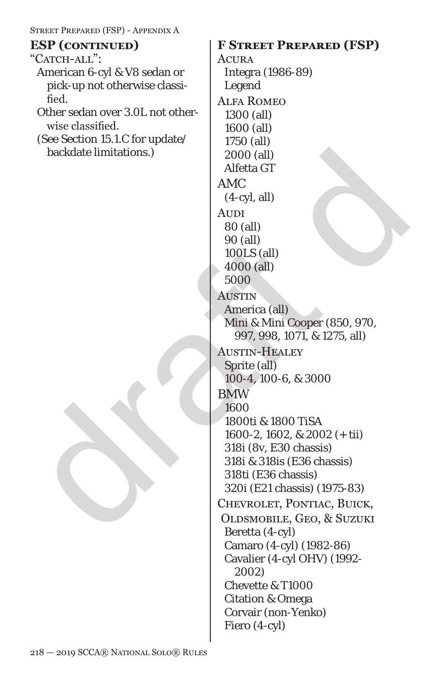| STREET PREPARED (FSP) - APPENDIX A                        |                                                   |
|-----------------------------------------------------------|---------------------------------------------------|
| <b>ESP</b> (CONTINUED)                                    | <b>F STREET PREPARED (FSP)</b>                    |
| "CATCH-ALL":                                              | ACURA                                             |
| American 6-cyl & V8 sedan or                              | Integra (1986-89)                                 |
| pick-up not otherwise classi-                             | Legend                                            |
| fied.                                                     | <b>ALFA ROMEO</b>                                 |
| Other sedan over 3.0L not other-                          | 1300 (all)                                        |
| wise classified.                                          | 1600 (all)                                        |
| (See Section 15.1.C for update/<br>backdate limitations.) | 1750 (all)                                        |
|                                                           | 2000 (all)                                        |
|                                                           | Alfetta GT                                        |
|                                                           | <b>AMC</b>                                        |
|                                                           | $(4-cyl, all)$                                    |
|                                                           | <b>AUDI</b>                                       |
|                                                           | 80 (all)                                          |
|                                                           | 90 (all)<br>100LS (all)                           |
|                                                           | 4000 (all)                                        |
|                                                           | 5000                                              |
|                                                           | <b>AUSTIN</b>                                     |
|                                                           | America (all)                                     |
|                                                           | Mini & Mini Cooper (850, 970,                     |
|                                                           | 997, 998, 1071, & 1275, all)                      |
|                                                           | <b>AUSTIN-HEALEY</b>                              |
|                                                           | Sprite (all)                                      |
|                                                           | 100-4, 100-6, & 3000                              |
|                                                           | <b>BMW</b>                                        |
|                                                           | 1600                                              |
|                                                           | 1800ti & 1800 TiSA                                |
|                                                           | 1600-2, 1602, & 2002 $(+$ tii)                    |
|                                                           | 318i (8v, E30 chassis)                            |
|                                                           | 318i & 318is (E36 chassis)<br>318ti (E36 chassis) |
|                                                           | 320i (E21 chassis) (1975-83)                      |
|                                                           | CHEVROLET, PONTIAC, BUICK,                        |
|                                                           | OLDSMOBILE, GEO, & SUZUKI                         |
|                                                           | Beretta (4-cyl)                                   |
|                                                           | Camaro (4-cyl) (1982-86)                          |
|                                                           | Cavalier (4-cyl OHV) (1992-                       |
|                                                           | 2002)                                             |
|                                                           | Chevette & T1000                                  |
|                                                           | <b>Citation &amp; Omega</b>                       |
|                                                           | Corvair (non-Yenko)                               |
|                                                           | Fiero (4-cyl)                                     |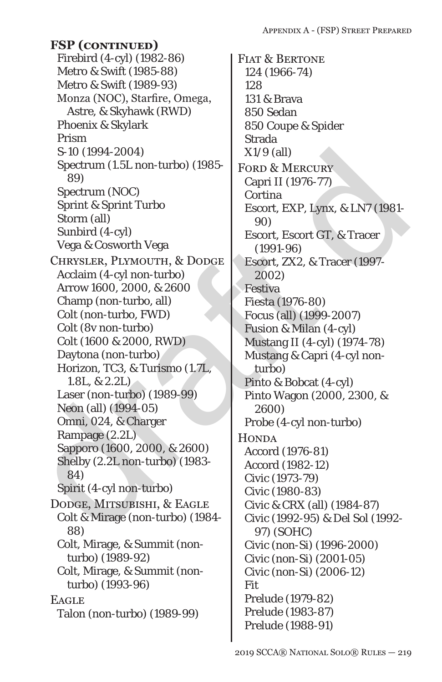draft d Firebird (4-cyl) (1982-86) Metro & Swift (1985-88) Metro & Swift (1989-93) Monza (NOC), Starfire, Omega, Astre, & Skyhawk (RWD) Phoenix & Skylark Prism S-10 (1994-2004) Spectrum (1.5L non-turbo) (1985- 89) Spectrum (NOC) Sprint & Sprint Turbo Storm (all) Sunbird (4-cyl) Vega & Cosworth Vega Chrysler, Plymouth, & Dodge Acclaim (4-cyl non-turbo) Arrow 1600, 2000, & 2600 Champ (non-turbo, all) Colt (non-turbo, FWD) Colt (8v non-turbo) Colt (1600 & 2000, RWD) Daytona (non-turbo) Horizon, TC3, & Turismo (1.7L, 1.8L, & 2.2L) Laser (non-turbo) (1989-99) Neon (all) (1994-05) Omni, 024, & Charger Rampage (2.2L) Sapporo (1600, 2000, & 2600) Shelby (2.2L non-turbo) (1983- 84) Spirit (4-cyl non-turbo) Dodge, Mitsubishi, & Eagle Colt & Mirage (non-turbo) (1984- 88) Colt, Mirage, & Summit (nonturbo) (1989-92) Colt, Mirage, & Summit (nonturbo) (1993-96) **EAGLE** Talon (non-turbo) (1989-99) **FSP (continued)**

FIAT & BERTONE 124 (1966-74) 128 131 & Brava 850 Sedan 850 Coupe & Spider Strada X1/9 (all) FORD & MERCURY Capri II (1976-77) **Cortina** Escort, EXP, Lynx, & LN7 (1981- 90) Escort, Escort GT, & Tracer (1991-96) Escort, ZX2, & Tracer (1997- 2002) Festiva Fiesta (1976-80) Focus (all) (1999-2007) Fusion & Milan (4-cyl) Mustang II (4-cyl) (1974-78) Mustang & Capri (4-cyl nonturbo) Pinto & Bobcat (4-cyl) Pinto Wagon (2000, 2300, & 2600) Probe (4-cyl non-turbo) **HONDA** Accord (1976-81) Accord (1982-12) Civic (1973-79) Civic (1980-83) Civic & CRX (all) (1984-87) Civic (1992-95) & Del Sol (1992- 97) (SOHC) Civic (non-Si) (1996-2000) Civic (non-Si) (2001-05) Civic (non-Si) (2006-12) Fit Prelude (1979-82) Prelude (1983-87) Prelude (1988-91)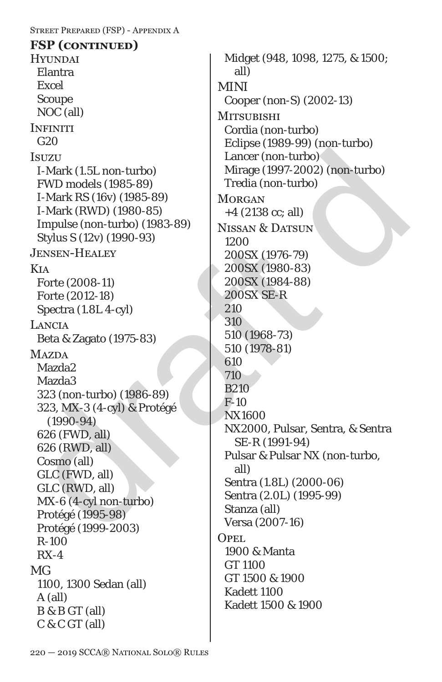### Street Prepared (FSP) - Appendix A

**HYUNDAI** Elantra Excel Scoupe NOC (all) **INFINITI** G<sub>20</sub> **Isuzu** I-Mark (1.5L non-turbo) FWD models (1985-89) I-Mark RS (16v) (1985-89) I-Mark (RWD) (1980-85) Impulse (non-turbo) (1983-89) Stylus S (12v) (1990-93) Jensen-Healey Kia Forte (2008-11) Forte (2012-18) Spectra (1.8L 4-cyl) Lancia Beta & Zagato (1975-83) **MAZDA** Mazda2 Mazda3 323 (non-turbo) (1986-89) 323, MX-3 (4-cyl) & Protégé (1990-94) 626 (FWD, all) 626 (RWD, all) Cosmo (all) GLC (FWD, all) GLC (RWD, all) MX-6 (4-cyl non-turbo) Protégé (1995-98) Protégé (1999-2003) R-100 RX-4 MG 1100, 1300 Sedan (all) A (all) B & B GT (all) C & C GT (all) **FSP (continued)**

 $[300] \begin{tabular}{l|c|c|c} \hline \texttt{IsUZU} & \texttt{L} & \texttt{L} & \texttt{L} & \texttt{L} & \texttt{L} & \texttt{L} & \texttt{L} & \texttt{L} & \texttt{L} & \texttt{L} & \texttt{L} & \texttt{L} & \texttt{L} & \texttt{L} & \texttt{L} & \texttt{L} & \texttt{L} & \texttt{L} & \texttt{L} & \texttt{L} & \texttt{L} & \texttt{L} & \texttt{L} & \texttt{L} & \texttt{L} & \texttt{L} & \texttt{L}$ Midget (948, 1098, 1275, & 1500; all) MINI Cooper (non-S) (2002-13) **MITSUBISHI** Cordia (non-turbo) Eclipse (1989-99) (non-turbo) Lancer (non-turbo) Mirage (1997-2002) (non-turbo) Tredia (non-turbo) **MORGAN** +4 (2138 cc; all) NISSAN & DATSUN 1200 200SX (1976-79) 200SX (1980-83) 200SX (1984-88) 200SX SE-R 210 310 510 (1968-73) 510 (1978-81) 610 710 B210 F-10 NX1600 NX2000, Pulsar, Sentra, & Sentra SE-R (1991-94) Pulsar & Pulsar NX (non-turbo, all) Sentra (1.8L) (2000-06) Sentra (2.0L) (1995-99) Stanza (all) Versa (2007-16) Opel. 1900 & Manta GT 1100 GT 1500 & 1900 Kadett 1100 Kadett 1500 & 1900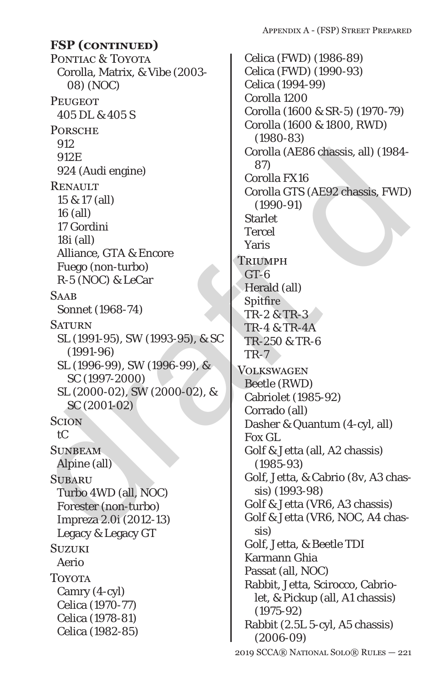PONTIAC & TOYOTA Corolla, Matrix, & Vibe (2003- 08) (NOC) **PEUGEOT** 405 DL & 405 S **PORSCHE** 912 912E 924 (Audi engine) **RENAULT** 15 & 17 (all) 16 (all) 17 Gordini 18i (all) Alliance, GTA & Encore Fuego (non-turbo) R-5 (NOC) & LeCar **SAAB** Sonnet (1968-74) **SATURN** SL (1991-95), SW (1993-95), & SC (1991-96) SL (1996-99), SW (1996-99), & SC (1997-2000) SL (2000-02), SW (2000-02), & SC (2001-02) Scion tC **SUNBEAM** Alpine (all) **SUBARU** Turbo 4WD (all, NOC) Forester (non-turbo) Impreza 2.0i (2012-13) Legacy & Legacy GT **SUZUKI** Aerio Toyota Camry (4-cyl) Celica (1970-77) Celica (1978-81) Celica (1982-85) **FSP (continued)**

912E<br>
912E<br>
922E<br>
RENAULT Grodia (AE86 chassis, all) (1984-<br>
16 all)<br>
16 all)<br>
16 all)<br>
16 all)<br>
16 all)<br>
16 all)<br>
16 all)<br>
16 all)<br>
16 all)<br>
16 all)<br>
16 all)<br>
16 all)<br>
16 all)<br>
16 all)<br>
16 all)<br>
16 all)<br>
16 all)<br>
16 all 2019 SCCA® National Solo® Rules — 221 Celica (FWD) (1986-89) Celica (FWD) (1990-93) Celica (1994-99) Corolla 1200 Corolla (1600 & SR-5) (1970-79) Corolla (1600 & 1800, RWD) (1980-83) Corolla (AE86 chassis, all) (1984- 87) Corolla FX16 Corolla GTS (AE92 chassis, FWD) (1990-91) **Starlet** Tercel Yaris **TRIUMPH**  $GT-6$ Herald (all) Spitfire TR-2 & TR-3 TR-4 & TR-4A TR-250 & TR-6 TR-7 **VOLKSWAGEN** Beetle (RWD) Cabriolet (1985-92) Corrado (all) Dasher & Quantum (4-cyl, all) Fox GL Golf & Jetta (all, A2 chassis) (1985-93) Golf, Jetta, & Cabrio (8v, A3 chassis) (1993-98) Golf & Jetta (VR6, A3 chassis) Golf & Jetta (VR6, NOC, A4 chassis) Golf, Jetta, & Beetle TDI Karmann Ghia Passat (all, NOC) Rabbit, Jetta, Scirocco, Cabriolet, & Pickup (all, A1 chassis) (1975-92) Rabbit (2.5L 5-cyl, A5 chassis) (2006-09)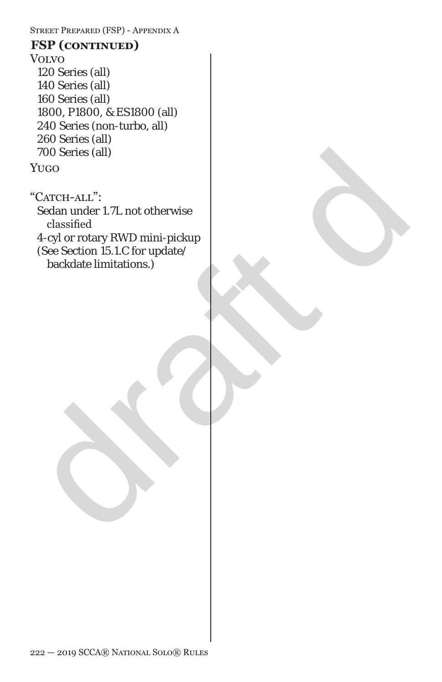Street Prepared (FSP) - Appendix A

## Volvo 120 Series (all) 140 Series (all) 160 Series (all) 1800, P1800, & ES1800 (all) 240 Series (non-turbo, all) 260 Series (all) 700 Series (all) **FSP (continued)**

Yugo

700 Series (all)<br>
YUGO<br>
"CATCH-ALL":<br>
Sedan under I.7L not otherwise<br>
classified<br>
4-cyl or rotary RWD mini-pickup<br>
(See Section 15.1.C for update/<br>
backdate limitations.) "CATCH-ALL": Sedan under 1.7L not otherwise classified 4-cyl or rotary RWD mini-pickup (See Section 15.1.C for update/ backdate limitations.)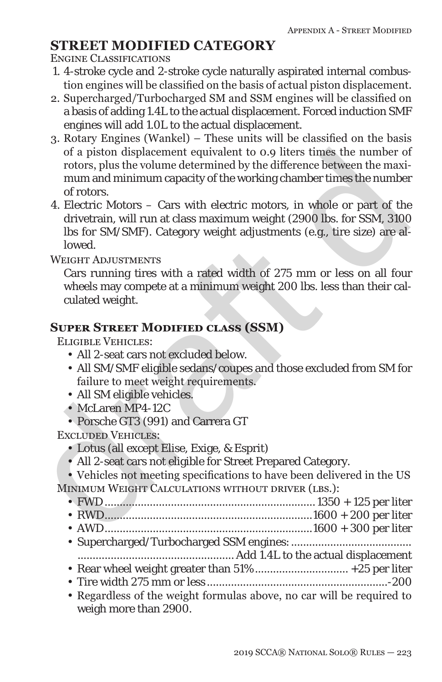# **STREET MODIFIED CATEGORY**

Engine Classifications

- 1. 4-stroke cycle and 2-stroke cycle naturally aspirated internal combustion engines will be classified on the basis of actual piston displacement.
- 2. Supercharged/Turbocharged SM and SSM engines will be classified on a basis of adding 1.4L to the actual displacement. Forced induction SMF engines will add 1.0L to the actual displacement.
- 3. Rotary Engines (Wankel) These units will be classified on the basis of a piston displacement equivalent to 0.9 liters times the number of rotors, plus the volume determined by the difference between the maximum and minimum capacity of the working chamber times the number of rotors.
- % of a piston displacement equivalent to 0.9 liters times the number of<br>rotors, plus the volume determined by the difference between the maximum and minimum capacity of the working channel times the number<br>of rotors.<br>The 4. Electric Motors – Cars with electric motors, in whole or part of the drivetrain, will run at class maximum weight (2900 lbs. for SSM, 3100 lbs for SM/SMF). Category weight adjustments (e.g., tire size) are allowed.

WEIGHT ADJUSTMENTS

Cars running tires with a rated width of 275 mm or less on all four wheels may compete at a minimum weight 200 lbs. less than their calculated weight.

## **Super Street Modified class (SSM)**

Eligible Vehicles:

- All 2-seat cars not excluded below.
- All SM/SMF eligible sedans/coupes and those excluded from SM for failure to meet weight requirements.
- All SM eligible vehicles.
- McLaren MP4-12C
- Porsche GT3 (991) and Carrera GT

Excluded Vehicles:

- Lotus (all except Elise, Exige, & Esprit)
- All 2-seat cars not eligible for Street Prepared Category.

• Vehicles not meeting specifications to have been delivered in the US MINIMUM WEIGHT CALCULATIONS WITHOUT DRIVER (LBS.):

• RWD.....................................................................1600 + 200 per liter

- AWD.....................................................................1600 + 300 per liter
- Supercharged/Turbocharged SSM engines:........................................

.................................................... Add 1.4L to the actual displacement

- Rear wheel weight greater than 51% ............................... +25 per liter
- Tire width 275 mm or less ............................................................-200
- Regardless of the weight formulas above, no car will be required to weigh more than 2900.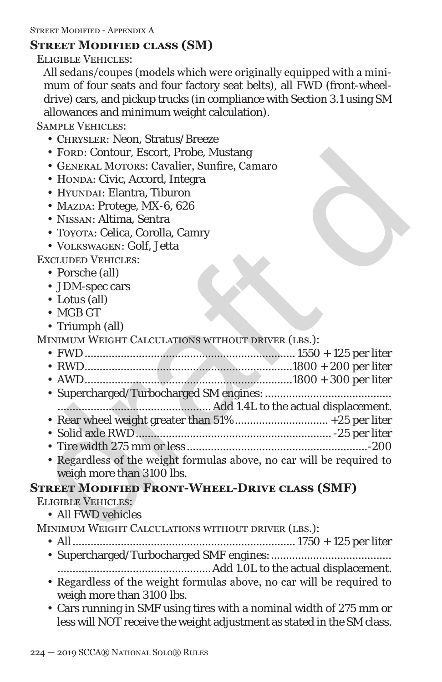### **Street Modified class (SM)**

Eligible Vehicles:

All sedans/coupes (models which were originally equipped with a minimum of four seats and four factory seat belts), all FWD (front-wheeldrive) cars, and pickup trucks (in compliance with Section 3.1 using SM allowances and minimum weight calculation).

Sample Vehicles:

- Chrysler: Neon, Stratus/Breeze
- FORD: Contour, Escort, Probe, Mustang
- General Motors: Cavalier, Sunfire, Camaro
- HONDA: Civic, Accord, Integra
- HYUNDAI: Elantra. Tiburon
- MAZDA: Protege, MX-6, 626
- Nissan: Altima, Sentra
- Toyota: Celica, Corolla, Camry
- Volkswagen: Golf, Jetta

Excluded Vehicles:

- Porsche (all)
- JDM-spec cars
- Lotus (all)
- MGB GT
- Triumph (all)
- MINIMUM WEIGHT CALCULATIONS WITHOUT DRIVER (LBS.):
	- FWD...................................................................... 1550 + 125 per liter • RWD.....................................................................1800 + 200 per liter
	- AWD.....................................................................1800 + 300 per liter
	- Supercharged/Turbocharged SM engines:.......................................... ................................................... Add 1.4L to the actual displacement.
	- Rear wheel weight greater than 51% ............................... +25 per liter
	- Solid axle RWD................................................................. -25 per liter
	- Tire width 275 mm or less ............................................................-200
- For<br/>D: Contour, Escort, Probe, Mustang GENERAL MOTORS: Cavalier, Sum<br/>free, Camaro HONDA: Protege, MX-6, 626<br>• NAZA: Protege, MX-6, Reading<br/>. The HONDA: Protege, MSSAY: Altima, Sentra Tovora: Celica, Co • Regardless of the weight formulas above, no car will be required to weigh more than 3100 lbs.

# **Street Modified Front-Wheel-Drive class (SMF)**

Eligible Vehicles:

- All FWD vehicles
- MINIMUM WEIGHT CALCULATIONS WITHOUT DRIVER (LBS.):
	- All.......................................................................... 1750 + 125 per liter
	- Supercharged/Turbocharged SMF engines:........................................
	- ...................................................Add 1.0L to the actual displacement. • Regardless of the weight formulas above, no car will be required to
	- weigh more than 3100 lbs.
	- Cars running in SMF using tires with a nominal width of 275 mm or less will NOT receive the weight adjustment as stated in the SM class.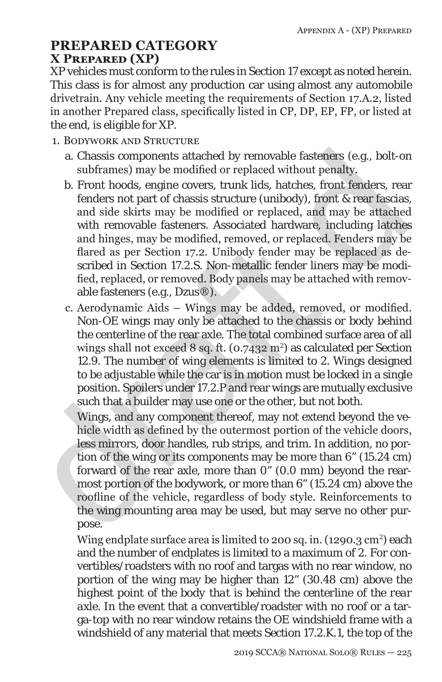# **PREPARED CATEGORY X Prepared (XP)**

XP vehicles must conform to the rules in Section 17 except as noted herein. This class is for almost any production car using almost any automobile drivetrain. Any vehicle meeting the requirements of Section 17.A.2, listed in another Prepared class, specifically listed in CP, DP, EP, FP, or listed at the end, is eligible for XP.

- 1. Bodywork and Structure
	- a. Chassis components attached by removable fasteners (e.g., bolt-on subframes) may be modified or replaced without penalty.
- a. Chassis components attached by removable fasteners (e.g., bolt-on subrisms) may be modified or replaced without penalty.<br>
b. Front hoods, engine covers, trunk lids, hatches, front fenders, rear<br>
fenders not part of cha b. Front hoods, engine covers, trunk lids, hatches, front fenders, rear fenders not part of chassis structure (unibody), front & rear fascias, and side skirts may be modified or replaced, and may be attached with removable fasteners. Associated hardware, including latches and hinges, may be modified, removed, or replaced. Fenders may be flared as per Section 17.2. Unibody fender may be replaced as described in Section 17.2.S. Non-metallic fender liners may be modified, replaced, or removed. Body panels may be attached with removable fasteners (e.g., Dzus®).
	- c. Aerodynamic Aids Wings may be added, removed, or modified. Non-OE wings may only be attached to the *chassis or body* behind the centerline of the rear axle. The total combined surface area of all wings shall not exceed  $8$  sq. ft. (0.7432 m<sup>2</sup>) as calculated per Section 12.9. The number of wing elements is limited to 2. Wings designed to be adjustable while the car is in motion must be locked in a single position. Spoilers under 17.2.P and rear wings are mutually exclusive such that a builder may use one or the other, but not both.

Wings, and any component thereof, may not extend beyond the vehicle width as defined by the outermost portion of the vehicle doors, less mirrors, door handles, rub strips, and trim. In addition, no portion of the wing or its components may be more than 6" (15.24 cm) forward of the rear axle, more than 0" (0.0 mm) beyond the rearmost portion of the bodywork, or more than 6" (15.24 cm) above the roofline of the vehicle, regardless of body style. Reinforcements to the wing mounting area may be used, but may serve no other purpose.

Wing endplate surface area is limited to 200 sq. in. (1290.3  $\text{cm}^2$ ) each and the number of endplates is limited to a maximum of 2. For convertibles/roadsters with no roof and targas with no rear window, no portion of the wing may be higher than 12" (30.48 cm) above the *highest point of the body that is behind the centerline of the rear axle.* In the event that a convertible/roadster with no roof or a targa-top with no rear window retains the OE windshield frame with a windshield of any material that meets Section 17.2.K.1, the top of the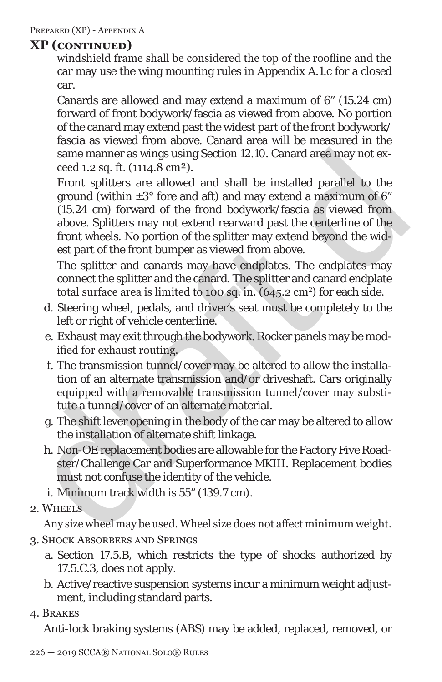windshield frame shall be considered the top of the roofline and the car may use the wing mounting rules in Appendix A.1.c for a closed car.

Canards are allowed and may extend a maximum of 6" (15.24 cm) forward of front bodywork/fascia as viewed from above. No portion of the canard may extend past the widest part of the front bodywork/ fascia as viewed from above. Canard area will be measured in the same manner as wings using Section 12.10. Canard area may not exceed 1.2 sq. ft. (1114.8 cm²).

same manner as wings using Section 12.10. Canard area may not exceed 1.2 sq. ft. (1114,8 cm<sup>2</sup>). The angularities are allowed and shall be installed parallel to the ground (within  $\pm 3^{\circ}$  fore and aft) and may extend a Front splitters are allowed and shall be installed parallel to the ground (within  $\pm 3^{\circ}$  fore and aft) and may extend a maximum of 6" (15.24 cm) forward of the frond bodywork/fascia as viewed from above. Splitters may not extend rearward past the centerline of the front wheels. No portion of the splitter may extend beyond the widest part of the front bumper as viewed from above.

The splitter and canards may have endplates. The endplates may connect the splitter and the canard. The splitter and canard endplate total surface area is limited to 100 sq. in.  $(645.2 \text{ cm}^2)$  for each side.

- d. Steering wheel, pedals, and driver's seat must be completely to the left or right of vehicle centerline.
- e. Exhaust may exit through the bodywork. Rocker panels may be modified for exhaust routing.
- f. The transmission tunnel/cover may be altered to allow the installation of an alternate transmission and/or driveshaft. Cars originally equipped with a removable transmission tunnel/cover may substitute a tunnel/cover of an alternate material.
- g. The shift lever opening in the body of the car may be altered to allow the installation of alternate shift linkage.
- h. Non-OE replacement bodies are allowable for the Factory Five Roadster/Challenge Car and Superformance MKIII. Replacement bodies must not confuse the identity of the vehicle.
- i. Minimum track width is 55" (139.7 cm).
- 2. Wheels

Any size wheel may be used. Wheel size does not affect minimum weight. 3. Shock Absorbers and Springs

- a. Section 17.5.B, which restricts the type of shocks authorized by 17.5.C.3, does not apply.
- b. Active/reactive suspension systems incur a minimum weight adjustment, including standard parts.
- 4. Brakes

Anti-lock braking systems (ABS) may be added, replaced, removed, or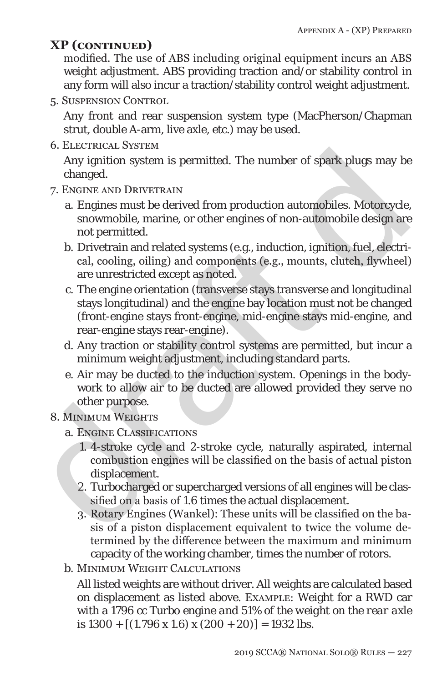modified. The use of ABS including original equipment incurs an ABS weight adjustment. ABS providing traction and/or stability control in any form will also incur a traction/stability control weight adjustment.

5. Suspension Control

Any front and rear suspension system type (MacPherson/Chapman strut, double A-arm, live axle, etc.) may be used.

6. Electrical System

Any ignition system is permitted. The number of spark plugs may be changed.

- 7. Engine and Drivetrain
	- a. Engines must be derived from production automobiles. Motorcycle, snowmobile, marine, or other engines of non-automobile design are not permitted.
	- b. Drivetrain and related systems (e.g., induction, ignition, fuel, electrical, cooling, oiling) and components (e.g., mounts, clutch, flywheel) are unrestricted except as noted.
- 3. ELECTINGED 1976<br>
Any ignition system is permitted. The number of spark plugs may be<br>
changed.<br>
7. ENONE AND DRIVETRAIN<br>
a. Engines must be derived from production automobiles. Motorcycle,<br>
snowmobile, marine, or other c. The engine orientation (transverse stays transverse and longitudinal stays longitudinal) and the engine bay location must not be changed (front-engine stays front-engine, mid-engine stays mid-engine, and rear-engine stays rear-engine).
	- d. Any traction or stability control systems are permitted, but incur a minimum weight adjustment, including standard parts.
	- e. Air may be ducted to the induction system. Openings in the bodywork to allow air to be ducted are allowed provided they serve no other purpose.

### 8. MINIMUM WEIGHTS

- a. Engine Classifications
	- 1. 4-stroke cycle and 2-stroke cycle, naturally aspirated, internal combustion engines will be classified on the basis of actual piston displacement.
	- 2. Turbocharged or supercharged versions of all engines will be classified on a basis of *1.6* times the actual displacement.
	- 3. Rotary Engines (Wankel): These units will be classified on the basis of a piston displacement equivalent to twice the volume determined by the difference between the maximum and minimum capacity of the working chamber, times the number of rotors.
- b. Minimum Weight Calculations

All listed weights are without driver. All weights are calculated based on displacement as listed above. EXAMPLE: Weight for a RWD car with a 1796 cc Turbo engine *and 51% of the weight on the rear axle* is *1300* + [(1.796 x *1.6*) x (200 + 20)] = *1932* lbs.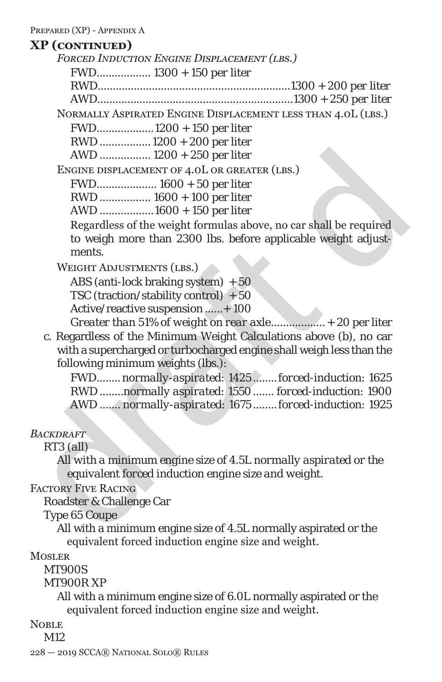*Forced Induction Engine Displacement (lbs.) FWD.................. 1300 + 150 per liter RWD................................................................1300 + 200 per liter AWD.................................................................1300 + 250 per liter* 

Normally Aspirated Engine Displacement less than 4.0L (lbs.)

FWD...................1200 + 150 per liter

RWD ................. 1200 + 200 per liter

AWD ................. 1200 + 250 per liter

Engine displacement of 4.0L or greater (lbs.)

FWD.................... *1600* + *50* per liter

RWD ................. *1600* + *100* per liter

AWD ..................*1600* + *150* per liter

Regardless of the weight formulas above, no car shall be required to weigh more than 2300 lbs. before applicable weight adjustments.

WEIGHT ADJUSTMENTS (LBS.)

ABS (anti-lock braking system)  $+50$ TSC (traction/stability control)  $+50$ Active/reactive suspension ......+ 100 *Greater than 51% of weight on rear axle*..................+ 20 per liter

draft d c. Regardless of the Minimum Weight Calculations above (b), no car with a supercharged or turbocharged engine shall weigh less than the following minimum weights (lbs.):

FWD........ *normally-aspirated: 1425 ........forced-induction: 1625* RWD ........*normally aspirated: 1550....... forced-induction: 1900* AWD ....... *normally-aspirated: 1675 ........forced-induction: 1925*

*Backdraft*

*RT3 (all)*

*All with a minimum engine size of 4.5L normally aspirated or the equivalent forced induction engine size and weight.*

Factory Five Racing

Roadster & Challenge Car

Type 65 Coupe

All with a minimum engine size of 4.5L normally aspirated or the equivalent forced induction engine size and weight.

**MOSLER** 

MT900S

MT900R XP

All with a minimum engine size of 6.0L normally aspirated or the equivalent forced induction engine size and weight.

NOBLE<sub></sub>

M<sub>12</sub>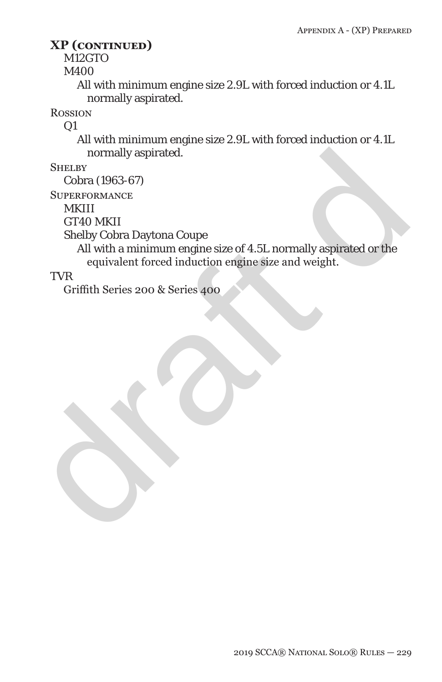M12GTO

M400

All with minimum engine size 2.9L with forced induction or 4.1L normally aspirated.

**ROSSION** 

 $Q1$ 

All with minimum engine size 2.9L with forced induction or 4.1L normally aspirated.

**SHELBY** 

Cobra (1963-67)

**SUPERFORMANCE** 

MKIII

GT40 MKII

Shelby Cobra Daytona Coupe

normally aspirated.<br>
SHELBY<br>
Cobra (1963-67)<br>
SUPERFORMANCE<br>
MKIII<br>
CT40 MKII<br>
CH40 With a minimum engine size of 4.5L normally aspirated or the<br>
equivalent forced induction engine size and weight.<br>
TVR<br>
Griffith Series 20 All with a minimum engine size of 4.5L normally aspirated or the equivalent forced induction engine size and weight.

TVR

Griffith Series 200 & Series 400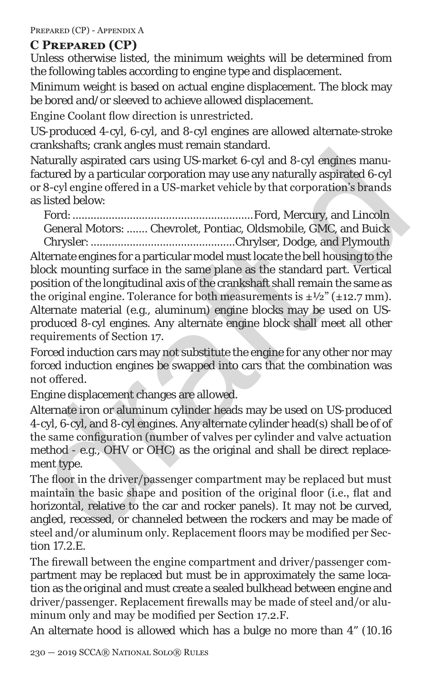PREPARED (CP) - APPENDIX A

### **C Prepared (CP)**

Unless otherwise listed, the minimum weights will be determined from the following tables according to engine type and displacement.

Minimum weight is based on actual engine displacement. The block may be bored and/or sleeved to achieve allowed displacement.

Engine Coolant flow direction is unrestricted.

US-produced 4-cyl, 6-cyl, and 8-cyl engines are allowed alternate-stroke crankshafts; crank angles must remain standard.

Naturally aspirated cars using US-market 6-cyl and 8-cyl engines manufactured by a particular corporation may use any naturally aspirated 6-cyl or 8-cyl engine offered in a US-market vehicle by that corporation's brands as listed below:

Ford:............................................................Ford, Mercury, and Lincoln General Motors: ....... Chevrolet, Pontiac, Oldsmobile, GMC, and Buick Chrysler:................................................Chrylser, Dodge, and Plymouth

Cansalism can any and step simula samula samula samula samula samula samula samula samula samula samula samula samula samula samula samula samula samula samula samula samula samula samula samula samula samula samula samul Alternate engines for a particular model must locate the bell housing to the block mounting surface in the same plane as the standard part. Vertical position of the longitudinal axis of the crankshaft shall remain the same as the original engine. Tolerance for both measurements is  $\pm \frac{1}{2}$  ( $\pm 12.7$  mm). Alternate material (e.g., aluminum) engine blocks may be used on USproduced 8-cyl engines. Any alternate engine block shall meet all other requirements of Section 17.

Forced induction cars may not substitute the engine for any other nor may forced induction engines be swapped into cars that the combination was not offered.

Engine displacement changes are allowed.

Alternate iron or aluminum cylinder heads may be used on US-produced 4-cyl, 6-cyl, and 8-cyl engines. Any alternate cylinder head(s) shall be of of the same configuration (number of valves per cylinder and valve actuation method - e.g., OHV or OHC) as the original and shall be direct replacement type.

The floor in the driver/passenger compartment may be replaced but must maintain the basic shape and position of the original floor (i.e., flat and horizontal, relative to the car and rocker panels). It may not be curved, angled, recessed, or channeled between the rockers and may be made of steel and/or aluminum only. Replacement floors may be modified per Section 17.2.E.

The firewall between the engine compartment and driver/passenger compartment may be replaced but must be in approximately the same location as the original and must create a sealed bulkhead between engine and driver/passenger. Replacement firewalls may be made of steel and/or aluminum only and may be modified per Section 17.2.F.

An alternate hood is allowed which has a bulge no more than 4" (10.16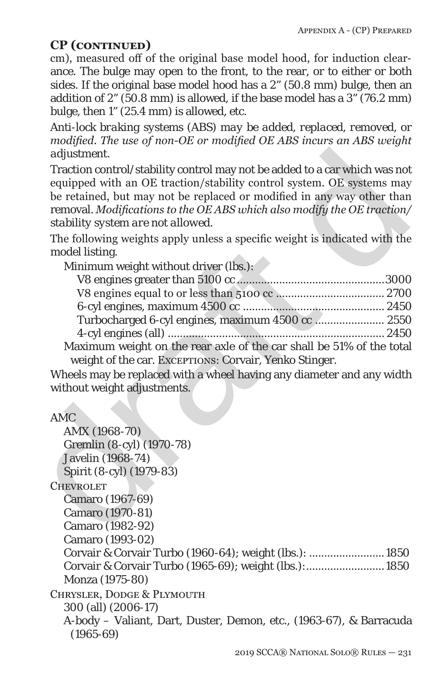cm), measured off of the original base model hood, for induction clearance. The bulge may open to the front, to the rear, or to either or both sides. If the original base model hood has a 2" (50.8 mm) bulge, then an addition of 2" (50.8 mm) is allowed, if the base model has a 3" (76.2 mm) bulge, then 1" (25.4 mm) is allowed, etc.

*Anti-lock braking systems (ABS) may be added, replaced, removed, or modified. The use of non-OE or modified OE ABS incurs an ABS weight adjustment.*

| Turbocharged 6-cyl engines, maximum 4500 cc  2550                    |  |
|----------------------------------------------------------------------|--|
|                                                                      |  |
| Maximum weight on the rear axle of the car shall be 51% of the total |  |
| weight of the car. EXCEPTIONS: Corvair, Yenko Stinger.               |  |

### AMC

| adjustment.                                                                |  |
|----------------------------------------------------------------------------|--|
| Traction control/stability control may not be added to a car which was not |  |
| equipped with an OE traction/stability control system. OE systems may      |  |
| be retained, but may not be replaced or modified in any way other than     |  |
| removal. Modifications to the OE ABS which also modify the OE traction/    |  |
| stability system are not allowed.                                          |  |
| The following weights apply unless a specific weight is indicated with the |  |
| model listing.                                                             |  |
| Minimum weight without driver (lbs.):                                      |  |
|                                                                            |  |
|                                                                            |  |
|                                                                            |  |
| Turbocharged 6-cyl engines, maximum 4500 cc  2550                          |  |
|                                                                            |  |
| Maximum weight on the rear axle of the car shall be 51% of the total       |  |
| weight of the car. ExceptIONS: Corvair, Yenko Stinger.                     |  |
| Wheels may be replaced with a wheel having any diameter and any width      |  |
| without weight adjustments.                                                |  |
|                                                                            |  |
| <b>AMC</b>                                                                 |  |
| AMX (1968-70)                                                              |  |
| Gremlin (8-cyl) (1970-78)                                                  |  |
| <b>Javelin</b> (1968-74)                                                   |  |
| Spirit (8-cyl) (1979-83)                                                   |  |
| <b>CHEVROLET</b>                                                           |  |
| Camaro (1967-69)                                                           |  |
| Camaro (1970-81)                                                           |  |
| Camaro (1982-92)                                                           |  |
| Camaro (1993-02)                                                           |  |
| Corvair & Corvair Turbo (1960-64); weight (lbs.):  1850                    |  |
| Corvair & Corvair Turbo (1965-69); weight (lbs.): 1850                     |  |
| Monza (1975-80)                                                            |  |
| CHRYSLER, DODGE & PLYMOUTH                                                 |  |
| 300 (all) (2006-17)                                                        |  |
| A-body - Valiant, Dart, Duster, Demon, etc., (1963-67), & Barracuda        |  |

(1965-69)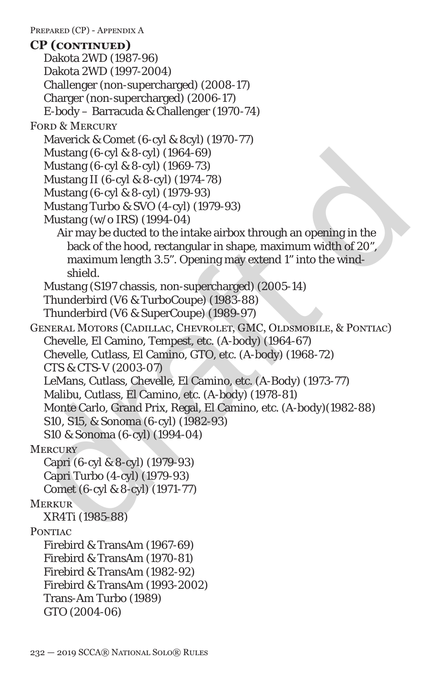Mustang (6-cyl & 8-cyl) (1964-69)<br>
Mustang (6-cyl & 8-cyl) (1964-69)<br>
Mustang II (6-cyl & 8-cyl) (1974-78)<br>
Mustang Turbo & SVO (4-cyl) (1979-93)<br>
Mustang (wo IRS) (1994-04)<br>
Mustang (wo IRS) (1994-04)<br>
Mustang (wo IRS) ( PREPARED (CP) - APPENDIX A Dakota 2WD (1987-96) Dakota 2WD (1997-2004) Challenger (non-supercharged) (2008-17) Charger (non-supercharged) (2006-17) E-body – Barracuda & Challenger (1970-74) FORD & MERCURY Maverick & Comet (6-cyl & 8cyl) (1970-77) Mustang (6-cyl & 8-cyl) (1964-69) Mustang (6-cyl & 8-cyl) (1969-73) Mustang II (6-cyl & 8-cyl) (1974-78) Mustang (6-cyl & 8-cyl) (1979-93) Mustang Turbo & SVO (4-cyl) (1979-93) Mustang (w/o IRS) (1994-04) Air may be ducted to the intake airbox through an opening in the back of the hood, rectangular in shape, maximum width of 20", maximum length 3.5". Opening may extend 1" into the windshield. Mustang (S197 chassis, non-supercharged) (2005-14) Thunderbird (V6 & TurboCoupe) (1983-88) Thunderbird (V6 & SuperCoupe) (1989-97) General Motors (Cadillac, Chevrolet, GMC, Oldsmobile, & Pontiac) Chevelle, El Camino, Tempest, etc. (A-body) (1964-67) Chevelle, Cutlass, El Camino, GTO, etc. (A-body) (1968-72) *CTS & CTS-V (2003-07)* LeMans, Cutlass, Chevelle, El Camino, etc. (A-Body) (1973-77) Malibu, Cutlass, El Camino, etc. (A-body) (1978-81) Monte Carlo, Grand Prix, Regal, El Camino, etc. (A-body)(1982-88) S10, S15, & Sonoma (6-cyl) (1982-93) S10 & Sonoma (6-cyl) (1994-04) **MERCURY** Capri (6-cyl & 8-cyl) (1979-93) Capri Turbo (4-cyl) (1979-93) Comet (6-cyl & 8-cyl) (1971-77) **MERKUR** XR4Ti (1985-88) PONTIAC Firebird & TransAm (1967-69) Firebird & TransAm (1970-81) Firebird & TransAm (1982-92) Firebird & TransAm (1993-2002) Trans-Am Turbo (1989) GTO (2004-06) **CP (continued)**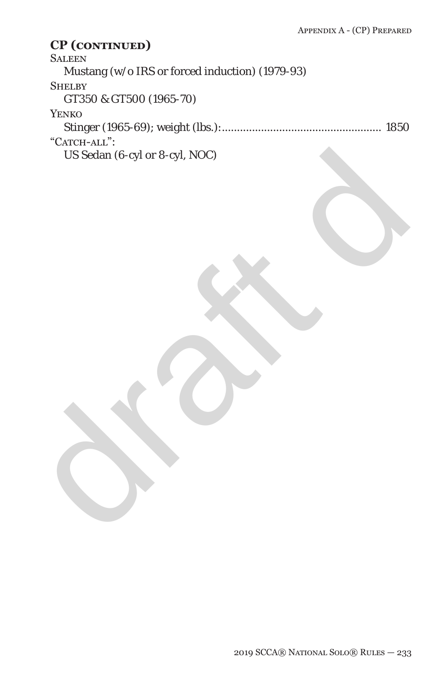**SALEEN** 

Mustang (w/o IRS or forced induction) (1979-93)

### **SHELBY**

GT350 & GT500 (1965-70)

### Yenko

Stinger (1965-69); weight (lbs.):..................................................... 1850 "CATCH-ALL":

US Sedan (6-cyl or 8-cyl, NOC) US Sedan (6-cyl or 8-cyl, NOC)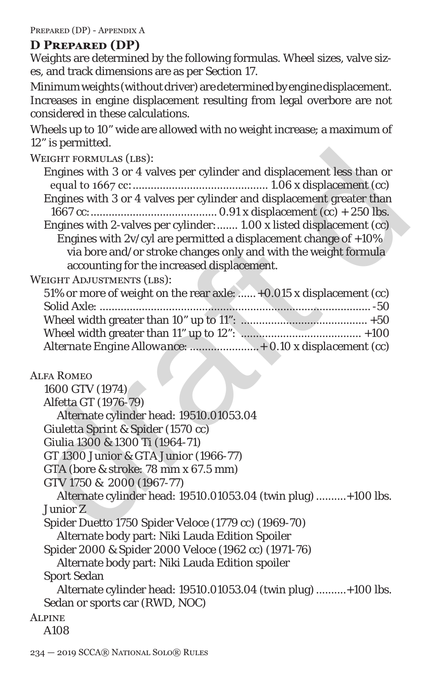Prepared (DP) - Appendix A

### **D Prepared (DP)**

Weights are determined by the following formulas. Wheel sizes, valve sizes, and track dimensions are as per Section 17.

Minimum weights (without driver) are determined by engine displacement. Increases in engine displacement resulting from legal overbore are not considered in these calculations.

Wheels up to 10" wide are allowed with no weight increase; a maximum of 12" is permitted.

| <b>WEIGHT FORMULAS (LBS):</b>                                         |
|-----------------------------------------------------------------------|
| Engines with 3 or 4 valves per cylinder and displacement less than or |
|                                                                       |
| Engines with 3 or 4 valves per cylinder and displacement greater than |
|                                                                       |
| Engines with 2-valves per cylinder: 1.00 x listed displacement (cc)   |
| Engines with $2v/cyl$ are permitted a displacement change of $+10\%$  |
| via bore and/or stroke changes only and with the weight formula       |
| accounting for the increased displacement.                            |
| <b>WEIGHT ADJUSTMENTS (LBS):</b>                                      |
| 51% or more of weight on the rear axle:  +0.015 x displacement (cc)   |
|                                                                       |
|                                                                       |
|                                                                       |
| Alternate Engine Allowance:  + 0.10 x displacement (cc)               |
|                                                                       |
| <b>ALFA ROMEO</b>                                                     |
| 1600 GTV (1974)                                                       |
| Alfetta GT (1976-79)                                                  |
| Alternate cylinder head: 19510.01053.04                               |
| Giuletta Sprint & Spider (1570 cc)                                    |
| Giulia 1300 & 1300 Ti (1964-71)                                       |
| GT 1300 Junior & GTA Junior (1966-77)                                 |
| GTA (bore & stroke: 78 mm x 67.5 mm)                                  |
| GTV 1750 & 2000 (1967-77)                                             |
| Alternate cylinder head: 19510.01053.04 (twin plug) +100 lbs.         |
| Junior Z                                                              |
| Spider Duetto 1750 Spider Veloce (1779 cc) (1969-70)                  |
| Alternate body part: Niki Lauda Edition Spoiler                       |
| Spider 2000 & Spider 2000 Veloce (1962 cc) (1971-76)                  |
| Alternate body part: Niki Lauda Edition spoiler                       |
| <b>Sport Sedan</b>                                                    |
| Alternate cylinder head: 19510.01053.04 (twin plug) +100 lbs.         |
| Sedan or sports car (RWD, NOC)                                        |
| <b>ALPINE</b>                                                         |

A108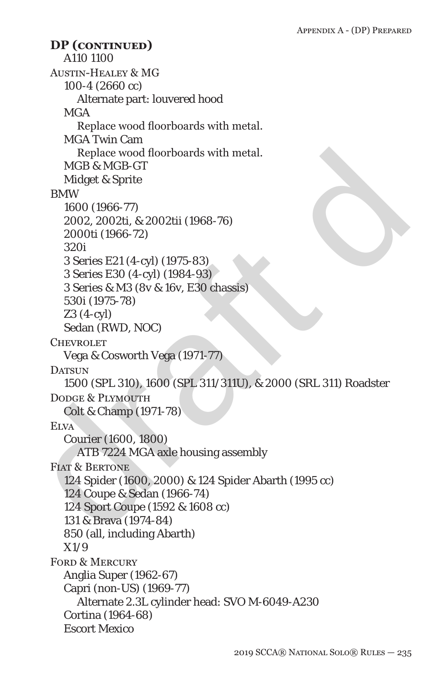Replace wood floorboards with metal.<br>
Midget & Sprite<br>
HMM<br>
1600 (1966-77)<br>
2002, 2002ti, & 2002tii (1968-76)<br>
2000t (1966-72)<br>
2000t (1966-72)<br>
2000t (1966-72)<br>
3 Series E21 (4-cyl) (1975-83)<br>
3 Series E30 (4-cyl) (1975-A110 1100 Austin-Healey & MG 100-4 (2660 cc) Alternate part: louvered hood **MGA** Replace wood floorboards with metal. MGA Twin Cam Replace wood floorboards with metal. MGB & MGB-GT Midget & Sprite BMW 1600 (1966-77) 2002, 2002ti, & 2002tii (1968-76) 2000ti (1966-72) 320i 3 Series E21 (4-cyl) (1975-83) 3 Series E30 (4-cyl) (1984-93) 3 Series & M3 (8v & 16v, E30 chassis) 530i (1975-78) Z3 (4-cyl) Sedan (RWD, NOC) **CHEVROLET** Vega & Cosworth Vega (1971-77) DATSUN 1500 (SPL 310), 1600 (SPL 311/311U), & 2000 (SRL 311) Roadster DODGE & PLYMOUTH Colt & Champ (1971-78) **ELVA** Courier (1600, 1800) ATB 7224 MGA axle housing assembly FIAT & BERTONE 124 Spider (1600, 2000) & 124 Spider Abarth (1995 cc) 124 Coupe & Sedan (1966-74) 124 Sport Coupe (1592 & 1608 cc) 131 & Brava (1974-84) 850 (all, including Abarth) X1/9 FORD & MERCURY Anglia Super (1962-67) Capri (non-US) (1969-77) Alternate 2.3L cylinder head: SVO M-6049-A230 Cortina (1964-68) Escort Mexico **DP (continued)**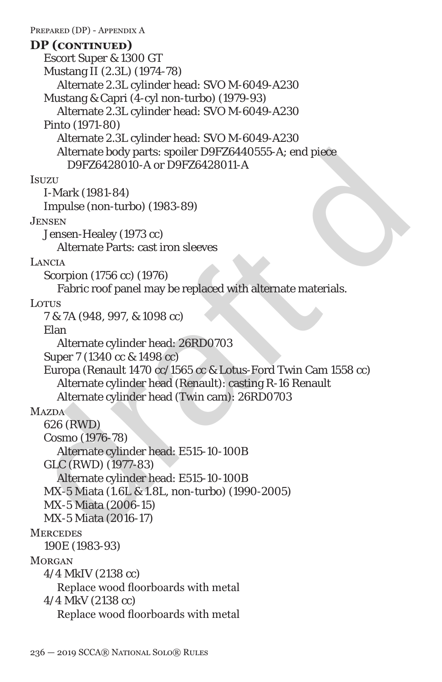Alternate body parts: spoiler D9FZ6440555-A; end piece<br>
D9FZ6428010-A or D9FZ6428011-A<br>
ISuzzu<br>
I-Mark (1981-84)<br>
Impulse (non-turbo) (1983-89)<br>
JESSEN<br>
JERNEL-Mark (1981-84)<br>
JESSEN<br>
JERNEL-MARK LETTATE Parts: cast iron s PREPARED (DP) - APPENDIX A Escort Super & 1300 GT Mustang II (2.3L) (1974-78) Alternate 2.3L cylinder head: SVO M-6049-A230 Mustang & Capri (4-cyl non-turbo) (1979-93) Alternate 2.3L cylinder head: SVO M-6049-A230 Pinto (1971-80) Alternate 2.3L cylinder head: SVO M-6049-A230 Alternate body parts: spoiler D9FZ6440555-A; end piece D9FZ6428010-A or D9FZ6428011-A **Isuzu** I-Mark (1981-84) Impulse (non-turbo) (1983-89) Jensen Jensen-Healey (1973 cc) Alternate Parts: cast iron sleeves **LANCIA** Scorpion (1756 cc) (1976) Fabric roof panel may be replaced with alternate materials. Lotus 7 & 7A (948, 997, & 1098 cc) Elan Alternate cylinder head: 26RD0703 Super 7 (1340 cc & 1498 cc) Europa (Renault 1470 cc/1565 cc & Lotus-Ford Twin Cam 1558 cc) Alternate cylinder head (Renault): casting R-16 Renault Alternate cylinder head (Twin cam): 26RD0703 **MAZDA** 626 (RWD) Cosmo (1976-78) Alternate cylinder head: E515-10-100B GLC (RWD) (1977-83) Alternate cylinder head: E515-10-100B MX-5 Miata (1.6L & 1.8L, non-turbo) (1990-2005) MX-5 Miata (2006-15) MX-5 Miata (2016-17) **MERCEDES** 190E (1983-93) **MORGAN** 4/4 MkIV (2138 cc) Replace wood floorboards with metal 4/4 MkV (2138 cc) **DP (continued)**

Replace wood floorboards with metal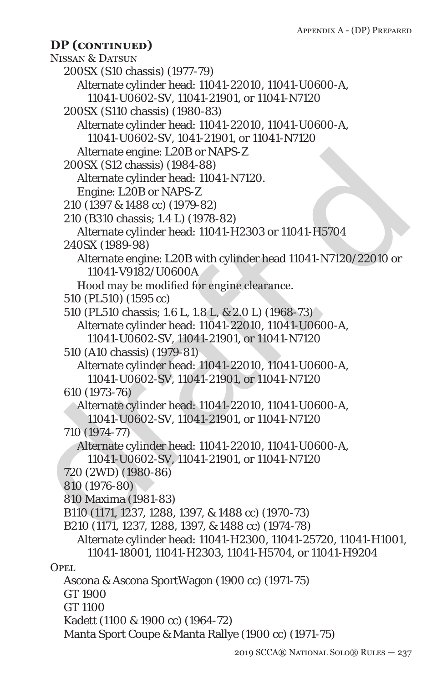```
Alternate engine: L20B or NAPS-Z<br>
200SX (S12 chassis) (1884-88)<br>
Alternate cylinder head: 11041-N7120.<br>
Engine: L20B or NAPS-Z<br>
210 (1397 & 1488 cc) (1979-82)<br>
210 (1397 & 1488 cc) (1979-82)<br>
Alternate cylinder head: 11041
     NISSAN & DATSUN
        200SX (S10 chassis) (1977-79)
           Alternate cylinder head: 11041-22010, 11041-U0600-A, 
             11041-U0602-SV, 11041-21901, or 11041-N7120
        200SX (S110 chassis) (1980-83)
           Alternate cylinder head: 11041-22010, 11041-U0600-A, 
             11041-U0602-SV, 1041-21901, or 11041-N7120
           Alternate engine: L20B or NAPS-Z
        200SX (S12 chassis) (1984-88)
           Alternate cylinder head: 11041-N7120.
           Engine: L20B or NAPS-Z
        210 (1397 & 1488 cc) (1979-82)
        210 (B310 chassis; 1.4 L) (1978-82)
           Alternate cylinder head: 11041-H2303 or 11041-H5704
        240SX (1989-98)
           Alternate engine: L20B with cylinder head 11041-N7120/22010 or 
             11041-V9182/U0600A
           Hood may be modified for engine clearance.
        510 (PL510) (1595 cc)
        510 (PL510 chassis; 1.6 L, 1.8 L, & 2.0 L) (1968-73)
           Alternate cylinder head: 11041-22010, 11041-U0600-A, 
             11041-U0602-SV, 11041-21901, or 11041-N7120
        510 (A10 chassis) (1979-81)
           Alternate cylinder head: 11041-22010, 11041-U0600-A, 
             11041-U0602-SV, 11041-21901, or 11041-N7120
        610 (1973-76)
           Alternate cylinder head: 11041-22010, 11041-U0600-A, 
             11041-U0602-SV, 11041-21901, or 11041-N7120
        710 (1974-77)
           Alternate cylinder head: 11041-22010, 11041-U0600-A, 
             11041-U0602-SV, 11041-21901, or 11041-N7120
        720 (2WD) (1980-86)
        810 (1976-80)
        810 Maxima (1981-83)
        B110 (1171, 1237, 1288, 1397, & 1488 cc) (1970-73)
        B210 (1171, 1237, 1288, 1397, & 1488 cc) (1974-78)
           Alternate cylinder head: 11041-H2300, 11041-25720, 11041-H1001, 
             11041-18001, 11041-H2303, 11041-H5704, or 11041-H9204
     OPEL.
        Ascona & Ascona SportWagon (1900 cc) (1971-75)
        GT 1900
        GT 1100
        Kadett (1100 & 1900 cc) (1964-72)
        Manta Sport Coupe & Manta Rallye (1900 cc) (1971-75)
     DP (continued)
```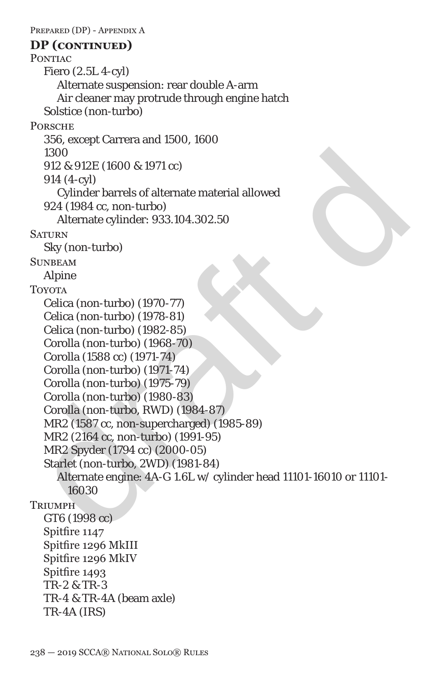1300<br>
912 & 912E (1600 & 1971 cc)<br>
914 (4-cyl)<br>
Cylinder barrels of alternate material allowed<br>
924 (1894 cc, non-turbo)<br>
Alternate cylinder: 933.104.302.50<br>
SATURN<br>
Sky (non-turbo) (1878-81)<br>
Celica (non-turbo) (1879-81) PREPARED (DP) - APPENDIX A PONTIAC Fiero (2.5L 4-cyl) Alternate suspension: rear double A-arm Air cleaner may protrude through engine hatch Solstice (non-turbo) **PORSCHE** 356, except Carrera and 1500, 1600 1300 912 & 912E (1600 & 1971 cc) 914 (4-cyl) Cylinder barrels of alternate material allowed 924 (1984 cc, non-turbo) Alternate cylinder: 933.104.302.50 **SATURN** Sky (non-turbo) **SUNBEAM** Alpine **TOYOTA** Celica (non-turbo) (1970-77) Celica (non-turbo) (1978-81) Celica (non-turbo) (1982-85) Corolla (non-turbo) (1968-70) Corolla (1588 cc) (1971-74) Corolla (non-turbo) (1971-74) Corolla (non-turbo) (1975-79) Corolla (non-turbo) (1980-83) Corolla (non-turbo, RWD) (1984-87) MR2 (1587 cc, non-supercharged) (1985-89) MR2 (2164 cc, non-turbo) (1991-95) MR2 Spyder (1794 cc) (2000-05) Starlet (non-turbo, 2WD) (1981-84) Alternate engine: 4A-G 1.6L w/ cylinder head 11101-16010 or 11101- 16030 **TRIUMPH** GT6 (1998 cc) Spitfire 1147 Spitfire 1296 MkIII Spitfire 1296 MkIV Spitfire 1493 TR-2 & TR-3 TR-4 & TR-4A (beam axle) TR-4A (IRS) **DP (continued)**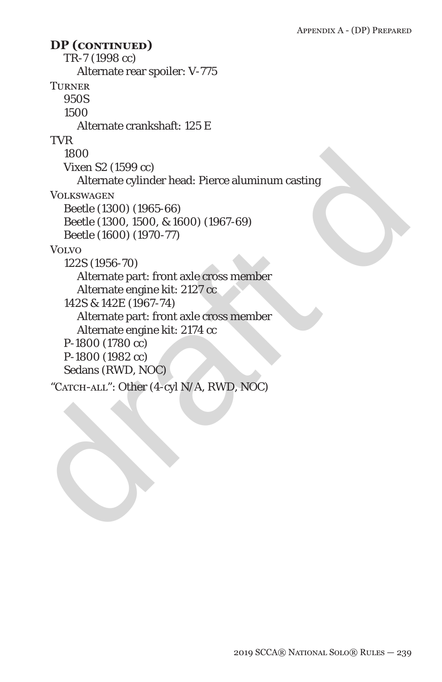1800<br>
Vixen S2 (1599 cc)<br>
Alternate cylinder head: Pierce aluminum casting<br>
VOLKSWAGEN<br>
Decite (1800) (1965-66)<br>
Beetle (1800) (1965-66)<br>
Beetle (1800) (1970-77)<br>
VOLVO<br>
122S (1956-70)<br>
Alternate engine kit: 2127 cc<br>
142S TR-7 (1998 cc) Alternate rear spoiler: V-775 **TURNER** 950S 1500 Alternate crankshaft: 125 E TVR 1800 Vixen S2 (1599 cc) Alternate cylinder head: Pierce aluminum casting **VOLKSWAGEN** Beetle (1300) (1965-66) Beetle (1300, 1500, & 1600) (1967-69) Beetle (1600) (1970-77) **VOLVO** 122S (1956-70) Alternate part: front axle cross member Alternate engine kit: 2127 cc 142S & 142E (1967-74) Alternate part: front axle cross member Alternate engine kit: 2174 cc P-1800 (1780 cc) P-1800 (1982 cc) Sedans (RWD, NOC) "CATCH-ALL": Other (4-cyl N/A, RWD, NOC) **DP (continued)**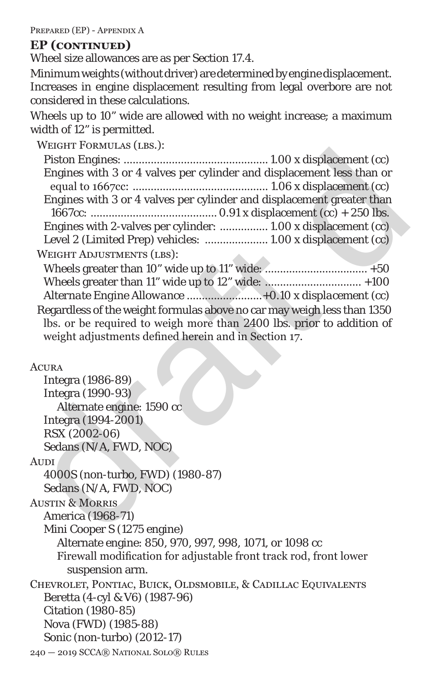PREPARED (EP) - APPENDIX A

# **EP (continued)**

Wheel size allowances are as per Section 17.4.

Minimum weights (without driver) are determined by engine displacement. Increases in engine displacement resulting from legal overbore are not considered in these calculations.

Wheels up to 10" wide are allowed with no weight increase; a maximum width of 12" is permitted.

| WEIGHT FORMULAS (LBS.):                                                 |
|-------------------------------------------------------------------------|
|                                                                         |
| Engines with 3 or 4 valves per cylinder and displacement less than or   |
|                                                                         |
| Engines with 3 or 4 valves per cylinder and displacement greater than   |
|                                                                         |
| Engines with 2-valves per cylinder:  1.00 x displacement (cc)           |
| Level 2 (Limited Prep) vehicles:  1.00 x displacement (cc)              |
| <b>WEIGHT ADJUSTMENTS (LBS):</b>                                        |
|                                                                         |
| Wheels greater than 11" wide up to 12" wide:  +100                      |
|                                                                         |
| Regardless of the weight formulas above no car may weigh less than 1350 |
| lbs. or be required to weigh more than 2400 lbs. prior to addition of   |
| weight adjustments defined herein and in Section 17.                    |
|                                                                         |
| <b>ACURA</b>                                                            |
| Integra (1986-89)                                                       |
| Integra (1990-93)                                                       |
| Alternate engine: 1590 cc                                               |
| Integra (1994-2001)                                                     |
| RSX (2002-06)                                                           |
| Sedans (N/A, FWD, NOC)                                                  |
| <b>AUDI</b>                                                             |
| 4000S (non-turbo, FWD) (1980-87)                                        |
| Sedans (N/A, FWD, NOC)                                                  |
| <b>AUSTIN &amp; MORRIS</b>                                              |
| America (1968-71)                                                       |
| Mini Cooper S (1275 engine)                                             |
| Alternate engine: 850, 970, 997, 998, 1071, or 1098 cc                  |
| Firewall modification for adjustable front track rod, front lower       |
| suspension arm.                                                         |
| CHEVROLET, PONTIAC, BUICK, OLDSMOBILE, & CADILLAC EQUIVALENTS           |
| Beretta (4-cyl & V6) (1987-96)                                          |
| <b>Citation (1980-85)</b>                                               |
| Nova (FWD) (1985-88)                                                    |

Sonic (non-turbo) (2012-17)

240 — 2019 SCCA® National Solo® Rules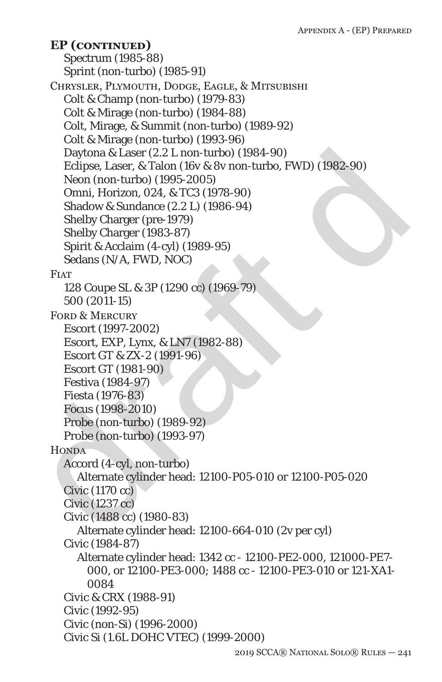Daytona & Laser (2.2 L non-turbo) (1984-90)<br>
Eclipse, Laser, & Talon (16v & & wnon-turbo, FWD) (1982-90)<br>
Neon (non-turbo) (1995-2005)<br>
Omni, Horizon, 024, & TC3 (1978-90)<br>
Sheldov & Sundance (2.2 L) (1986-94)<br>
Shelby Cha Spectrum (1985-88) Sprint (non-turbo) (1985-91) Chrysler, Plymouth, Dodge, Eagle, & Mitsubishi Colt & Champ (non-turbo) (1979-83) Colt & Mirage (non-turbo) (1984-88) Colt, Mirage, & Summit (non-turbo) (1989-92) Colt & Mirage (non-turbo) (1993-96) Daytona & Laser (2.2 L non-turbo) (1984-90) Eclipse, Laser, & Talon (16v & 8v non-turbo, FWD) (1982-90) Neon (non-turbo) (1995-2005) Omni, Horizon, 024, & TC3 (1978-90) Shadow & Sundance (2.2 L) (1986-94) Shelby Charger (pre-1979) Shelby Charger (1983-87) Spirit & Acclaim (4-cyl) (1989-95) Sedans (N/A, FWD, NOC) **FIAT** 128 Coupe SL & 3P (1290 cc) (1969-79) 500 (2011-15) FORD & MERCURY Escort (1997-2002) Escort, EXP, Lynx, & LN7 (1982-88) Escort GT & ZX-2 (1991-96) Escort GT (1981-90) Festiva (1984-97) Fiesta (1976-83) Focus (1998-2010) Probe (non-turbo) (1989-92) Probe (non-turbo) (1993-97) **HONDA** Accord (4-cyl, non-turbo) Alternate cylinder head: 12100-P05-010 or 12100-P05-020 Civic (1170 cc) Civic (1237 cc) Civic (1488 cc) (1980-83) Alternate cylinder head: 12100-664-010 (2v per cyl) Civic (1984-87) Alternate cylinder head: 1342 cc - 12100-PE2-000, 121000-PE7- 000, or 12100-PE3-000; 1488 cc - 12100-PE3-010 or 121-XA1- 0084 *Civic & CRX (1988-91)* Civic (1992-95) Civic (non-Si) (1996-2000) Civic Si (1.6L DOHC VTEC) (1999-2000) **EP (continued)**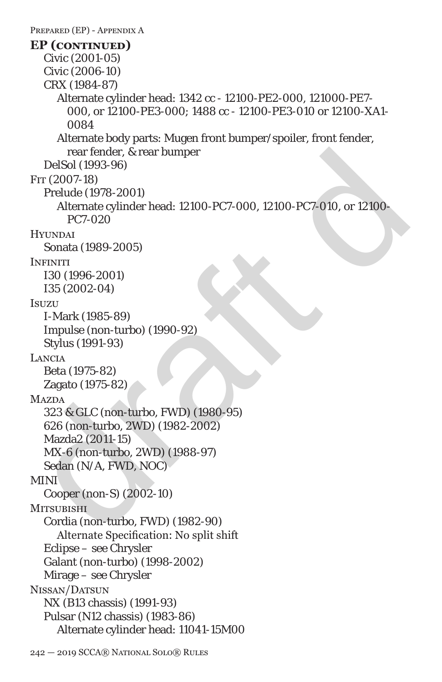rear fender, & rear bumper<br>
PFT (2007-18)<br>
Frr (2007-18)<br>
Pelude (1978-2001)<br>
Alternate cylinder head: 12100-PC7-000, 12100-PC7-010, or 12100-<br>
PC7-020<br>
Hyunyo at<br>
Sonata (1989-2005)<br>
Hyunyo at<br>
ISS (2002-04)<br>
ISS (2002-04 PREPARED (EP) - APPENDIX A Civic (2001-05) Civic (2006-10) CRX (1984-87) Alternate cylinder head: 1342 cc - 12100-PE2-000, 121000-PE7- 000, or 12100-PE3-000; 1488 cc - 12100-PE3-010 or 12100-XA1- 0084 Alternate body parts: Mugen front bumper/spoiler, front fender, rear fender, & rear bumper DelSol (1993-96) Fit (*2007*-18) Prelude (1978-2001) Alternate cylinder head: 12100-PC7-000, 12100-PC7-010, or 12100- PC7-020 **HYUNDAI** Sonata (1989-2005) **INFINITI** I30 (1996-2001) I35 (2002-04) **Isuzu** I-Mark (1985-89) Impulse (non-turbo) (1990-92) Stylus (1991-93) Lancia Beta (1975-82) Zagato (1975-82) **MAZDA** 323 & GLC (non-turbo, FWD) (1980-95) 626 (non-turbo, 2WD) (1982-2002) Mazda2 (2011-15) MX-6 (non-turbo, 2WD) (1988-97) Sedan (N/A, FWD, NOC) MINI Cooper (non-S) (2002-10) **MITSUBISHI** Cordia (non-turbo, FWD) (1982-90) Alternate Specification: No split shift Eclipse – see Chrysler Galant (non-turbo) (1998-2002) Mirage – see Chrysler Nissan/Datsun NX (B13 chassis) (1991-93) Pulsar (N12 chassis) (1983-86) Alternate cylinder head: 11041-15M00 **EP (continued)**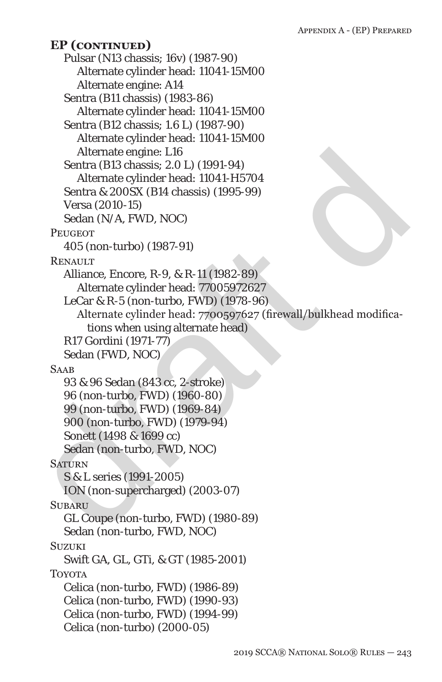Alternate engine: L16<br>
Sentra (B13 chassis; 2.0 L) (1991-94)<br>
Alternate cylinder head: 11041-H5704<br>
Sentra & 2005x (B14 chassis) (1995-99)<br>
Versa (2010-15)<br>
Versa (2010-15)<br>
Sedan (N/A, FWD, NOC)<br>
PEUCEOT<br>
405 (non-turbo) Pulsar (N13 chassis; 16v) (1987-90) Alternate cylinder head: 11041-15M00 Alternate engine: A14 Sentra (B11 chassis) (1983-86) Alternate cylinder head: 11041-15M00 Sentra (B12 chassis; 1.6 L) (1987-90) Alternate cylinder head: 11041-15M00 Alternate engine: L16 Sentra (B13 chassis; 2.0 L) (1991-94) Alternate cylinder head: 11041-H5704 Sentra & 200SX (B14 chassis) (1995-99) Versa (2010-15) Sedan (N/A, FWD, NOC) **PEHGEOT** 405 (non-turbo) (1987-91) **RENAULT** Alliance, Encore, R-9, & R-11 (1982-89) Alternate cylinder head: 77005972627 LeCar & R-5 (non-turbo, FWD) (1978-96) Alternate cylinder head: 7700597627 (firewall/bulkhead modifications when using alternate head) R17 Gordini (1971-77) Sedan (FWD, NOC) **SAAB** 93 & 96 Sedan (843 cc, 2-stroke) 96 (non-turbo, FWD) (1960-80) 99 (non-turbo, FWD) (1969-84) 900 (non-turbo, FWD) (1979-94) Sonett (1498 & 1699 cc) Sedan (non-turbo, FWD, NOC) **SATURN** S & L series (1991-2005) ION (non-supercharged) (2003-07) **SUBARU** GL Coupe (non-turbo, FWD) (1980-89) Sedan (non-turbo, FWD, NOC) **SUZUKI** Swift GA, GL, GTi, & GT (1985-2001) TOYOTA Celica (non-turbo, FWD) (1986-89) Celica (non-turbo, FWD) (1990-93) Celica (non-turbo, FWD) (1994-99) Celica (non-turbo) (2000-05) **EP (continued)**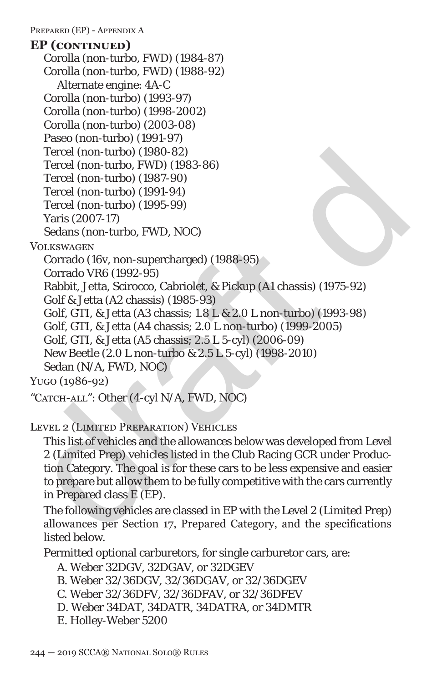PREPARED (EP) - APPENDIX A

# Tercel (non-turbo) (1980-82)<br>
Tercel (non-turbo) (1987-90)<br>
Tercel (non-turbo) (1987-90)<br>
Tercel (non-turbo) (1997-94)<br>
Tercel (non-turbo) (1997-99)<br>
Yaris (2007-17)<br>
Sedans (non-turbo, FWD, NOC)<br>
Vol.Kawackex<br>
Corrado VR Corolla (non-turbo, FWD) (1984-87) Corolla (non-turbo, FWD) (1988-92) Alternate engine: 4A-C Corolla (non-turbo) (1993-97) Corolla (non-turbo) (1998-2002) Corolla (non-turbo) (2003-08) Paseo (non-turbo) (1991-97) Tercel (non-turbo) (1980-82) Tercel (non-turbo, FWD) (1983-86) Tercel (non-turbo) (1987-90) Tercel (non-turbo) (1991-94) Tercel (non-turbo) (1995-99) Yaris (2007-17) Sedans (non-turbo, FWD, NOC) **VOLKSWAGEN** Corrado (16v, non-supercharged) (1988-95) Corrado VR6 (1992-95) Rabbit, Jetta, Scirocco, Cabriolet, & Pickup (A1 chassis) (1975-92) Golf & Jetta (A2 chassis) (1985-93) Golf, GTI, & Jetta (A3 chassis; 1.8 L & 2.0 L non-turbo) (1993-98) Golf, GTI, & Jetta (A4 chassis; 2.0 L non-turbo) (1999-2005) Golf, GTI, & Jetta (A5 chassis; 2.5 L 5-cyl) (2006-09) New Beetle (2.0 L non-turbo & 2.5 L 5-cyl) (1998-2010) Sedan (N/A, FWD, NOC) Yugo (1986-92) **EP (continued)**

"CATCH-ALL": Other (4-cyl N/A, FWD, NOC)

Level 2 (Limited Preparation) Vehicles

This list of vehicles and the allowances below was developed from Level 2 (Limited Prep) vehicles listed in the Club Racing GCR under Production Category. The goal is for these cars to be less expensive and easier to prepare but allow them to be fully competitive with the cars currently in Prepared class E (EP).

The following vehicles are classed in EP with the Level 2 (Limited Prep) allowances per Section 17, Prepared Category, and the specifications listed below.

Permitted optional carburetors, for single carburetor cars, are:

```
A. Weber 32DGV, 32DGAV, or 32DGEV
```
- B. Weber 32/36DGV, 32/36DGAV, or 32/36DGEV
- C. Weber 32/36DFV, 32/36DFAV, or 32/36DFEV
- D. Weber 34DAT, 34DATR, 34DATRA, or 34DMTR
- E. Holley-Weber 5200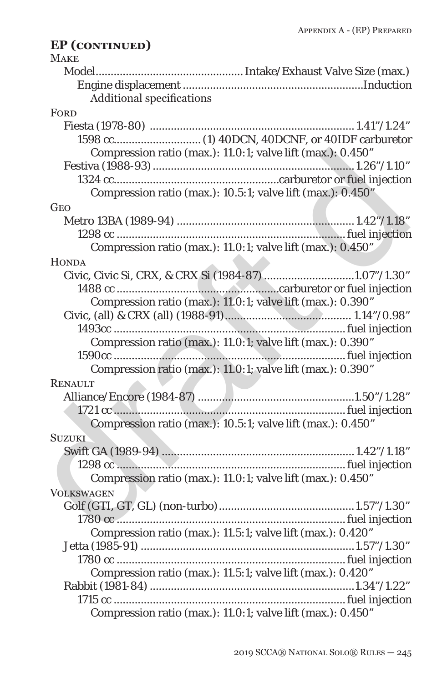### draft d **MAKE** Model.................................................Intake/Exhaust Valve Size (max.) Engine displacement ............................................................Induction Additional specifications **FORD** Fiesta (1978-80) .................................................................... 1.41"/1.24" 1598 cc.............................(1) 40DCN, 40DCNF, or 40IDF carburetor Compression ratio (max.): 11.0:1; valve lift (max.): 0.450" Festiva (1988-93)...................................................................1.26"/1.10" 1324 cc.......................................................carburetor or fuel injection Compression ratio (max.): 10.5:1; valve lift (max.): 0.450" **GEO** Metro 13BA (1989-94) ........................................................... 1.42"/1.18" 1298 cc ............................................................................fuel injection Compression ratio (max.): 11.0:1; valve lift (max.): 0.450" **HONDA** Civic, Civic Si, CRX, & CRX Si (1984-87)..............................1.07"/1.30" 1488 cc ......................................................carburetor or fuel injection Compression ratio (max.): 11.0:1; valve lift (max.): 0.390" Civic, (all) & CRX (all) (1988-91).......................................... 1.14"/0.98" 1493cc .............................................................................fuel injection Compression ratio (max.): 11.0:1; valve lift (max.): 0.390" 1590cc .............................................................................fuel injection Compression ratio (max.): 11.0:1; valve lift (max.): 0.390" **RENAULT** Alliance/Encore (1984-87) ....................................................1.50"/1.28" 1721 cc .............................................................................fuel injection Compression ratio (max.): 10.5:1; valve lift (max.): 0.450" **SUZUKI** Swift GA (1989-94) ................................................................ 1.42"/1.18" 1298 cc ............................................................................fuel injection Compression ratio (max.): 11.0:1; valve lift (max.): 0.450" **VOLKSWAGEN** Golf (GTI, GT, GL) (non-turbo).............................................1.57"/1.30" 1780 cc ............................................................................fuel injection Compression ratio (max.): 11.5:1; valve lift (max.): 0.420" Jetta (1985-91) .......................................................................1.57"/1.30" 1780 cc ............................................................................fuel injection Compression ratio (max.): 11.5:1; valve lift (max.): 0.420" Rabbit (1981-84)....................................................................1.34"/1.22" 1715 cc .............................................................................fuel injection Compression ratio (max.): 11.0:1; valve lift (max.): 0.450" **EP (continued)**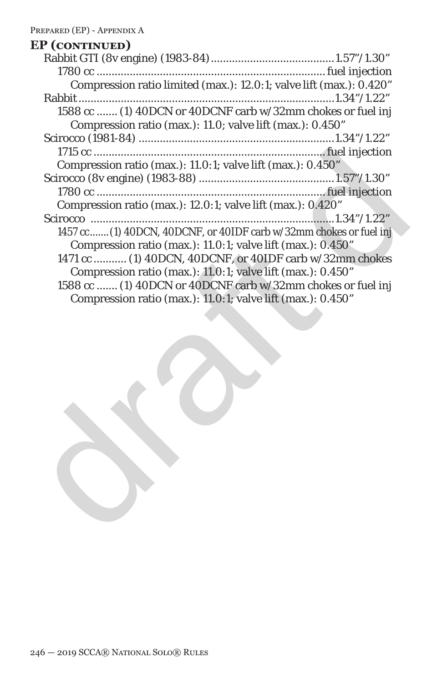# draft d Rabbit GTI (8v engine) (1983-84).........................................1.57"/1.30" 1780 cc ............................................................................fuel injection Compression ratio limited (max.): 12.0:1; valve lift (max.): 0.420" Rabbit.....................................................................................1.34"/1.22" 1588 cc .......(1) 40DCN or 40DCNF carb w/32mm chokes or fuel inj Compression ratio (max.): 11.0; valve lift (max.): 0.450" Scirocco (1981-84) .................................................................1.34"/1.22" 1715 cc .............................................................................fuel injection Compression ratio (max.): 11.0:1; valve lift (max.): 0.450" Scirocco (8v engine) (1983-88) .............................................1.57"/1.30" 1780 cc ............................................................................fuel injection Compression ratio (max.): 12.0:1; valve lift (max.): 0.420" Scirocco .................................................................................1.34"/1.22" 1457 cc.......(1) 40DCN, 40DCNF, or 40IDF carb w/32mm chokes or fuel inj Compression ratio (max.): 11.0:1; valve lift (max.): 0.450" 1471 cc ........... (1) 40DCN, 40DCNF, or 40IDF carb w/32mm chokes Compression ratio (max.): 11.0:1; valve lift (max.): 0.450" 1588 cc .......(1) 40DCN or 40DCNF carb w/32mm chokes or fuel inj Compression ratio (max.): 11.0:1; valve lift (max.): 0.450" **EP (continued)**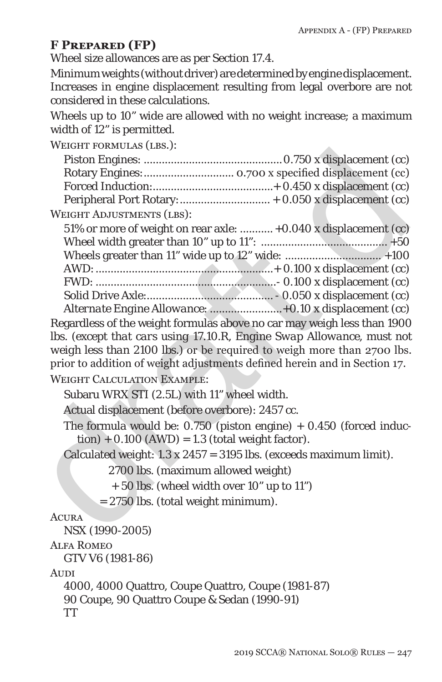### **F Prepared (FP)**

Wheel size allowances are as per Section 17.4.

Minimum weights (without driver) are determined by engine displacement. Increases in engine displacement resulting from legal overbore are not considered in these calculations.

Wheels up to 10" wide are allowed with no weight increase; a maximum width of 12" is permitted.

WEIGHT FORMULAS (LBS.):

| WEIUTII FUNWULAS (LDS.).                                                  |  |
|---------------------------------------------------------------------------|--|
|                                                                           |  |
|                                                                           |  |
|                                                                           |  |
|                                                                           |  |
| <b>WEIGHT ADJUSTMENTS (LBS):</b>                                          |  |
| 51% or more of weight on rear axle:  +0.040 x displacement (cc)           |  |
|                                                                           |  |
|                                                                           |  |
|                                                                           |  |
|                                                                           |  |
|                                                                           |  |
|                                                                           |  |
| Regardless of the weight formulas above no car may weigh less than 1900   |  |
| lbs. (except that cars using 17.10.R, Engine Swap Allowance, must not     |  |
| weigh less than 2100 lbs.) or be required to weigh more than 2700 lbs.    |  |
| prior to addition of weight adjustments defined herein and in Section 17. |  |
| <b>WEIGHT CALCULATION EXAMPLE:</b>                                        |  |
| Subaru WRX STI (2.5L) with 11" wheel width.                               |  |
| Actual displacement (before overbore): 2457 cc.                           |  |
| The formula would be: $0.750$ (piston engine) + $0.450$ (forced induc-    |  |
| $\text{tion}$ ) + 0.100 (AWD) = 1.3 (total weight factor).                |  |
| Calculated weight: 1.3 x 2457 = 3195 lbs. (exceeds maximum limit).        |  |
| 2700 lbs. (maximum allowed weight)                                        |  |
| + 50 lbs. (wheel width over 10" up to 11")                                |  |
| = 2750 lbs. (total weight minimum).                                       |  |
| <b>ACURA</b>                                                              |  |
| NSX (1990-2005)                                                           |  |

### **ACURA**

NSX (1990-2005)

#### Alfa Romeo

GTV V6 (1981-86)

Audi

4000, 4000 Quattro, Coupe Quattro, Coupe (1981-87) 90 Coupe, 90 Quattro Coupe & Sedan (1990-91) TT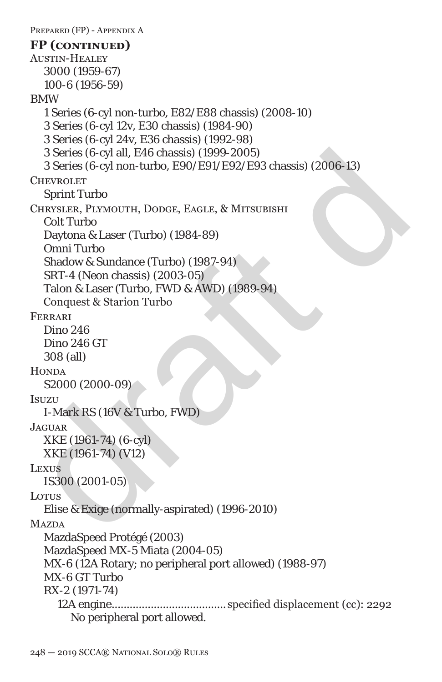```
3 Series (6-cyl all, E46 chassis) (1999-2005)<br>
3 Series (6-cyl non-turbo, E90/E91/E92/E93 chassis) (2006-13)<br>
CHEVROLET<br>
CDITYROLET<br>
Sprint Turbo<br>
CHEVROLET<br>
Col Turbo<br>
Col Turbo<br>
Daytona & Laser (Turbo) (1984-89)<br>
Omni Tu
 PREPARED (FP) - APPENDIX A
 Austin-Healey
    3000 (1959-67)
    100-6 (1956-59)
 BMW
    1 Series (6-cyl non-turbo, E82/E88 chassis) (2008-10)
    3 Series (6-cyl 12v, E30 chassis) (1984-90)
    3 Series (6-cyl 24v, E36 chassis) (1992-98)
    3 Series (6-cyl all, E46 chassis) (1999-2005)
    3 Series (6-cyl non-turbo, E90/E91/E92/E93 chassis) (2006-13)
 CHEVROLET
    Sprint Turbo
 Chrysler, Plymouth, Dodge, Eagle, & Mitsubishi
    Colt Turbo
    Daytona & Laser (Turbo) (1984-89)
    Omni Turbo
    Shadow & Sundance (Turbo) (1987-94)
    SRT-4 (Neon chassis) (2003-05)
    Talon & Laser (Turbo, FWD & AWD) (1989-94)
    Conquest & Starion Turbo
 Ferrari
    Dino 246
    Dino 246 GT
    308 (all)
 HONDA
    S2000 (2000-09)
 Isuzu
    I-Mark RS (16V & Turbo, FWD)
 Jaguar
    XKE (1961-74) (6-cyl)
    XKE (1961-74) (V12)
 LEXUS
    IS300 (2001-05)
 Lorus
    Elise & Exige (normally-aspirated) (1996-2010)
 MAZDA
    MazdaSpeed Protégé (2003)
    MazdaSpeed MX-5 Miata (2004-05)
    MX-6 (12A Rotary; no peripheral port allowed) (1988-97)
    MX-6 GT Turbo
    RX-2 (1971-74)
       12A engine...................................... specified displacement (cc): 2292
          No peripheral port allowed.
 FP (continued)
```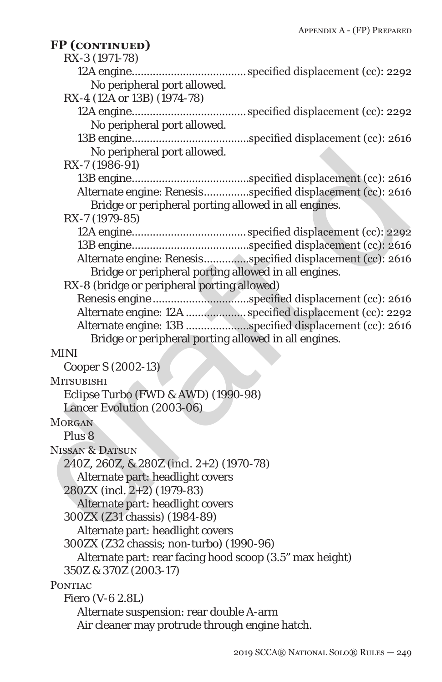| FP (CONTINUED)                                           |                                                            |
|----------------------------------------------------------|------------------------------------------------------------|
| RX-3 (1971-78)                                           |                                                            |
| No peripheral port allowed.                              |                                                            |
| RX-4 (12A or 13B) (1974-78)                              |                                                            |
|                                                          |                                                            |
| No peripheral port allowed.                              |                                                            |
|                                                          |                                                            |
| No peripheral port allowed.                              |                                                            |
| RX-7 (1986-91)                                           |                                                            |
|                                                          |                                                            |
|                                                          | Alternate engine: Renesisspecified displacement (cc): 2616 |
| Bridge or peripheral porting allowed in all engines.     |                                                            |
| RX-7 (1979-85)                                           |                                                            |
|                                                          |                                                            |
|                                                          |                                                            |
|                                                          | Alternate engine: Renesisspecified displacement (cc): 2616 |
| Bridge or peripheral porting allowed in all engines.     |                                                            |
| RX-8 (bridge or peripheral porting allowed)              |                                                            |
|                                                          |                                                            |
|                                                          | Alternate engine: 12A  specified displacement (cc): 2292   |
|                                                          | Alternate engine: 13B specified displacement (cc): 2616    |
| Bridge or peripheral porting allowed in all engines.     |                                                            |
| <b>MINI</b>                                              |                                                            |
| Cooper S (2002-13)                                       |                                                            |
| <b>MITSUBISHI</b>                                        |                                                            |
| Eclipse Turbo (FWD & AWD) (1990-98)                      |                                                            |
| Lancer Evolution (2003-06)                               |                                                            |
| <b>MORGAN</b>                                            |                                                            |
| Plus <sub>8</sub>                                        |                                                            |
| <b>NISSAN &amp; DATSUN</b>                               |                                                            |
| 240Z, 260Z, & 280Z (incl. 2+2) (1970-78)                 |                                                            |
| Alternate part: headlight covers                         |                                                            |
| 280ZX (incl. 2+2) (1979-83)                              |                                                            |
| Alternate part: headlight covers                         |                                                            |
| 300ZX (Z31 chassis) (1984-89)                            |                                                            |
| Alternate part: headlight covers                         |                                                            |
| 300ZX (Z32 chassis; non-turbo) (1990-96)                 |                                                            |
| Alternate part: rear facing hood scoop (3.5" max height) |                                                            |
| 350Z & 370Z (2003-17)                                    |                                                            |
| <b>PONTIAC</b>                                           |                                                            |
| Fiero (V-6 2.8L)                                         |                                                            |
| Alternate suspension: rear double A-arm                  |                                                            |
| Air cleaner may protrude through engine hatch.           |                                                            |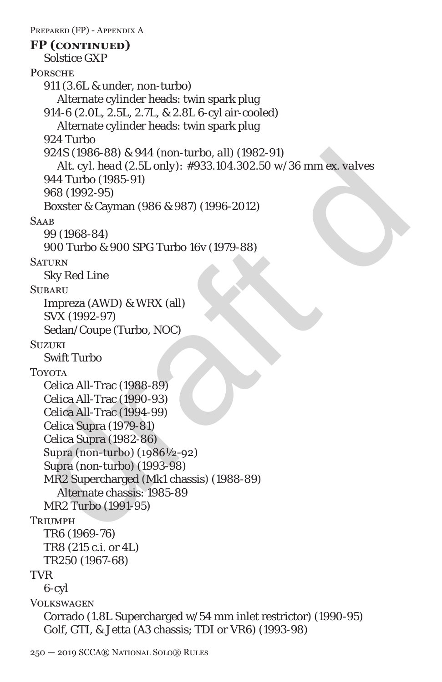```
924S (1986-88) & 944 (non-turbo, all) (1982-91)<br>
Alt. cyl. head (2.5L only): #933.104.302.50 w/36 mm ex. valves<br>
944 Turbo (1985-91)<br>
968 (1992-95)<br>
968 (1992-95)<br>
SAMS<br>
90 (1968-84)<br>
900 Turbo & 900 SPG Turbo 16v (1979-8
 PREPARED (FP) - APPENDIX A
    Solstice GXP
 PORSCHE
    911 (3.6L & under, non-turbo)
       Alternate cylinder heads: twin spark plug
    914-6 (2.0L, 2.5L, 2.7L, & 2.8L 6-cyl air-cooled)
       Alternate cylinder heads: twin spark plug
    924 Turbo
    924S (1986-88) & 944 (non-turbo, all) (1982-91)
       Alt. cyl. head (2.5L only): #933.104.302.50 w/36 mm ex. valves
    944 Turbo (1985-91)
    968 (1992-95)
    Boxster & Cayman (986 & 987) (1996-2012)
 SAAB
    99 (1968-84)
    900 Turbo & 900 SPG Turbo 16v (1979-88)
 SATURN
    Sky Red Line
 SUBARU
    Impreza (AWD) & WRX (all)
    SVX (1992-97)
    Sedan/Coupe (Turbo, NOC)
 SUZUKI
    Swift Turbo
 TOYOTA
    Celica All-Trac (1988-89)
    Celica All-Trac (1990-93)
    Celica All-Trac (1994-99)
    Celica Supra (1979-81)
    Celica Supra (1982-86)
    Supra (non-turbo) (1986½-92)
    Supra (non-turbo) (1993-98)
    MR2 Supercharged (Mk1 chassis) (1988-89)
       Alternate chassis: 1985-89
    MR2 Turbo (1991-95)
 Triimph
    TR6 (1969-76)
    TR8 (215 c.i. or 4L)
    TR250 (1967-68)
 TVR
    6-cyl
 VOLKSWAGEN
    Corrado (1.8L Supercharged w/54 mm inlet restrictor) (1990-95)
    Golf, GTI, & Jetta (A3 chassis; TDI or VR6) (1993-98)
 FP (continued)
```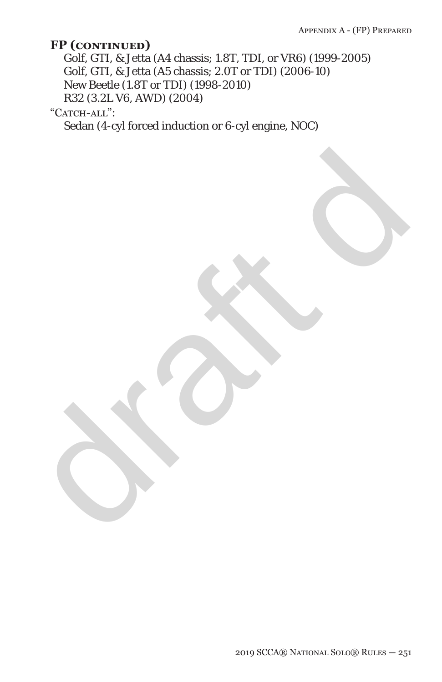Golf, GTI, & Jetta (A4 chassis; 1.8T, TDI, or VR6) (1999-2005) Golf, GTI, & Jetta (A5 chassis; 2.0T or TDI) (2006-10) New Beetle (1.8T or TDI) (1998-2010) R32 (3.2L V6, AWD) (2004)

draft dr

"CATCH-ALL":

Sedan (4-cyl forced induction or 6-cyl engine, NOC)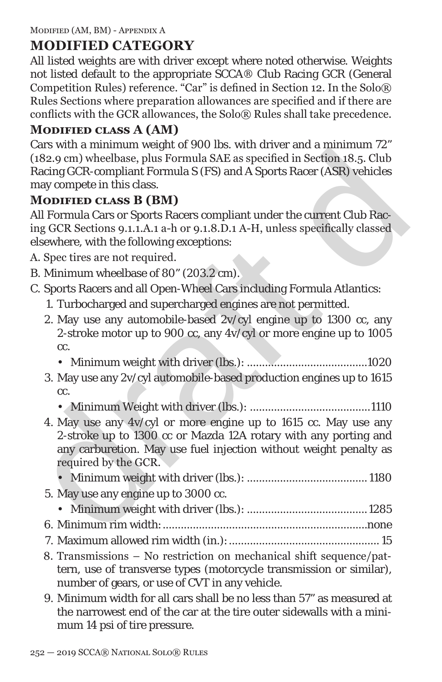# **MODIFIED CATEGORY**

All listed weights are with driver except where noted otherwise. Weights not listed default to the appropriate SCCA® Club Racing GCR (General Competition Rules) reference. "Car" is defined in Section 12. In the Solo® Rules Sections where preparation allowances are specified and if there are conflicts with the GCR allowances, the Solo® Rules shall take precedence.

# **Modified class A (AM)**

Cars with a minimum weight of 900 lbs. with driver and a minimum 72" (182.9 cm) wheelbase, plus Formula SAE as specified in Section 18.5. Club Racing GCR-compliant Formula S (FS) and A Sports Racer (ASR) vehicles may compete in this class.

# **Modified class B (BM)**

All Formula Cars or Sports Racers compliant under the current Club Racing GCR Sections 9.1.1.A.1 a-h or 9.1.8.D.1 A-H, unless specifically classed elsewhere, with the following exceptions:

- A. Spec tires are not required.
- B. Minimum wheelbase of 80" (203.2 cm).
- C. Sports Racers and all Open-Wheel Cars including Formula Atlantics:
	- 1. Turbocharged and supercharged engines are not permitted.
	- 2. May use any automobile-based 2v/cyl engine up to 1300 cc, any 2-stroke motor up to 900 cc, any 4v/cyl or more engine up to 1005 cc.
		- Minimum weight with driver (lbs.): ........................................1020
	- 3. May use any 2v/cyl automobile-based production engines up to 1615 cc.
		- Minimum Weight with driver (lbs.): ........................................1110
- Case of multimation weight on 200 as: wand a multimation in the Magnetic II SE-Club Racing GCR-compliant Formula SAE as specified in Section 18.5. Club<br>Racing GCR-compliant Formula S (FS) and A Sports Racer (ASR) vehicles 4. May use any 4v/cyl or more engine up to 1615 cc. May use any 2-stroke up to 1300 cc or Mazda 12A rotary with any porting and any carburetion. May use fuel injection without weight penalty as required by the GCR.
	- Minimum weight with driver (lbs.): ........................................ 1180
	- 5. May use any engine up to 3000 cc.
		- Minimum weight with driver (lbs.): ........................................1285
	- 6. Minimum rim width:....................................................................none
	- 7. Maximum allowed rim width (in.):.................................................. 15
	- 8. Transmissions No restriction on mechanical shift sequence/pattern, use of transverse types (motorcycle transmission or similar), number of gears, or use of CVT in any vehicle.
	- 9. Minimum width for all cars shall be no less than 57" as measured at the narrowest end of the car at the tire outer sidewalls with a minimum 14 psi of tire pressure.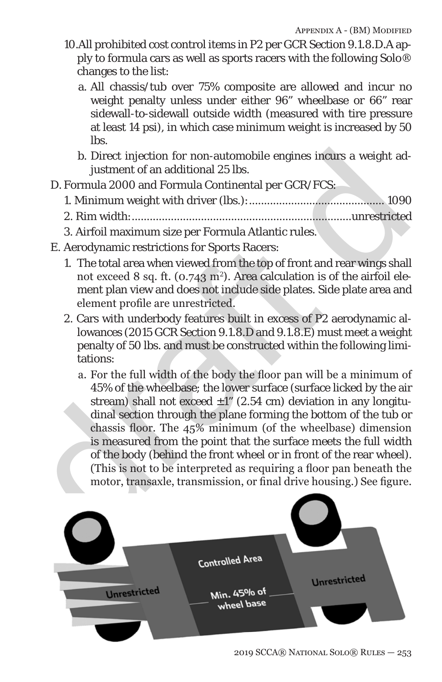- 10.All prohibited cost control items in P2 per GCR Section 9.1.8.D.A apply to formula cars as well as sports racers with the following Solo® changes to the list:
	- a. All chassis/tub over 75% composite are allowed and incur no weight penalty unless under either 96" wheelbase or 66" rear sidewall-to-sidewall outside width (measured with tire pressure at least 14 psi), in which case minimum weight is increased by 50 lbs.
	- b. Direct injection for non-automobile engines incurs a weight adjustment of an additional 25 lbs.
- D. Formula 2000 and Formula Continental per GCR/FCS:
	- 1. Minimum weight with driver (lbs.):............................................. 1090
	- 2. Rim width:.........................................................................unrestricted
	- 3. Airfoil maximum size per Formula Atlantic rules.
- E. Aerodynamic restrictions for Sports Racers:
	- 1. The total area when viewed from the top of front and rear wings shall not exceed 8 sq. ft. (0.743 m²). Area calculation is of the airfoil element plan view and does not include side plates. Side plate area and element profile are unrestricted.
	- 2. Cars with underbody features built in excess of P2 aerodynamic allowances (2015 GCR Section 9.1.8.D and 9.1.8.E) must meet a weight penalty of 50 lbs. and must be constructed within the following limitations:
- b. Direct injection for non-automobile engines incurs a weight adjustment of an additional 25 lbs.<br>
D. Formula 2000 and Formula Continental per GCR/FCS:<br>
1. Minimum weight with driver (lbs.):.............................. a. For the full width of the body the floor pan will be a minimum of 45% of the wheelbase; the lower surface (surface licked by the air stream) shall not exceed  $\pm 1$ " (2.54 cm) deviation in any longitudinal section through the plane forming the bottom of the tub or chassis floor. The 45% minimum (of the wheelbase) dimension is measured from the point that the surface meets the full width of the body (behind the front wheel or in front of the rear wheel). (This is not to be interpreted as requiring a floor pan beneath the motor, transaxle, transmission, or final drive housing.) See figure.

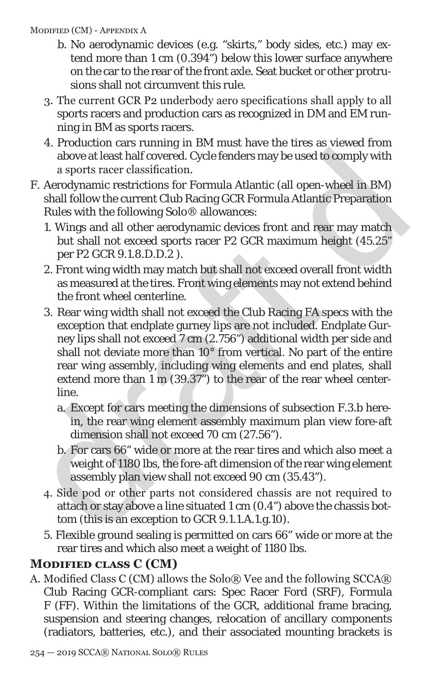#### Modified (CM) - Appendix A

- b. No aerodynamic devices (e.g. "skirts," body sides, etc.) may extend more than 1 cm (0.394") below this lower surface anywhere on the car to the rear of the front axle. Seat bucket or other protrusions shall not circumvent this rule.
- 3. The current GCR P2 underbody aero specifications shall apply to all sports racers and production cars as recognized in DM and EM running in BM as sports racers.
- 4. Production cars running in BM must have the tires as viewed from above at least half covered. Cycle fenders may be used to comply with a sports racer classification.
- F. Aerodynamic restrictions for Formula Atlantic (all open-wheel in BM) shall follow the current Club Racing GCR Formula Atlantic Preparation Rules with the following Solo® allowances:
	- 1. Wings and all other aerodynamic devices front and rear may match but shall not exceed sports racer P2 GCR maximum height (45.25" per P2 GCR 9.1.8.D.D.2 ).
	- 2. Front wing width may match but shall not exceed overall front width as measured at the tires. Front wing elements may not extend behind the front wheel centerline.
- above at least half covered. Cycle fenders may be used to comply with<br>a sports racer classification.<br>T. A condynamic restrictions for Formula Atlantic (all open-wheel in BM)<br>shall follow the current Club Racing GCR Formul 3. Rear wing width shall not exceed the Club Racing FA specs with the exception that endplate gurney lips are not included. Endplate Gurney lips shall not exceed 7 cm (2.756") additional width per side and shall not deviate more than 10° from vertical. No part of the entire rear wing assembly, including wing elements and end plates, shall extend more than 1 m (39.37") to the rear of the rear wheel centerline.
	- a. Except for cars meeting the dimensions of subsection F.3.b herein, the rear wing element assembly maximum plan view fore-aft dimension shall not exceed 70 cm (27.56").
	- b. For cars 66" wide or more at the rear tires and which also meet a weight of 1180 lbs, the fore-aft dimension of the rear wing element assembly plan view shall not exceed 90 cm (35.43").
	- 4. Side pod or other parts not considered chassis are not required to attach or stay above a line situated 1 cm (0.4") above the chassis bottom (this is an exception to GCR 9.1.1.A.1.g.10).
	- 5. Flexible ground sealing is permitted on cars 66" wide or more at the rear tires and which also meet a weight of 1180 lbs.

# **Modified class C (CM)**

A. Modified Class C (CM) allows the Solo® Vee and the following SCCA® Club Racing GCR-compliant cars: Spec Racer Ford (SRF), Formula F (FF). Within the limitations of the GCR, additional frame bracing, suspension and steering changes, relocation of ancillary components (radiators, batteries, etc.), and their associated mounting brackets is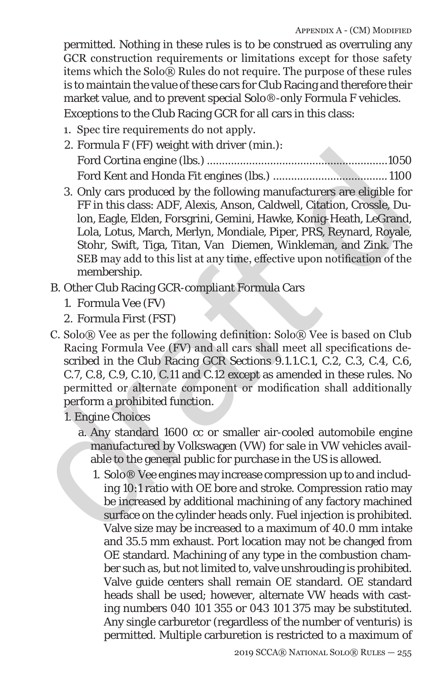permitted. Nothing in these rules is to be construed as overruling any GCR construction requirements or limitations except for those safety items which the Solo® Rules do not require. The purpose of these rules is to maintain the value of these cars for Club Racing and therefore their market value, and to prevent special Solo®-only Formula F vehicles.

Exceptions to the Club Racing GCR for all cars in this class:

- 1. Spec tire requirements do not apply.
- 2. Formula F (FF) weight with driver (min.): Ford Cortina engine (lbs.) ............................................................1050 Ford Kent and Honda Fit engines (lbs.) ...................................... 1100
- draft d 3. Only cars produced by the following manufacturers are eligible for FF in this class: ADF, Alexis, Anson, Caldwell, Citation, Crossle, Dulon, Eagle, Elden, Forsgrini, Gemini, Hawke, Konig-Heath, LeGrand, Lola, Lotus, March, Merlyn, Mondiale, Piper, PRS, Reynard, Royale, Stohr, Swift, Tiga, Titan, Van Diemen, Winkleman, and Zink. The SEB may add to this list at any time, effective upon notification of the membership.
	- B. Other Club Racing GCR-compliant Formula Cars
		- 1. Formula Vee (FV)
		- 2. Formula First (FST)
	- C. Solo® Vee as per the following definition: Solo® Vee is based on Club Racing Formula Vee (FV) and all cars shall meet all specifications described in the Club Racing GCR Sections 9.1.1.C.1, C.2, C.3, C.4, C.6, C.7, C.8, C.9, C.10, C.11 and C.12 except as amended in these rules. No permitted or alternate component or modification shall additionally perform a prohibited function.

1. Engine Choices

- a. Any standard 1600 cc or smaller air-cooled automobile engine manufactured by Volkswagen (VW) for sale in VW vehicles available to the general public for purchase in the US is allowed.
	- 1. Solo® Vee engines may increase compression up to and including 10:1 ratio with OE bore and stroke. Compression ratio may be increased by additional machining of any factory machined surface on the cylinder heads only. Fuel injection is prohibited. Valve size may be increased to a maximum of 40.0 mm intake and 35.5 mm exhaust. Port location may not be changed from OE standard. Machining of any type in the combustion chamber such as, but not limited to, valve unshrouding is prohibited. Valve guide centers shall remain OE standard. OE standard heads shall be used; however, alternate VW heads with casting numbers 040 101 355 or 043 101 375 may be substituted. Any single carburetor (regardless of the number of venturis) is permitted. Multiple carburetion is restricted to a maximum of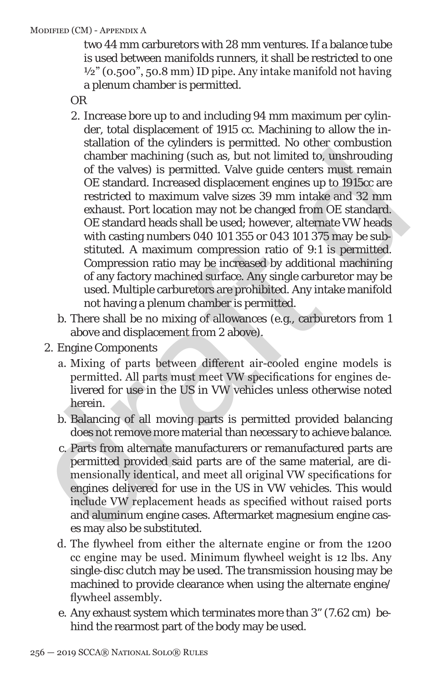#### Modified (CM) - Appendix A

two 44 mm carburetors with 28 mm ventures. If a balance tube is used between manifolds runners, it shall be restricted to one  $\frac{1}{2}$ " (0.500", 50.8 mm) ID pipe. Any intake manifold not having a plenum chamber is permitted.

OR

- chamber machining (such as, but not limited to, unshrouding<br>of the valves) is permitted. Valve guide centers must remain<br>of the standard. Increased displacement engines up to 1915cc are<br>restricted to maximum valve sizes 3 2. Increase bore up to and including 94 mm maximum per cylinder, total displacement of 1915 cc. Machining to allow the installation of the cylinders is permitted. No other combustion chamber machining (such as, but not limited to, unshrouding of the valves) is permitted. Valve guide centers must remain OE standard. Increased displacement engines up to 1915cc are restricted to maximum valve sizes 39 mm intake and 32 mm exhaust. Port location may not be changed from OE standard. OE standard heads shall be used; however, alternate VW heads with casting numbers 040 101 355 or 043 101 375 may be substituted. A maximum compression ratio of 9:1 is permitted. Compression ratio may be increased by additional machining of any factory machined surface. Any single carburetor may be used. Multiple carburetors are prohibited. Any intake manifold not having a plenum chamber is permitted.
	- b. There shall be no mixing of allowances (e.g., carburetors from 1 above and displacement from 2 above).
	- 2. Engine Components
		- a. Mixing of parts between different air-cooled engine models is permitted. All parts must meet VW specifications for engines delivered for use in the US in VW vehicles unless otherwise noted herein.
		- b. Balancing of all moving parts is permitted provided balancing does not remove more material than necessary to achieve balance.
		- c. Parts from alternate manufacturers or remanufactured parts are permitted provided said parts are of the same material, are dimensionally identical, and meet all original VW specifications for engines delivered for use in the US in VW vehicles. This would include VW replacement heads as specified without raised ports and aluminum engine cases. Aftermarket magnesium engine cases may also be substituted.
		- d. The flywheel from either the alternate engine or from the 1200 cc engine may be used. Minimum flywheel weight is 12 lbs. Any single-disc clutch may be used. The transmission housing may be machined to provide clearance when using the alternate engine/ flywheel assembly.
		- e. Any exhaust system which terminates more than 3" (7.62 cm) behind the rearmost part of the body may be used.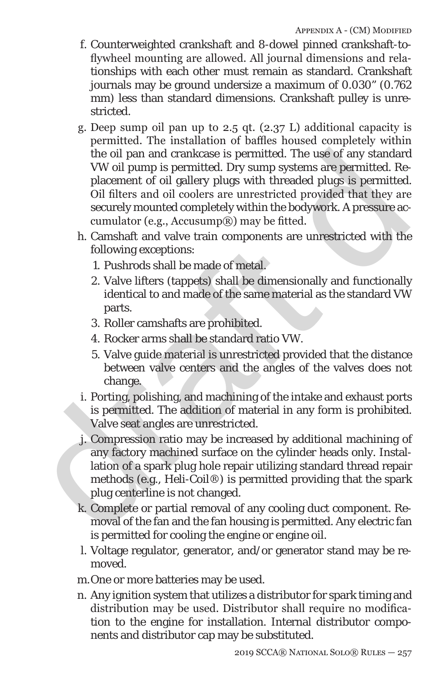- f. Counterweighted crankshaft and 8-dowel pinned crankshaft-toflywheel mounting are allowed. All journal dimensions and relationships with each other must remain as standard. Crankshaft journals may be ground undersize a maximum of 0.030" (0.762 mm) less than standard dimensions. Crankshaft pulley is unrestricted.
- the oil pan and crank<br>case is permitted. The use of any standard VW oil pump is permitted. Dry sump systems are permitted.<br>Placement of oil gallery plugs with threaded plugs is permitted.<br>Rowth threaded plugs is permitted g. Deep sump oil pan up to 2.5 qt. (2.37 L) additional capacity is permitted. The installation of baffles housed completely within the oil pan and crankcase is permitted. The use of any standard VW oil pump is permitted. Dry sump systems are permitted. Replacement of oil gallery plugs with threaded plugs is permitted. Oil filters and oil coolers are unrestricted provided that they are securely mounted completely within the bodywork. A pressure accumulator (e.g., Accusump®) may be fitted.
	- h. Camshaft and valve train components are unrestricted with the following exceptions:
		- 1. Pushrods shall be made of metal.
		- 2. Valve lifters (tappets) shall be dimensionally and functionally identical to and made of the same material as the standard VW parts.
		- 3. Roller camshafts are prohibited.
		- 4. Rocker arms shall be standard ratio VW.
		- 5. Valve guide material is unrestricted provided that the distance between valve centers and the angles of the valves does not change.
	- i. Porting, polishing, and machining of the intake and exhaust ports is permitted. The addition of material in any form is prohibited. Valve seat angles are unrestricted.
	- j. Compression ratio may be increased by additional machining of any factory machined surface on the cylinder heads only. Installation of a spark plug hole repair utilizing standard thread repair methods (e.g., Heli-Coil®) is permitted providing that the spark plug centerline is not changed.
	- k. Complete or partial removal of any cooling duct component. Removal of the fan and the fan housing is permitted. Any electric fan is permitted for cooling the engine or engine oil.
	- l. Voltage regulator, generator, and/or generator stand may be removed.
	- m.One or more batteries may be used.
	- n. Any ignition system that utilizes a distributor for spark timing and distribution may be used. Distributor shall require no modification to the engine for installation. Internal distributor components and distributor cap may be substituted.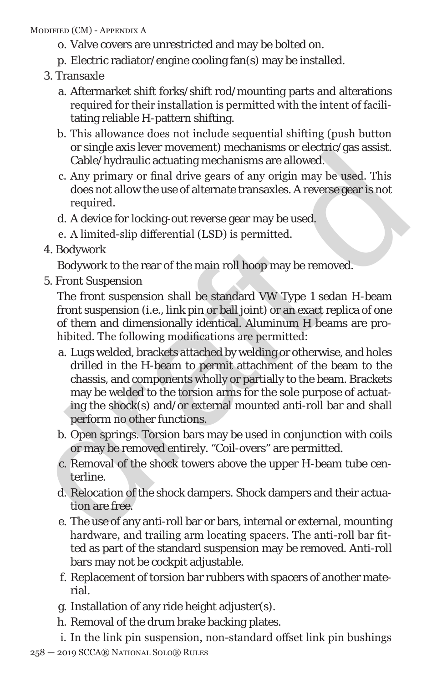#### Modified (CM) - Appendix A

- o. Valve covers are unrestricted and may be bolted on.
- p. Electric radiator/engine cooling fan(s) may be installed.
- 3. Transaxle
	- a. Aftermarket shift forks/shift rod/mounting parts and alterations required for their installation is permitted with the intent of facilitating reliable H-pattern shifting.
	- b. This allowance does not include sequential shifting (push button or single axis lever movement) mechanisms or electric/gas assist. Cable/hydraulic actuating mechanisms are allowed.
	- c. Any primary or final drive gears of any origin may be used. This does not allow the use of alternate transaxles. A reverse gear is not required.
	- d. A device for locking-out reverse gear may be used.
	- e. A limited-slip differential (LSD) is permitted.
- 4. Bodywork

Bodywork to the rear of the main roll hoop may be removed.

5. Front Suspension

The front suspension shall be standard VW Type 1 sedan H-beam front suspension (i.e., link pin or ball joint) or an exact replica of one of them and dimensionally identical. Aluminum H beams are prohibited. The following modifications are permitted:

- or single axis tever movement) mecnanisms or enertic quastasts.<br>Cable/hydraulic actuating mechanisms are allowed.<br>C. Any primary or final drive gears of any origin may be used. This<br>does not allow the use of alternate tran a. Lugs welded, brackets attached by welding or otherwise, and holes drilled in the H-beam to permit attachment of the beam to the chassis, and components wholly or partially to the beam. Brackets may be welded to the torsion arms for the sole purpose of actuating the shock(s) and/or external mounted anti-roll bar and shall perform no other functions.
	- b. Open springs. Torsion bars may be used in conjunction with coils or may be removed entirely. "Coil-overs" are permitted.
	- c. Removal of the shock towers above the upper H-beam tube centerline.
	- d. Relocation of the shock dampers. Shock dampers and their actuation are free.
	- e. The use of any anti-roll bar or bars, internal or external, mounting hardware, and trailing arm locating spacers. The anti-roll bar fitted as part of the standard suspension may be removed. Anti-roll bars may not be cockpit adjustable.
	- f. Replacement of torsion bar rubbers with spacers of another material.
	- g. Installation of any ride height adjuster(s).
	- h. Removal of the drum brake backing plates.
	- 258 2019 SCCA® National Solo® Rules i. In the link pin suspension, non-standard offset link pin bushings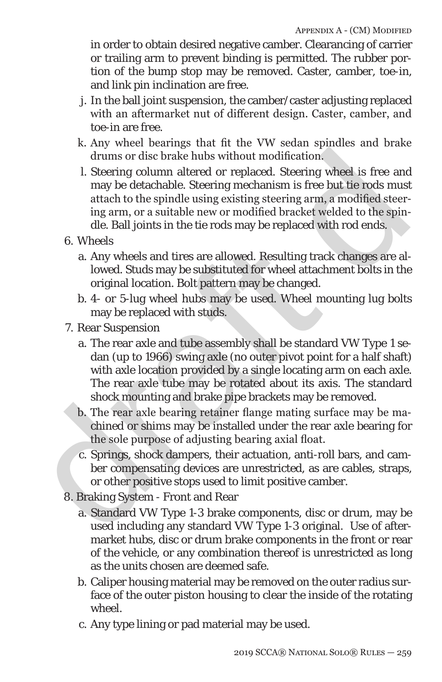in order to obtain desired negative camber. Clearancing of carrier or trailing arm to prevent binding is permitted. The rubber portion of the bump stop may be removed. Caster, camber, toe-in, and link pin inclination are free.

- j. In the ball joint suspension, the camber/caster adjusting replaced with an aftermarket nut of different design. Caster, camber, and toe-in are free.
- k. Any wheel bearings that fit the VW sedan spindles and brake drums or disc brake hubs without modification.
- l. Steering column altered or replaced. Steering wheel is free and may be detachable. Steering mechanism is free but tie rods must attach to the spindle using existing steering arm, a modified steering arm, or a suitable new or modified bracket welded to the spindle. Ball joints in the tie rods may be replaced with rod ends.
- 6. Wheels
	- a. Any wheels and tires are allowed. Resulting track changes are allowed. Studs may be substituted for wheel attachment bolts in the original location. Bolt pattern may be changed.
	- b. 4- or 5-lug wheel hubs may be used. Wheel mounting lug bolts may be replaced with studs.
- 7. Rear Suspension
- drums or disc brake hubs without modification.<br>
L. Steering column altered or replaced. Steering wheel is free and<br>
may be detachable. Steering mechanism is free but the roots must<br>
atach to the spindle using existing ste a. The rear axle and tube assembly shall be standard VW Type 1 sedan (up to 1966) swing axle (no outer pivot point for a half shaft) with axle location provided by a single locating arm on each axle. The rear axle tube may be rotated about its axis. The standard shock mounting and brake pipe brackets may be removed.
	- b. The rear axle bearing retainer flange mating surface may be machined or shims may be installed under the rear axle bearing for the sole purpose of adjusting bearing axial float.
	- c. Springs, shock dampers, their actuation, anti-roll bars, and camber compensating devices are unrestricted, as are cables, straps, or other positive stops used to limit positive camber.
	- 8. Braking System Front and Rear
		- a. Standard VW Type 1-3 brake components, disc or drum, may be used including any standard VW Type 1-3 original. Use of aftermarket hubs, disc or drum brake components in the front or rear of the vehicle, or any combination thereof is unrestricted as long as the units chosen are deemed safe.
		- b. Caliper housing material may be removed on the outer radius surface of the outer piston housing to clear the inside of the rotating wheel.
		- c. Any type lining or pad material may be used.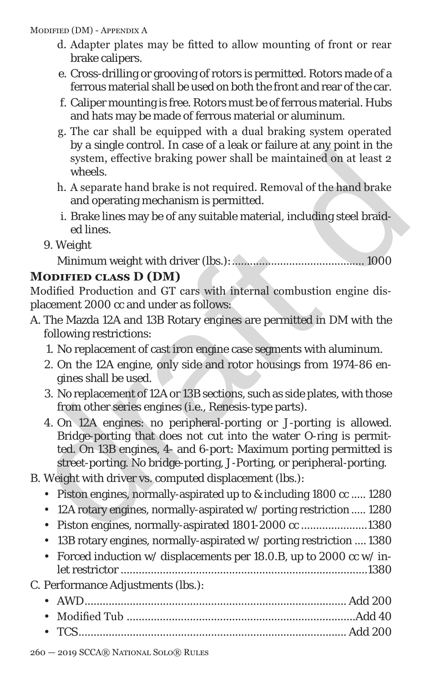Modified (DM) - Appendix A

- d. Adapter plates may be fitted to allow mounting of front or rear brake calipers.
- e. Cross-drilling or grooving of rotors is permitted. Rotors made of a ferrous material shall be used on both the front and rear of the car.
- f. Caliper mounting is free. Rotors must be of ferrous material. Hubs and hats may be made of ferrous material or aluminum.
- g. The car shall be equipped with a dual braking system operated by a single control. In case of a leak or failure at any point in the system, effective braking power shall be maintained on at least 2 wheels.
- h. A separate hand brake is not required. Removal of the hand brake and operating mechanism is permitted.
- i. Brake lines may be of any suitable material, including steel braided lines.
- 9. Weight

Minimum weight with driver (lbs.):............................................ 1000

# **Modified class D (DM)**

Modified Production and GT cars with internal combustion engine displacement 2000 cc and under as follows:

- A. The Mazda 12A and 13B Rotary engines are permitted in DM with the following restrictions:
	- 1. No replacement of cast iron engine case segments with aluminum.
	- 2. On the 12A engine, only side and rotor housings from 1974-86 engines shall be used.
	- 3. No replacement of 12A or 13B sections, such as side plates, with those from other series engines (i.e., Renesis-type parts).
- by a singe contour. In case of a lead of land eat any point in the set of a separate hand brake is not required. Removal of the hand brake and operating mechanism is permitted.<br>
i. Brake lines may be of any suitable mater 4. On 12A engines: no peripheral-porting or J-porting is allowed. Bridge-porting that does not cut into the water O-ring is permitted. On 13B engines, 4- and 6-port: Maximum porting permitted is street-porting. No bridge-porting, J-Porting, or peripheral-porting.
	- B. Weight with driver vs. computed displacement (lbs.):
		- Piston engines, normally-aspirated up to & including 1800 cc ..... 1280
		- 12A rotary engines, normally-aspirated w/ porting restriction ..... 1280
		- Piston engines, normally-aspirated 1801-2000 cc ......................1380
		- 13B rotary engines, normally-aspirated w/ porting restriction .... 1380
		- Forced induction w/ displacements per 18.0.B, up to 2000 cc w/ inlet restrictor ..................................................................................1380
	- C. Performance Adjustments (lbs.):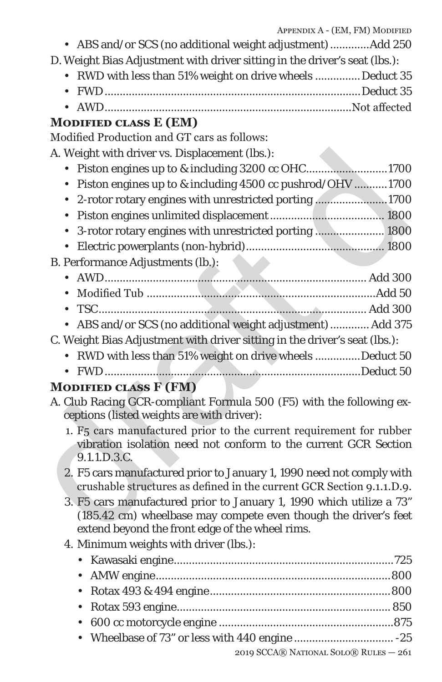|           | APPENDIA A = (EIN, FINJ INIODIFIED                                                                                                                                                         |  |  |
|-----------|--------------------------------------------------------------------------------------------------------------------------------------------------------------------------------------------|--|--|
|           | • ABS and/or SCS (no additional weight adjustment) Add 250                                                                                                                                 |  |  |
|           | D. Weight Bias Adjustment with driver sitting in the driver's seat (lbs.):                                                                                                                 |  |  |
| ٠         | RWD with less than 51% weight on drive wheels  Deduct 35                                                                                                                                   |  |  |
|           |                                                                                                                                                                                            |  |  |
| $\bullet$ |                                                                                                                                                                                            |  |  |
|           | MODIFIED CLASS E (EM)                                                                                                                                                                      |  |  |
|           | Modified Production and GT cars as follows:                                                                                                                                                |  |  |
|           | A. Weight with driver vs. Displacement (lbs.):                                                                                                                                             |  |  |
| $\bullet$ | Piston engines up to & including 3200 cc OHC1700                                                                                                                                           |  |  |
|           | Piston engines up to & including 4500 cc pushrod/OHV 1700                                                                                                                                  |  |  |
| ٠         | 2-rotor rotary engines with unrestricted porting 1700                                                                                                                                      |  |  |
| ٠         |                                                                                                                                                                                            |  |  |
|           | 3-rotor rotary engines with unrestricted porting  1800                                                                                                                                     |  |  |
| $\bullet$ |                                                                                                                                                                                            |  |  |
|           | B. Performance Adjustments (lb.):                                                                                                                                                          |  |  |
| $\bullet$ |                                                                                                                                                                                            |  |  |
|           |                                                                                                                                                                                            |  |  |
| $\bullet$ |                                                                                                                                                                                            |  |  |
|           | ABS and/or SCS (no additional weight adjustment)  Add 375                                                                                                                                  |  |  |
|           | C. Weight Bias Adjustment with driver sitting in the driver's seat (lbs.):                                                                                                                 |  |  |
| ٠         | RWD with less than 51% weight on drive wheels Deduct 50                                                                                                                                    |  |  |
|           |                                                                                                                                                                                            |  |  |
|           | <b>MODIFIED CLASS F (FM)</b>                                                                                                                                                               |  |  |
|           | A. Club Racing GCR-compliant Formula 500 (F5) with the following ex-<br>ceptions (listed weights are with driver):                                                                         |  |  |
|           | 1. F5 cars manufactured prior to the current requirement for rubber<br>vibration isolation need not conform to the current GCR Section<br>9.1.1.D.3.C.                                     |  |  |
|           | 2. F5 cars manufactured prior to January 1, 1990 need not comply with<br>crushable structures as defined in the current GCR Section 9.1.1.D.9.                                             |  |  |
|           | 3. F5 cars manufactured prior to January 1, 1990 which utilize a 73"<br>(185.42 cm) wheelbase may compete even though the driver's feet<br>extend beyond the front edge of the wheel rims. |  |  |
|           | 4. Minimum weights with driver (lbs.):                                                                                                                                                     |  |  |
| ٠         |                                                                                                                                                                                            |  |  |
| ٠         |                                                                                                                                                                                            |  |  |
| ٠         |                                                                                                                                                                                            |  |  |
| ٠         |                                                                                                                                                                                            |  |  |
| ٠         |                                                                                                                                                                                            |  |  |
|           |                                                                                                                                                                                            |  |  |
|           |                                                                                                                                                                                            |  |  |

2019 SCCA® National Solo® Rules — 261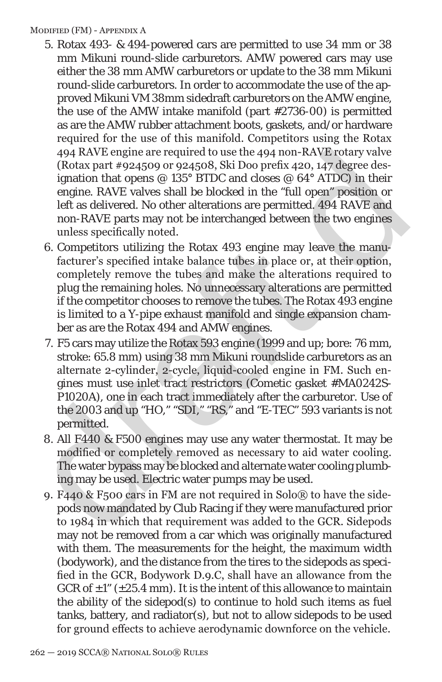#### Modified (FM) - Appendix A

- 5. Rotax 493- & 494-powered cars are permitted to use 34 mm or 38 mm Mikuni round-slide carburetors. AMW powered cars may use either the 38 mm AMW carburetors or update to the 38 mm Mikuni round-slide carburetors. In order to accommodate the use of the approved Mikuni VM 38mm sidedraft carburetors on the AMW engine, the use of the AMW intake manifold (part #2736-00) is permitted as are the AMW rubber attachment boots, gaskets, and/or hardware required for the use of this manifold. Competitors using the Rotax 494 RAVE engine are required to use the 494 non-RAVE rotary valve (Rotax part #924509 or 924508, Ski Doo prefix 420, 147 degree designation that opens  $@$  135° BTDC and closes  $@$  64° ATDC) in their engine. RAVE valves shall be blocked in the "full open" position or left as delivered. No other alterations are permitted. 494 RAVE and non-RAVE parts may not be interchanged between the two engines unless specifically noted.
- 6. Competitors utilizing the Rotax 493 engine may leave the manufacturer's specified intake balance tubes in place or, at their option, completely remove the tubes and make the alterations required to plug the remaining holes. No unnecessary alterations are permitted if the competitor chooses to remove the tubes. The Rotax 493 engine is limited to a Y-pipe exhaust manifold and single expansion chamber as are the Rotax 494 and AMW engines.
- 494 RAVE engine are required to use the 494 non-RAVE rotary valve<br>(Rotax part #9245609 or 9245698, Ski Doo prefix 420, 147 degree des-<br>igantion that opens @ 135° BTDC and closes @ 64° ATDC) in their<br>engine. RAVE valves sh 7. F5 cars may utilize the Rotax 593 engine (1999 and up; bore: 76 mm, stroke: 65.8 mm) using 38 mm Mikuni roundslide carburetors as an alternate 2-cylinder, 2-cycle, liquid-cooled engine in FM. Such engines must use inlet tract restrictors (Cometic gasket #MA0242S-P1020A), one in each tract immediately after the carburetor. Use of the 2003 and up "HO," "SDI," "RS," and "E-TEC" 593 variants is not permitted.
	- 8. All F440 & F500 engines may use any water thermostat. It may be modified or completely removed as necessary to aid water cooling. The water bypass may be blocked and alternate water cooling plumbing may be used. Electric water pumps may be used.
	- 9. F440 & F500 cars in FM are not required in Solo® to have the sidepods now mandated by Club Racing if they were manufactured prior to 1984 in which that requirement was added to the GCR. Sidepods may not be removed from a car which was originally manufactured with them. The measurements for the height, the maximum width (bodywork), and the distance from the tires to the sidepods as specified in the GCR, Bodywork D.9.C, shall have an allowance from the GCR of  $\pm 1$ " ( $\pm 25.4$  mm). It is the intent of this allowance to maintain the ability of the sidepod(s) to continue to hold such items as fuel tanks, battery, and radiator(s), but not to allow sidepods to be used for ground effects to achieve aerodynamic downforce on the vehicle.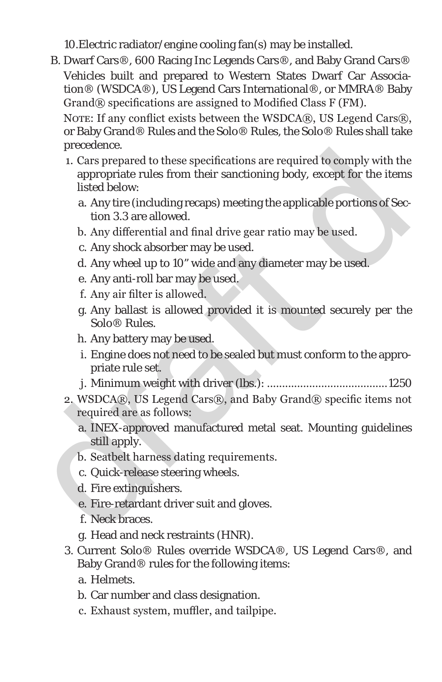10.Electric radiator/engine cooling fan(s) may be installed.

B. Dwarf Cars®, 600 Racing Inc Legends Cars®, and Baby Grand Cars® Vehicles built and prepared to Western States Dwarf Car Association® (WSDCA®), US Legend Cars International®, or MMRA® Baby Grand® specifications are assigned to Modified Class F (FM).

NOTE: If any conflict exists between the WSDCA®, US Legend Cars®, or Baby Grand® Rules and the Solo® Rules, the Solo® Rules shall take precedence.

- receiver.<br>
1. Cars prepared to these specifications are required to comply with the<br>
2. Cars prepared to these specifications are required to comply with the<br>
appropriate rules from their sanctioning body, except for the 1. Cars prepared to these specifications are required to comply with the appropriate rules from their sanctioning body, except for the items listed below:
	- a. Any tire (including recaps) meeting the applicable portions of Section 3.3 are allowed.
	- b. Any differential and final drive gear ratio may be used.
	- c. Any shock absorber may be used.
	- d. Any wheel up to 10" wide and any diameter may be used.
	- e. Any anti-roll bar may be used.
	- f. Any air filter is allowed.
	- g. Any ballast is allowed provided it is mounted securely per the Solo® Rules.
	- h. Any battery may be used.
	- i. Engine does not need to be sealed but must conform to the appropriate rule set.
	- j. Minimum weight with driver (lbs.): ........................................1250
	- 2. WSDCA®, US Legend Cars®, and Baby Grand® specific items not required are as follows:
		- a. INEX-approved manufactured metal seat. Mounting guidelines still apply.
		- b. Seatbelt harness dating requirements.
		- c. Quick-release steering wheels.
		- d. Fire extinguishers.
		- e. Fire-retardant driver suit and gloves.
		- f. Neck braces.
		- g. Head and neck restraints (HNR).
	- 3. Current Solo® Rules override WSDCA®, US Legend Cars®, and Baby Grand® rules for the following items:
		- a. Helmets.
		- b. Car number and class designation.
		- c. Exhaust system, muffler, and tailpipe.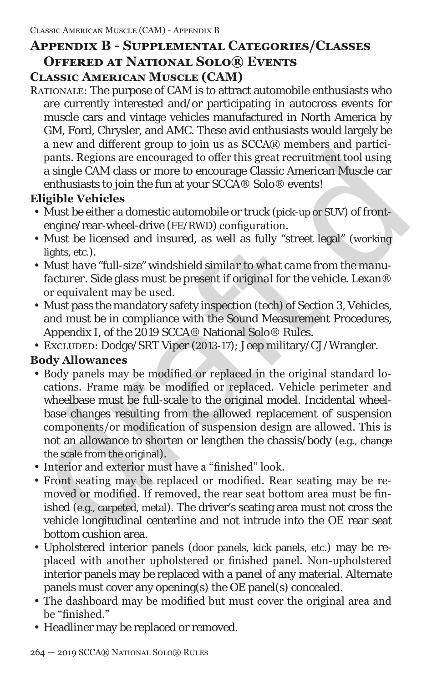## **Appendix B - Supplemental Categories/Classes Offered at National Solo® Events Classic American Muscle (CAM)**

Rationale: The purpose of CAM is to attract automobile enthusiasts who are currently interested and/or participating in autocross events for muscle cars and vintage vehicles manufactured in North America by GM, Ford, Chrysler, and AMC. These avid enthusiasts would largely be a new and different group to join us as SCCA® members and participants. Regions are encouraged to offer this great recruitment tool using a single CAM class or more to encourage Classic American Muscle car enthusiasts to join the fun at your SCCA® Solo® events!

## **Eligible Vehicles**

- Must be either a domestic automobile or truck (pick-up or SUV) of frontengine/rear-wheel-drive (FE/RWD) configuration.
- Must be licensed and insured, as well as fully "street legal" (*working* lights, etc.).
- *• Must have "full-size"* windshield *similar to what came from the manufacturer*. Side glass must be present *if original for the vehicle*. Lexan® or equivalent may be used.
- Must pass the mandatory safety inspection (tech) of Section 3, Vehicles, and must be in compliance with the Sound Measurement Procedures, Appendix I, of the 2019 SCCA® National Solo® Rules.
- Excluded: Dodge/SRT Viper (2013-17); Jeep military/CJ/Wrangler.

## **Body Allowances**

- a non-anti-mateuric given by bond and society memotion and particular and particular particular enthusiasts to join ser encourage Classic American Muscle car<br>enthusiasts to join the fun at your SCCA® Solo® events!<br>Eligibl • Body panels may be modified or replaced in the original standard locations. Frame may be modified or replaced. Vehicle perimeter and wheelbase must be full-scale to the original model. Incidental wheelbase changes resulting from the allowed replacement of suspension components/or modification of suspension design are allowed. This is not an allowance to shorten or lengthen the chassis/body (e.g., change the scale from the original).
	- Interior and exterior must have a "finished" look.
	- Front seating may be replaced or modified. Rear seating may be removed or modified. If removed, the rear seat bottom area must be finished (e.g., carpeted, metal). The driver's seating area must not cross the vehicle longitudinal centerline and not intrude into the OE rear seat bottom cushion area.
	- Upholstered interior panels (door panels, kick panels, etc.) may be replaced with another upholstered or finished panel. Non-upholstered interior panels may be replaced with a panel of any material. Alternate panels must cover any opening(s) the OE panel(s) concealed.
	- The dashboard may be modified but must cover the original area and be "finished."
	- Headliner may be replaced or removed.